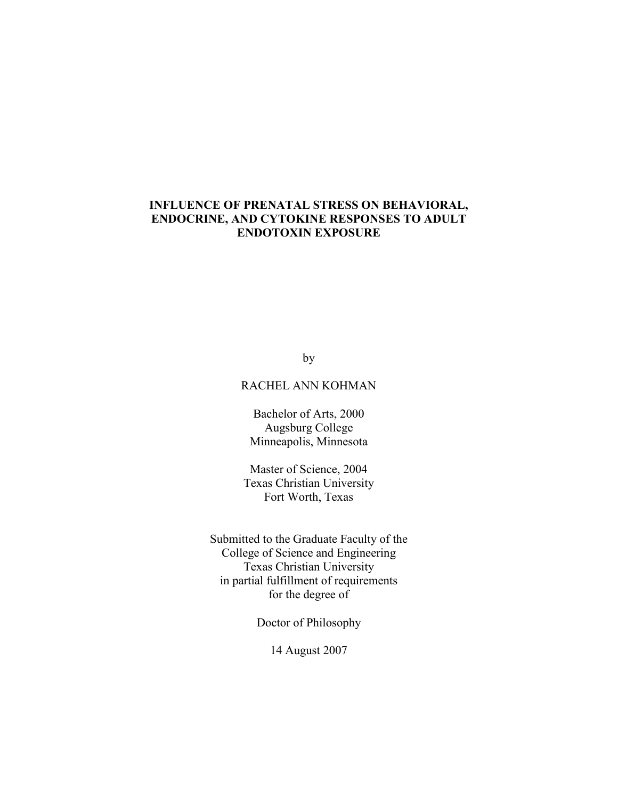# **INFLUENCE OF PRENATAL STRESS ON BEHAVIORAL, ENDOCRINE, AND CYTOKINE RESPONSES TO ADULT ENDOTOXIN EXPOSURE**

by

# RACHEL ANN KOHMAN

Bachelor of Arts, 2000 Augsburg College Minneapolis, Minnesota

Master of Science, 2004 Texas Christian University Fort Worth, Texas

Submitted to the Graduate Faculty of the College of Science and Engineering Texas Christian University in partial fulfillment of requirements for the degree of

Doctor of Philosophy

14 August 2007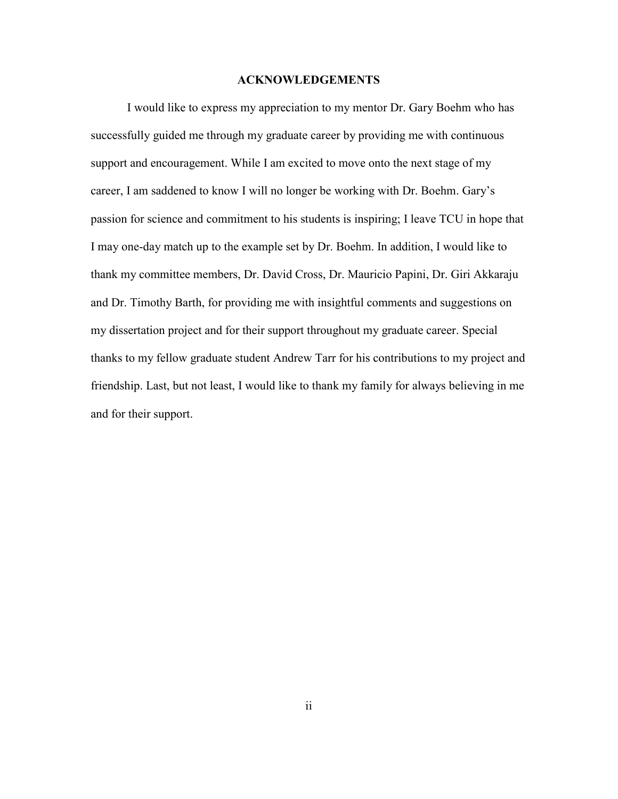### **ACKNOWLEDGEMENTS**

 I would like to express my appreciation to my mentor Dr. Gary Boehm who has successfully guided me through my graduate career by providing me with continuous support and encouragement. While I am excited to move onto the next stage of my career, I am saddened to know I will no longer be working with Dr. Boehm. Gary's passion for science and commitment to his students is inspiring; I leave TCU in hope that I may one-day match up to the example set by Dr. Boehm. In addition, I would like to thank my committee members, Dr. David Cross, Dr. Mauricio Papini, Dr. Giri Akkaraju and Dr. Timothy Barth, for providing me with insightful comments and suggestions on my dissertation project and for their support throughout my graduate career. Special thanks to my fellow graduate student Andrew Tarr for his contributions to my project and friendship. Last, but not least, I would like to thank my family for always believing in me and for their support.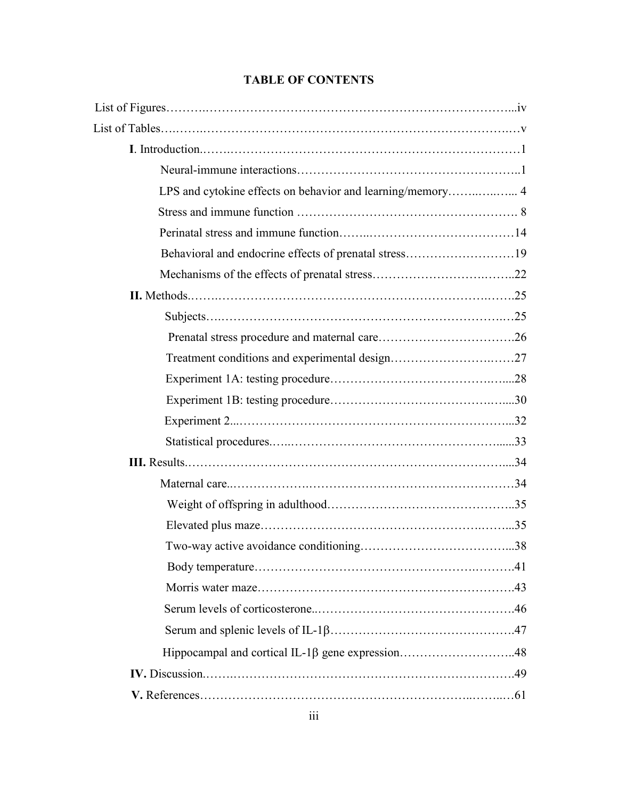# **TABLE OF CONTENTS**

| LPS and cytokine effects on behavior and learning/memory 4 |  |
|------------------------------------------------------------|--|
|                                                            |  |
|                                                            |  |
| Behavioral and endocrine effects of prenatal stress19      |  |
|                                                            |  |
|                                                            |  |
|                                                            |  |
|                                                            |  |
|                                                            |  |
|                                                            |  |
|                                                            |  |
|                                                            |  |
|                                                            |  |
|                                                            |  |
|                                                            |  |
|                                                            |  |
|                                                            |  |
|                                                            |  |
|                                                            |  |
|                                                            |  |
|                                                            |  |
|                                                            |  |
|                                                            |  |
|                                                            |  |
|                                                            |  |
|                                                            |  |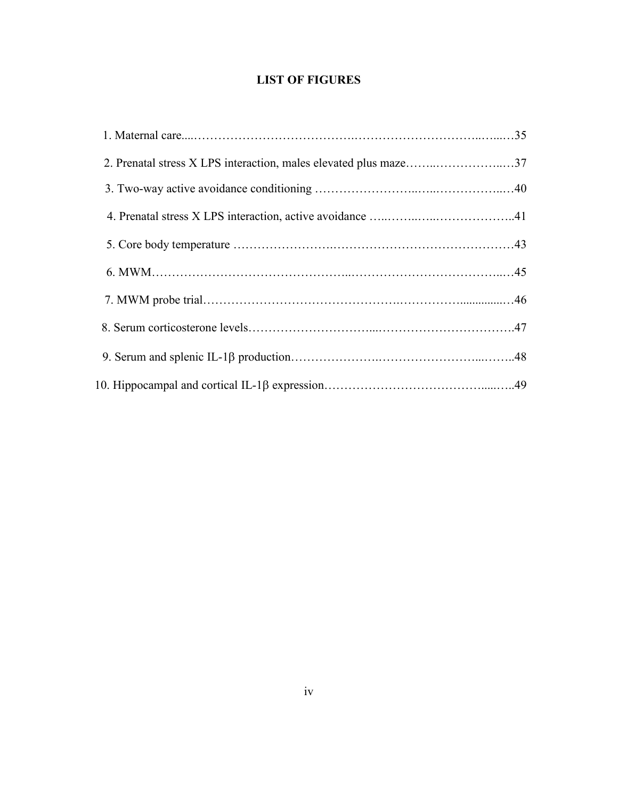# **LIST OF FIGURES**

| 2. Prenatal stress X LPS interaction, males elevated plus maze37 |  |
|------------------------------------------------------------------|--|
|                                                                  |  |
|                                                                  |  |
|                                                                  |  |
|                                                                  |  |
|                                                                  |  |
|                                                                  |  |
|                                                                  |  |
|                                                                  |  |
|                                                                  |  |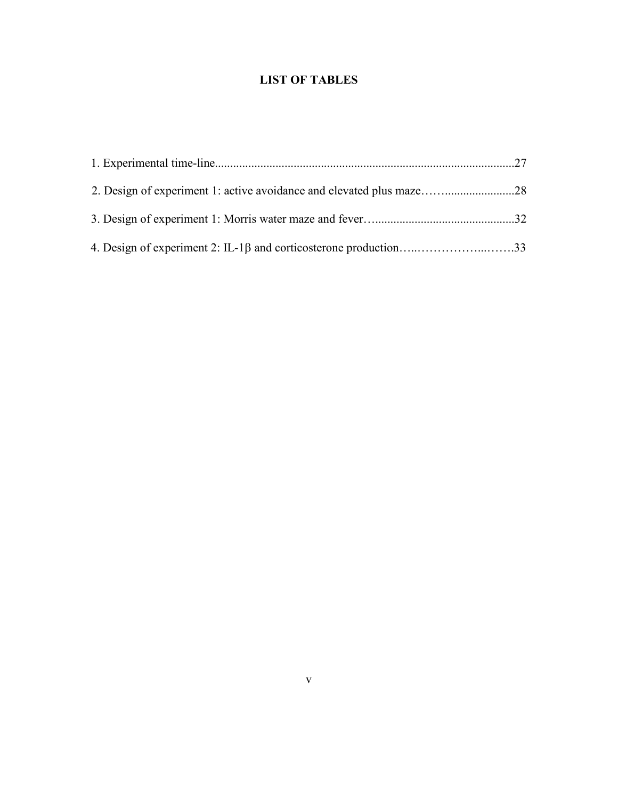# **LIST OF TABLES**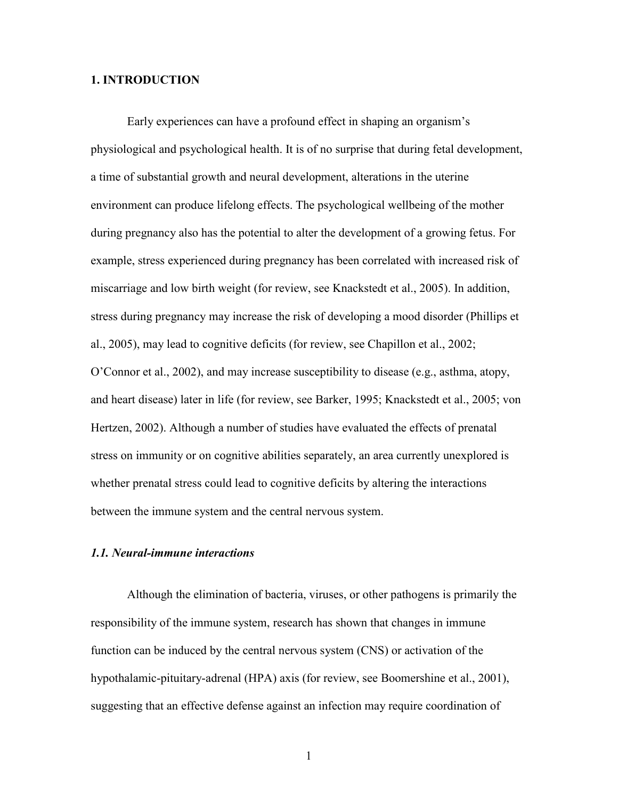## **1. INTRODUCTION**

Early experiences can have a profound effect in shaping an organism's physiological and psychological health. It is of no surprise that during fetal development, a time of substantial growth and neural development, alterations in the uterine environment can produce lifelong effects. The psychological wellbeing of the mother during pregnancy also has the potential to alter the development of a growing fetus. For example, stress experienced during pregnancy has been correlated with increased risk of miscarriage and low birth weight (for review, see Knackstedt et al., 2005). In addition, stress during pregnancy may increase the risk of developing a mood disorder (Phillips et al., 2005), may lead to cognitive deficits (for review, see Chapillon et al., 2002; O'Connor et al., 2002), and may increase susceptibility to disease (e.g., asthma, atopy, and heart disease) later in life (for review, see Barker, 1995; Knackstedt et al., 2005; von Hertzen, 2002). Although a number of studies have evaluated the effects of prenatal stress on immunity or on cognitive abilities separately, an area currently unexplored is whether prenatal stress could lead to cognitive deficits by altering the interactions between the immune system and the central nervous system.

### *1.1. Neural-immune interactions*

Although the elimination of bacteria, viruses, or other pathogens is primarily the responsibility of the immune system, research has shown that changes in immune function can be induced by the central nervous system (CNS) or activation of the hypothalamic-pituitary-adrenal (HPA) axis (for review, see Boomershine et al., 2001), suggesting that an effective defense against an infection may require coordination of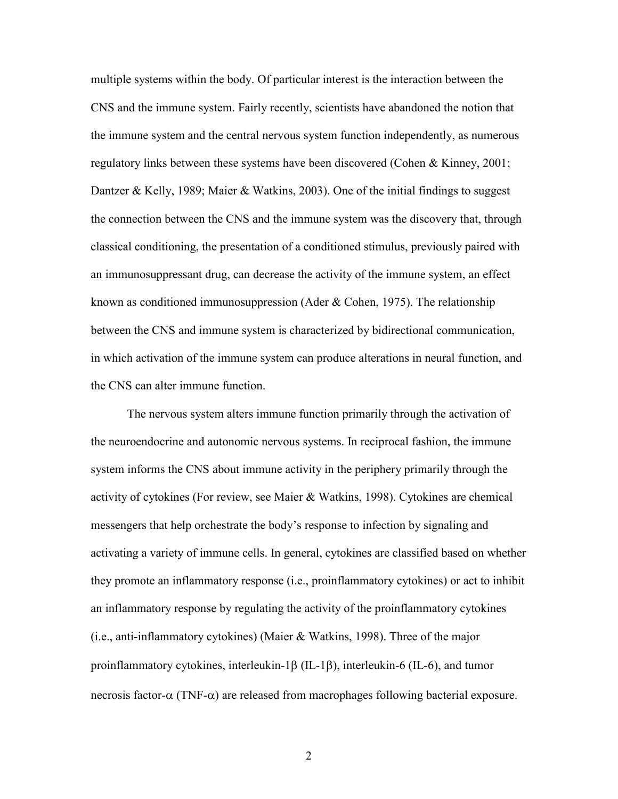multiple systems within the body. Of particular interest is the interaction between the CNS and the immune system. Fairly recently, scientists have abandoned the notion that the immune system and the central nervous system function independently, as numerous regulatory links between these systems have been discovered (Cohen & Kinney, 2001; Dantzer & Kelly, 1989; Maier & Watkins, 2003). One of the initial findings to suggest the connection between the CNS and the immune system was the discovery that, through classical conditioning, the presentation of a conditioned stimulus, previously paired with an immunosuppressant drug, can decrease the activity of the immune system, an effect known as conditioned immunosuppression (Ader  $& Cohen, 1975$ ). The relationship between the CNS and immune system is characterized by bidirectional communication, in which activation of the immune system can produce alterations in neural function, and the CNS can alter immune function.

 The nervous system alters immune function primarily through the activation of the neuroendocrine and autonomic nervous systems. In reciprocal fashion, the immune system informs the CNS about immune activity in the periphery primarily through the activity of cytokines (For review, see Maier & Watkins, 1998). Cytokines are chemical messengers that help orchestrate the body's response to infection by signaling and activating a variety of immune cells. In general, cytokines are classified based on whether they promote an inflammatory response (i.e., proinflammatory cytokines) or act to inhibit an inflammatory response by regulating the activity of the proinflammatory cytokines (i.e., anti-inflammatory cytokines) (Maier & Watkins, 1998). Three of the major proinflammatory cytokines, interleukin-1 $\beta$  (IL-1 $\beta$ ), interleukin-6 (IL-6), and tumor necrosis factor- $\alpha$  (TNF- $\alpha$ ) are released from macrophages following bacterial exposure.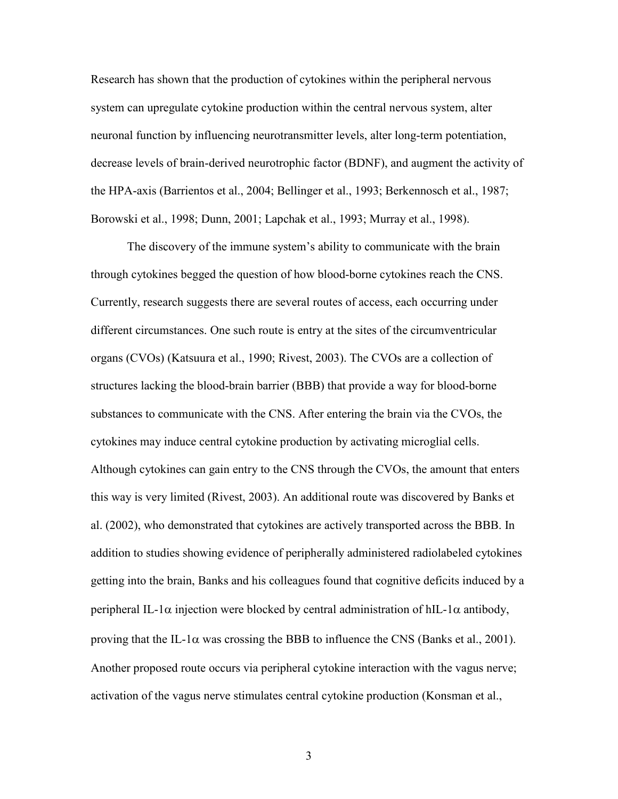Research has shown that the production of cytokines within the peripheral nervous system can upregulate cytokine production within the central nervous system, alter neuronal function by influencing neurotransmitter levels, alter long-term potentiation, decrease levels of brain-derived neurotrophic factor (BDNF), and augment the activity of the HPA-axis (Barrientos et al., 2004; Bellinger et al., 1993; Berkennosch et al., 1987; Borowski et al., 1998; Dunn, 2001; Lapchak et al., 1993; Murray et al., 1998).

 The discovery of the immune system's ability to communicate with the brain through cytokines begged the question of how blood-borne cytokines reach the CNS. Currently, research suggests there are several routes of access, each occurring under different circumstances. One such route is entry at the sites of the circumventricular organs (CVOs) (Katsuura et al., 1990; Rivest, 2003). The CVOs are a collection of structures lacking the blood-brain barrier (BBB) that provide a way for blood-borne substances to communicate with the CNS. After entering the brain via the CVOs, the cytokines may induce central cytokine production by activating microglial cells. Although cytokines can gain entry to the CNS through the CVOs, the amount that enters this way is very limited (Rivest, 2003). An additional route was discovered by Banks et al. (2002), who demonstrated that cytokines are actively transported across the BBB. In addition to studies showing evidence of peripherally administered radiolabeled cytokines getting into the brain, Banks and his colleagues found that cognitive deficits induced by a peripheral IL-1 $\alpha$  injection were blocked by central administration of hIL-1 $\alpha$  antibody, proving that the IL-1 $\alpha$  was crossing the BBB to influence the CNS (Banks et al., 2001). Another proposed route occurs via peripheral cytokine interaction with the vagus nerve; activation of the vagus nerve stimulates central cytokine production (Konsman et al.,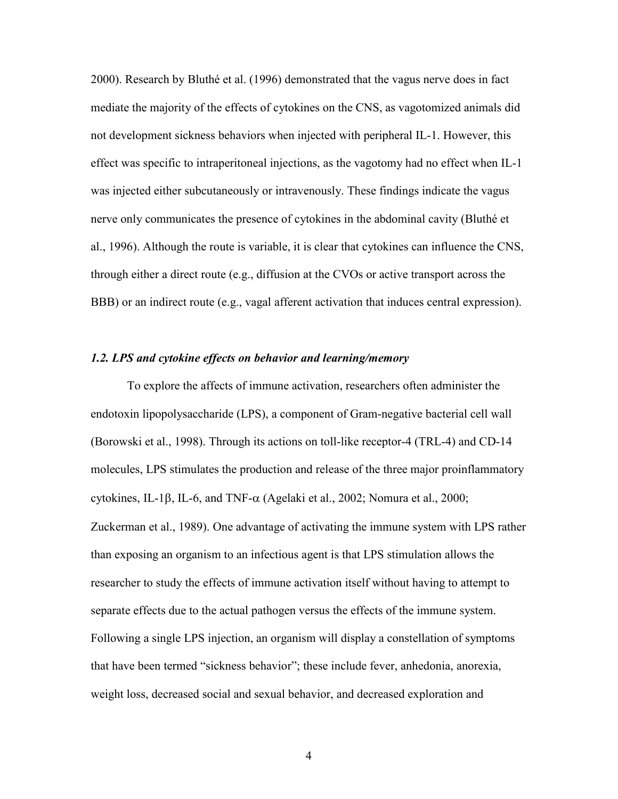2000). Research by Bluthé et al. (1996) demonstrated that the vagus nerve does in fact mediate the majority of the effects of cytokines on the CNS, as vagotomized animals did not development sickness behaviors when injected with peripheral IL-1. However, this effect was specific to intraperitoneal injections, as the vagotomy had no effect when IL-1 was injected either subcutaneously or intravenously. These findings indicate the vagus nerve only communicates the presence of cytokines in the abdominal cavity (Bluthé et al., 1996). Although the route is variable, it is clear that cytokines can influence the CNS, through either a direct route (e.g., diffusion at the CVOs or active transport across the BBB) or an indirect route (e.g., vagal afferent activation that induces central expression).

## *1.2. LPS and cytokine effects on behavior and learning/memory*

To explore the affects of immune activation, researchers often administer the endotoxin lipopolysaccharide (LPS), a component of Gram-negative bacterial cell wall (Borowski et al., 1998). Through its actions on toll-like receptor-4 (TRL-4) and CD-14 molecules, LPS stimulates the production and release of the three major proinflammatory cytokines, IL-1 $\beta$ , IL-6, and TNF- $\alpha$  (Agelaki et al., 2002; Nomura et al., 2000; Zuckerman et al., 1989). One advantage of activating the immune system with LPS rather than exposing an organism to an infectious agent is that LPS stimulation allows the researcher to study the effects of immune activation itself without having to attempt to separate effects due to the actual pathogen versus the effects of the immune system. Following a single LPS injection, an organism will display a constellation of symptoms that have been termed "sickness behavior"; these include fever, anhedonia, anorexia, weight loss, decreased social and sexual behavior, and decreased exploration and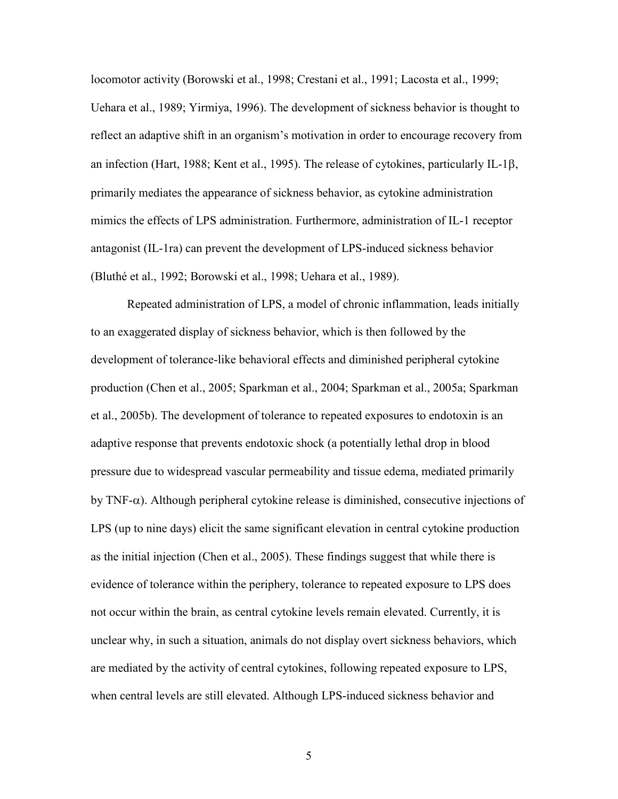locomotor activity (Borowski et al., 1998; Crestani et al., 1991; Lacosta et al., 1999; Uehara et al., 1989; Yirmiya, 1996). The development of sickness behavior is thought to reflect an adaptive shift in an organism's motivation in order to encourage recovery from an infection (Hart, 1988; Kent et al., 1995). The release of cytokines, particularly IL-1 $\beta$ , primarily mediates the appearance of sickness behavior, as cytokine administration mimics the effects of LPS administration. Furthermore, administration of IL-1 receptor antagonist (IL-1ra) can prevent the development of LPS-induced sickness behavior (Bluthé et al., 1992; Borowski et al., 1998; Uehara et al., 1989).

 Repeated administration of LPS, a model of chronic inflammation, leads initially to an exaggerated display of sickness behavior, which is then followed by the development of tolerance-like behavioral effects and diminished peripheral cytokine production (Chen et al., 2005; Sparkman et al., 2004; Sparkman et al., 2005a; Sparkman et al., 2005b). The development of tolerance to repeated exposures to endotoxin is an adaptive response that prevents endotoxic shock (a potentially lethal drop in blood pressure due to widespread vascular permeability and tissue edema, mediated primarily by  $TNF-\alpha$ ). Although peripheral cytokine release is diminished, consecutive injections of LPS (up to nine days) elicit the same significant elevation in central cytokine production as the initial injection (Chen et al., 2005). These findings suggest that while there is evidence of tolerance within the periphery, tolerance to repeated exposure to LPS does not occur within the brain, as central cytokine levels remain elevated. Currently, it is unclear why, in such a situation, animals do not display overt sickness behaviors, which are mediated by the activity of central cytokines, following repeated exposure to LPS, when central levels are still elevated. Although LPS-induced sickness behavior and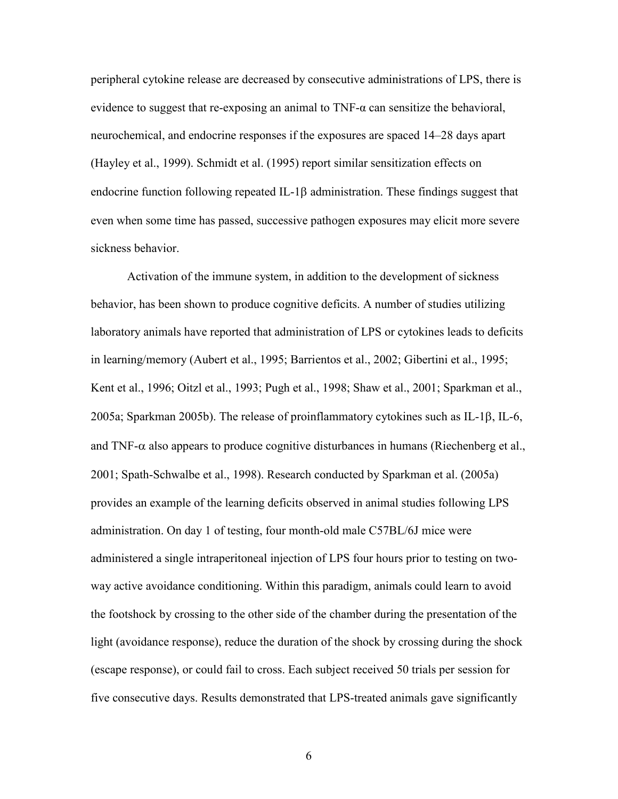peripheral cytokine release are decreased by consecutive administrations of LPS, there is evidence to suggest that re-exposing an animal to  $TNF-\alpha$  can sensitize the behavioral, neurochemical, and endocrine responses if the exposures are spaced 14–28 days apart (Hayley et al., 1999). Schmidt et al. (1995) report similar sensitization effects on endocrine function following repeated IL-1 $\beta$  administration. These findings suggest that even when some time has passed, successive pathogen exposures may elicit more severe sickness behavior.

Activation of the immune system, in addition to the development of sickness behavior, has been shown to produce cognitive deficits. A number of studies utilizing laboratory animals have reported that administration of LPS or cytokines leads to deficits in learning/memory (Aubert et al., 1995; Barrientos et al., 2002; Gibertini et al., 1995; Kent et al., 1996; Oitzl et al., 1993; Pugh et al., 1998; Shaw et al., 2001; Sparkman et al., 2005a; Sparkman 2005b). The release of proinflammatory cytokines such as IL-1 $\beta$ , IL-6, and TNF- $\alpha$  also appears to produce cognitive disturbances in humans (Riechenberg et al., 2001; Spath-Schwalbe et al., 1998). Research conducted by Sparkman et al. (2005a) provides an example of the learning deficits observed in animal studies following LPS administration. On day 1 of testing, four month-old male C57BL/6J mice were administered a single intraperitoneal injection of LPS four hours prior to testing on twoway active avoidance conditioning. Within this paradigm, animals could learn to avoid the footshock by crossing to the other side of the chamber during the presentation of the light (avoidance response), reduce the duration of the shock by crossing during the shock (escape response), or could fail to cross. Each subject received 50 trials per session for five consecutive days. Results demonstrated that LPS-treated animals gave significantly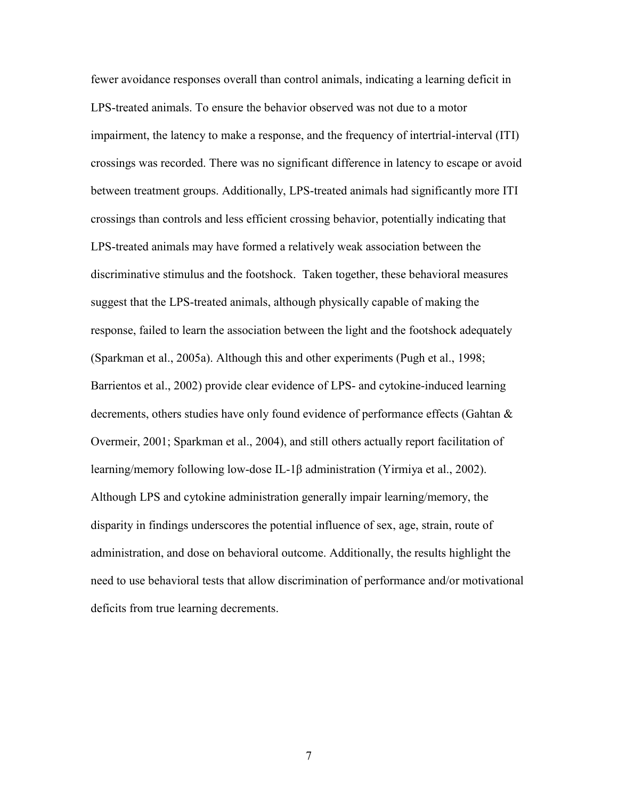fewer avoidance responses overall than control animals, indicating a learning deficit in LPS-treated animals. To ensure the behavior observed was not due to a motor impairment, the latency to make a response, and the frequency of intertrial-interval (ITI) crossings was recorded. There was no significant difference in latency to escape or avoid between treatment groups. Additionally, LPS-treated animals had significantly more ITI crossings than controls and less efficient crossing behavior, potentially indicating that LPS-treated animals may have formed a relatively weak association between the discriminative stimulus and the footshock. Taken together, these behavioral measures suggest that the LPS-treated animals, although physically capable of making the response, failed to learn the association between the light and the footshock adequately (Sparkman et al., 2005a). Although this and other experiments (Pugh et al., 1998; Barrientos et al., 2002) provide clear evidence of LPS- and cytokine-induced learning decrements, others studies have only found evidence of performance effects (Gahtan & Overmeir, 2001; Sparkman et al., 2004), and still others actually report facilitation of learning/memory following low-dose IL-1O administration (Yirmiya et al., 2002). Although LPS and cytokine administration generally impair learning/memory, the disparity in findings underscores the potential influence of sex, age, strain, route of administration, and dose on behavioral outcome. Additionally, the results highlight the need to use behavioral tests that allow discrimination of performance and/or motivational deficits from true learning decrements.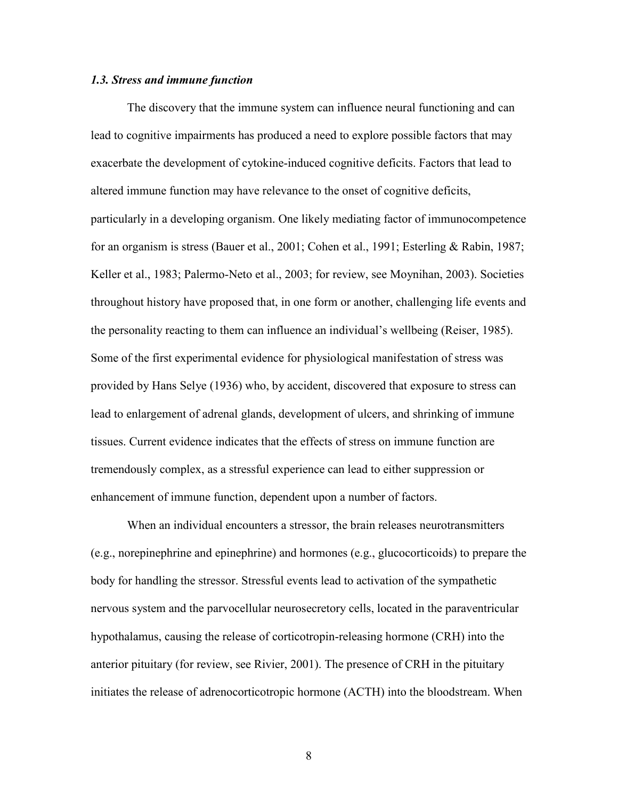## *1.3. Stress and immune function*

The discovery that the immune system can influence neural functioning and can lead to cognitive impairments has produced a need to explore possible factors that may exacerbate the development of cytokine-induced cognitive deficits. Factors that lead to altered immune function may have relevance to the onset of cognitive deficits, particularly in a developing organism. One likely mediating factor of immunocompetence for an organism is stress (Bauer et al., 2001; Cohen et al., 1991; Esterling & Rabin, 1987; Keller et al., 1983; Palermo-Neto et al., 2003; for review, see Moynihan, 2003). Societies throughout history have proposed that, in one form or another, challenging life events and the personality reacting to them can influence an individual's wellbeing (Reiser, 1985). Some of the first experimental evidence for physiological manifestation of stress was provided by Hans Selye (1936) who, by accident, discovered that exposure to stress can lead to enlargement of adrenal glands, development of ulcers, and shrinking of immune tissues. Current evidence indicates that the effects of stress on immune function are tremendously complex, as a stressful experience can lead to either suppression or enhancement of immune function, dependent upon a number of factors.

When an individual encounters a stressor, the brain releases neurotransmitters (e.g., norepinephrine and epinephrine) and hormones (e.g., glucocorticoids) to prepare the body for handling the stressor. Stressful events lead to activation of the sympathetic nervous system and the parvocellular neurosecretory cells, located in the paraventricular hypothalamus, causing the release of corticotropin-releasing hormone (CRH) into the anterior pituitary (for review, see Rivier, 2001). The presence of CRH in the pituitary initiates the release of adrenocorticotropic hormone (ACTH) into the bloodstream. When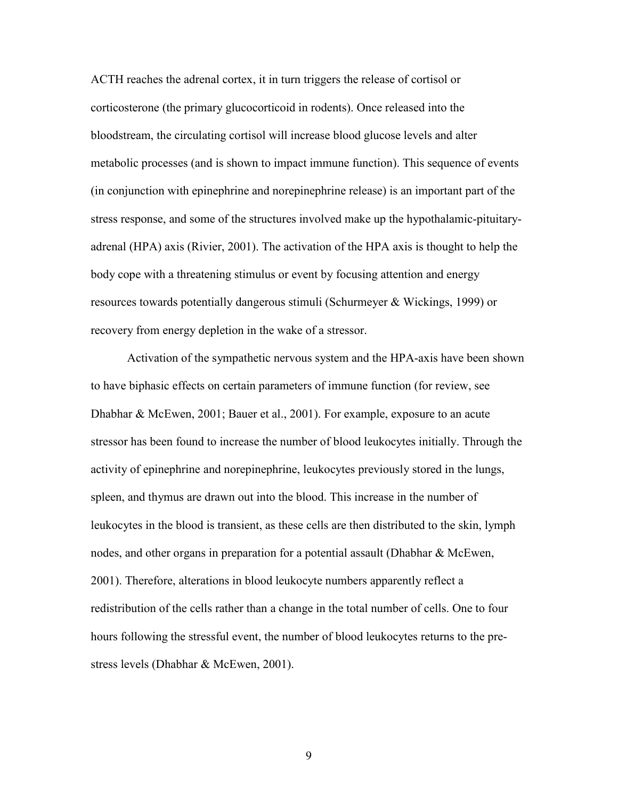ACTH reaches the adrenal cortex, it in turn triggers the release of cortisol or corticosterone (the primary glucocorticoid in rodents). Once released into the bloodstream, the circulating cortisol will increase blood glucose levels and alter metabolic processes (and is shown to impact immune function). This sequence of events (in conjunction with epinephrine and norepinephrine release) is an important part of the stress response, and some of the structures involved make up the hypothalamic-pituitaryadrenal (HPA) axis (Rivier, 2001). The activation of the HPA axis is thought to help the body cope with a threatening stimulus or event by focusing attention and energy resources towards potentially dangerous stimuli (Schurmeyer & Wickings, 1999) or recovery from energy depletion in the wake of a stressor.

Activation of the sympathetic nervous system and the HPA-axis have been shown to have biphasic effects on certain parameters of immune function (for review, see Dhabhar & McEwen, 2001; Bauer et al., 2001). For example, exposure to an acute stressor has been found to increase the number of blood leukocytes initially. Through the activity of epinephrine and norepinephrine, leukocytes previously stored in the lungs, spleen, and thymus are drawn out into the blood. This increase in the number of leukocytes in the blood is transient, as these cells are then distributed to the skin, lymph nodes, and other organs in preparation for a potential assault (Dhabhar & McEwen, 2001). Therefore, alterations in blood leukocyte numbers apparently reflect a redistribution of the cells rather than a change in the total number of cells. One to four hours following the stressful event, the number of blood leukocytes returns to the prestress levels (Dhabhar & McEwen, 2001).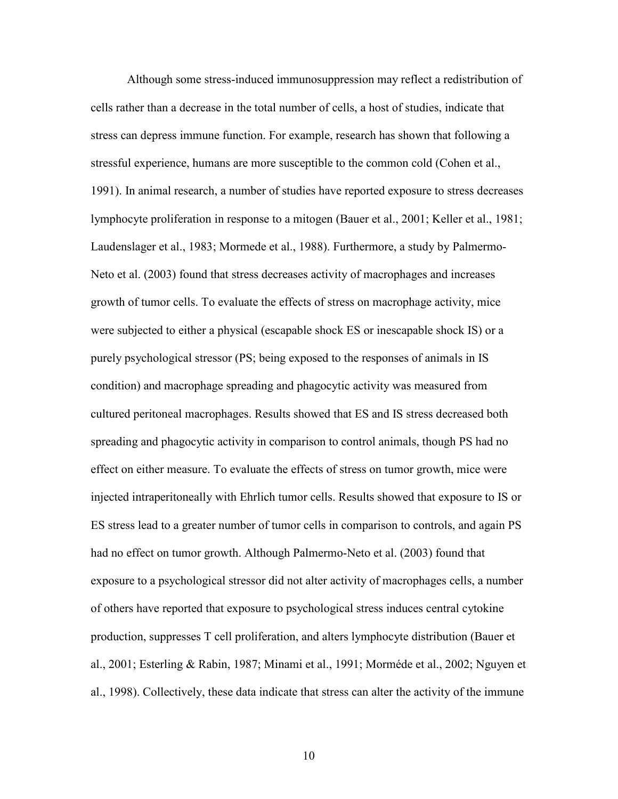Although some stress-induced immunosuppression may reflect a redistribution of cells rather than a decrease in the total number of cells, a host of studies, indicate that stress can depress immune function. For example, research has shown that following a stressful experience, humans are more susceptible to the common cold (Cohen et al., 1991). In animal research, a number of studies have reported exposure to stress decreases lymphocyte proliferation in response to a mitogen (Bauer et al., 2001; Keller et al., 1981; Laudenslager et al., 1983; Mormede et al., 1988). Furthermore, a study by Palmermo-Neto et al. (2003) found that stress decreases activity of macrophages and increases growth of tumor cells. To evaluate the effects of stress on macrophage activity, mice were subjected to either a physical (escapable shock ES or inescapable shock IS) or a purely psychological stressor (PS; being exposed to the responses of animals in IS condition) and macrophage spreading and phagocytic activity was measured from cultured peritoneal macrophages. Results showed that ES and IS stress decreased both spreading and phagocytic activity in comparison to control animals, though PS had no effect on either measure. To evaluate the effects of stress on tumor growth, mice were injected intraperitoneally with Ehrlich tumor cells. Results showed that exposure to IS or ES stress lead to a greater number of tumor cells in comparison to controls, and again PS had no effect on tumor growth. Although Palmermo-Neto et al. (2003) found that exposure to a psychological stressor did not alter activity of macrophages cells, a number of others have reported that exposure to psychological stress induces central cytokine production, suppresses T cell proliferation, and alters lymphocyte distribution (Bauer et al., 2001; Esterling & Rabin, 1987; Minami et al., 1991; Morméde et al., 2002; Nguyen et al., 1998). Collectively, these data indicate that stress can alter the activity of the immune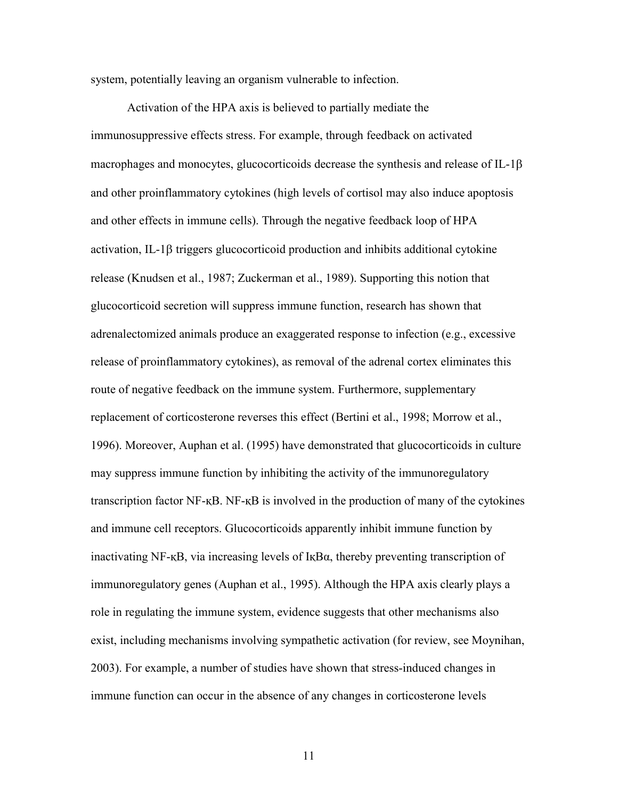system, potentially leaving an organism vulnerable to infection.

 Activation of the HPA axis is believed to partially mediate the immunosuppressive effects stress. For example, through feedback on activated macrophages and monocytes, glucocorticoids decrease the synthesis and release of IL-1 $\beta$ and other proinflammatory cytokines (high levels of cortisol may also induce apoptosis and other effects in immune cells). Through the negative feedback loop of HPA activation, IL-1 $\beta$  triggers glucocorticoid production and inhibits additional cytokine release (Knudsen et al., 1987; Zuckerman et al., 1989). Supporting this notion that glucocorticoid secretion will suppress immune function, research has shown that adrenalectomized animals produce an exaggerated response to infection (e.g., excessive release of proinflammatory cytokines), as removal of the adrenal cortex eliminates this route of negative feedback on the immune system. Furthermore, supplementary replacement of corticosterone reverses this effect (Bertini et al., 1998; Morrow et al., 1996). Moreover, Auphan et al. (1995) have demonstrated that glucocorticoids in culture may suppress immune function by inhibiting the activity of the immunoregulatory transcription factor NF- $K\text{B}$ . NF- $K\text{B}$  is involved in the production of many of the cytokines and immune cell receptors. Glucocorticoids apparently inhibit immune function by inactivating NF- $\kappa$ B, via increasing levels of  $I\kappa B\alpha$ , thereby preventing transcription of immunoregulatory genes (Auphan et al., 1995). Although the HPA axis clearly plays a role in regulating the immune system, evidence suggests that other mechanisms also exist, including mechanisms involving sympathetic activation (for review, see Moynihan, 2003). For example, a number of studies have shown that stress-induced changes in immune function can occur in the absence of any changes in corticosterone levels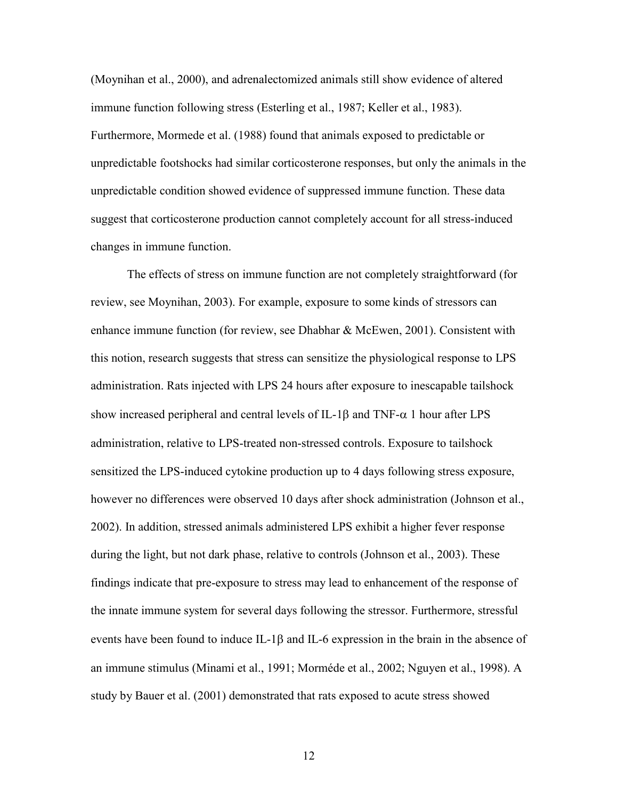(Moynihan et al., 2000), and adrenalectomized animals still show evidence of altered immune function following stress (Esterling et al., 1987; Keller et al., 1983). Furthermore, Mormede et al. (1988) found that animals exposed to predictable or unpredictable footshocks had similar corticosterone responses, but only the animals in the unpredictable condition showed evidence of suppressed immune function. These data suggest that corticosterone production cannot completely account for all stress-induced changes in immune function.

The effects of stress on immune function are not completely straightforward (for review, see Moynihan, 2003). For example, exposure to some kinds of stressors can enhance immune function (for review, see Dhabhar & McEwen, 2001). Consistent with this notion, research suggests that stress can sensitize the physiological response to LPS administration. Rats injected with LPS 24 hours after exposure to inescapable tailshock show increased peripheral and central levels of IL-1 $\beta$  and TNF- $\alpha$  1 hour after LPS administration, relative to LPS-treated non-stressed controls. Exposure to tailshock sensitized the LPS-induced cytokine production up to 4 days following stress exposure, however no differences were observed 10 days after shock administration (Johnson et al., 2002). In addition, stressed animals administered LPS exhibit a higher fever response during the light, but not dark phase, relative to controls (Johnson et al., 2003). These findings indicate that pre-exposure to stress may lead to enhancement of the response of the innate immune system for several days following the stressor. Furthermore, stressful events have been found to induce IL-1 $\beta$  and IL-6 expression in the brain in the absence of an immune stimulus (Minami et al., 1991; Morméde et al., 2002; Nguyen et al., 1998). A study by Bauer et al. (2001) demonstrated that rats exposed to acute stress showed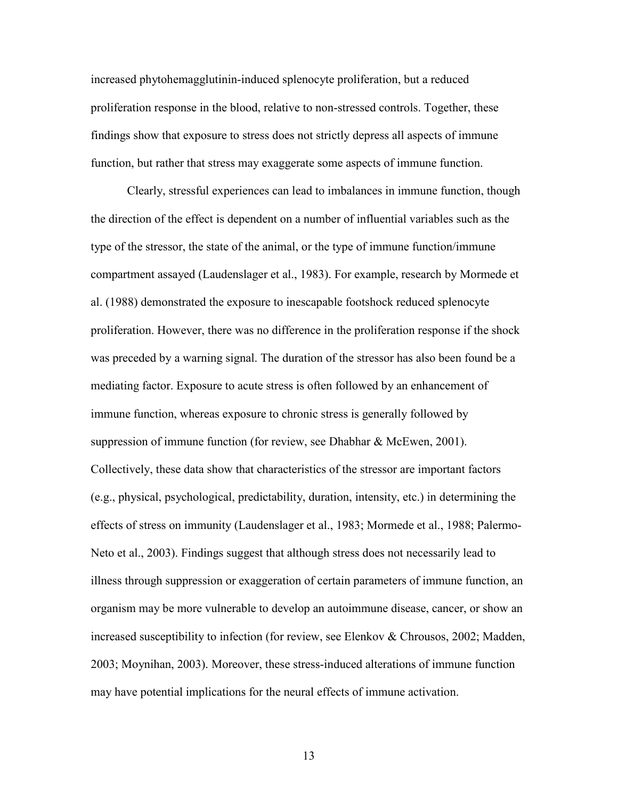increased phytohemagglutinin-induced splenocyte proliferation, but a reduced proliferation response in the blood, relative to non-stressed controls. Together, these findings show that exposure to stress does not strictly depress all aspects of immune function, but rather that stress may exaggerate some aspects of immune function.

 Clearly, stressful experiences can lead to imbalances in immune function, though the direction of the effect is dependent on a number of influential variables such as the type of the stressor, the state of the animal, or the type of immune function/immune compartment assayed (Laudenslager et al., 1983). For example, research by Mormede et al. (1988) demonstrated the exposure to inescapable footshock reduced splenocyte proliferation. However, there was no difference in the proliferation response if the shock was preceded by a warning signal. The duration of the stressor has also been found be a mediating factor. Exposure to acute stress is often followed by an enhancement of immune function, whereas exposure to chronic stress is generally followed by suppression of immune function (for review, see Dhabhar & McEwen, 2001). Collectively, these data show that characteristics of the stressor are important factors (e.g., physical, psychological, predictability, duration, intensity, etc.) in determining the effects of stress on immunity (Laudenslager et al., 1983; Mormede et al., 1988; Palermo-Neto et al., 2003). Findings suggest that although stress does not necessarily lead to illness through suppression or exaggeration of certain parameters of immune function, an organism may be more vulnerable to develop an autoimmune disease, cancer, or show an increased susceptibility to infection (for review, see Elenkov & Chrousos, 2002; Madden, 2003; Moynihan, 2003). Moreover, these stress-induced alterations of immune function may have potential implications for the neural effects of immune activation.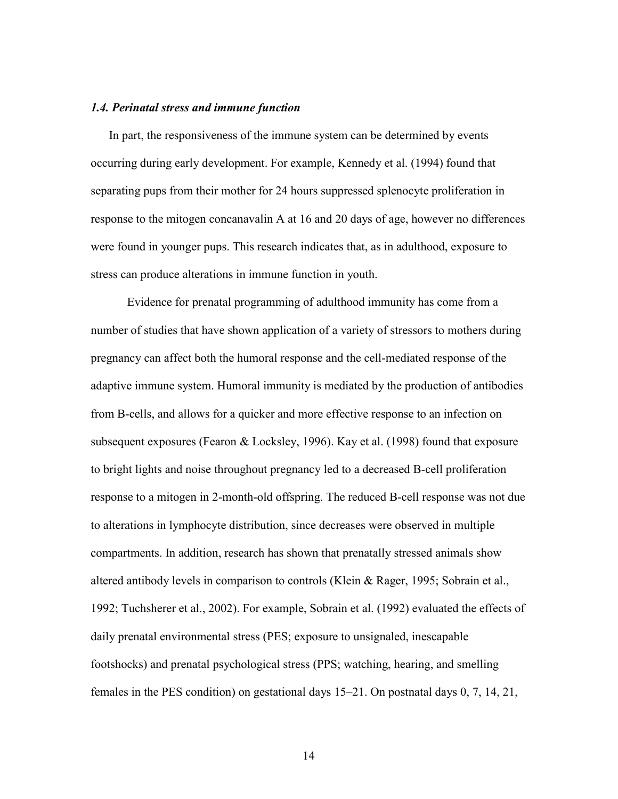## *1.4. Perinatal stress and immune function*

In part, the responsiveness of the immune system can be determined by events occurring during early development. For example, Kennedy et al. (1994) found that separating pups from their mother for 24 hours suppressed splenocyte proliferation in response to the mitogen concanavalin A at 16 and 20 days of age, however no differences were found in younger pups. This research indicates that, as in adulthood, exposure to stress can produce alterations in immune function in youth.

Evidence for prenatal programming of adulthood immunity has come from a number of studies that have shown application of a variety of stressors to mothers during pregnancy can affect both the humoral response and the cell-mediated response of the adaptive immune system. Humoral immunity is mediated by the production of antibodies from B-cells, and allows for a quicker and more effective response to an infection on subsequent exposures (Fearon & Locksley, 1996). Kay et al. (1998) found that exposure to bright lights and noise throughout pregnancy led to a decreased B-cell proliferation response to a mitogen in 2-month-old offspring. The reduced B-cell response was not due to alterations in lymphocyte distribution, since decreases were observed in multiple compartments. In addition, research has shown that prenatally stressed animals show altered antibody levels in comparison to controls (Klein & Rager, 1995; Sobrain et al., 1992; Tuchsherer et al., 2002). For example, Sobrain et al. (1992) evaluated the effects of daily prenatal environmental stress (PES; exposure to unsignaled, inescapable footshocks) and prenatal psychological stress (PPS; watching, hearing, and smelling females in the PES condition) on gestational days 15–21. On postnatal days 0, 7, 14, 21,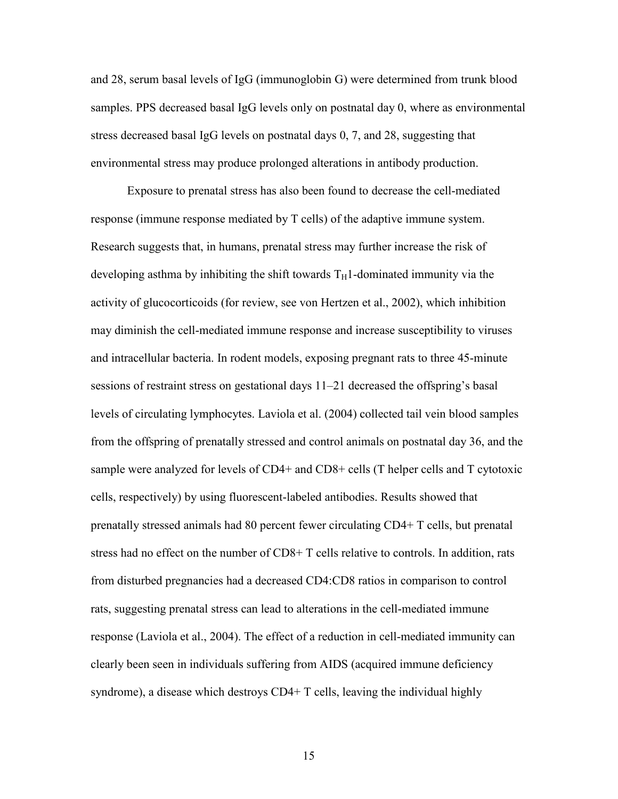and 28, serum basal levels of IgG (immunoglobin G) were determined from trunk blood samples. PPS decreased basal IgG levels only on postnatal day 0, where as environmental stress decreased basal IgG levels on postnatal days 0, 7, and 28, suggesting that environmental stress may produce prolonged alterations in antibody production.

 Exposure to prenatal stress has also been found to decrease the cell-mediated response (immune response mediated by T cells) of the adaptive immune system. Research suggests that, in humans, prenatal stress may further increase the risk of developing asthma by inhibiting the shift towards  $T_H1$ -dominated immunity via the activity of glucocorticoids (for review, see von Hertzen et al., 2002), which inhibition may diminish the cell-mediated immune response and increase susceptibility to viruses and intracellular bacteria. In rodent models, exposing pregnant rats to three 45-minute sessions of restraint stress on gestational days 11–21 decreased the offspring's basal levels of circulating lymphocytes. Laviola et al. (2004) collected tail vein blood samples from the offspring of prenatally stressed and control animals on postnatal day 36, and the sample were analyzed for levels of CD4+ and CD8+ cells (T helper cells and T cytotoxic cells, respectively) by using fluorescent-labeled antibodies. Results showed that prenatally stressed animals had 80 percent fewer circulating CD4+ T cells, but prenatal stress had no effect on the number of CD8+ T cells relative to controls. In addition, rats from disturbed pregnancies had a decreased CD4:CD8 ratios in comparison to control rats, suggesting prenatal stress can lead to alterations in the cell-mediated immune response (Laviola et al., 2004). The effect of a reduction in cell-mediated immunity can clearly been seen in individuals suffering from AIDS (acquired immune deficiency syndrome), a disease which destroys CD4+ T cells, leaving the individual highly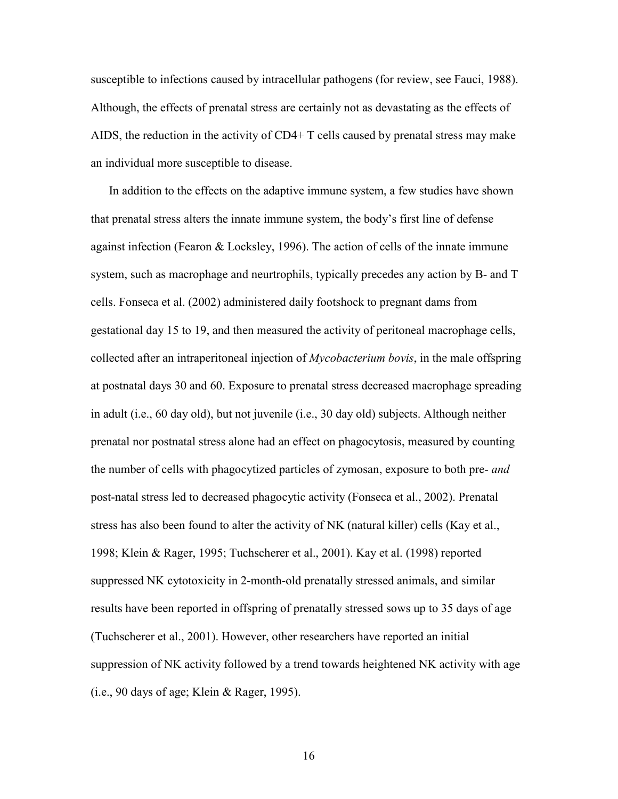susceptible to infections caused by intracellular pathogens (for review, see Fauci, 1988). Although, the effects of prenatal stress are certainly not as devastating as the effects of AIDS, the reduction in the activity of  $CD4+T$  cells caused by prenatal stress may make an individual more susceptible to disease.

In addition to the effects on the adaptive immune system, a few studies have shown that prenatal stress alters the innate immune system, the body's first line of defense against infection (Fearon & Locksley, 1996). The action of cells of the innate immune system, such as macrophage and neurtrophils, typically precedes any action by B- and T cells. Fonseca et al. (2002) administered daily footshock to pregnant dams from gestational day 15 to 19, and then measured the activity of peritoneal macrophage cells, collected after an intraperitoneal injection of *Mycobacterium bovis*, in the male offspring at postnatal days 30 and 60. Exposure to prenatal stress decreased macrophage spreading in adult (i.e., 60 day old), but not juvenile (i.e., 30 day old) subjects. Although neither prenatal nor postnatal stress alone had an effect on phagocytosis, measured by counting the number of cells with phagocytized particles of zymosan, exposure to both pre- *and* post-natal stress led to decreased phagocytic activity (Fonseca et al., 2002). Prenatal stress has also been found to alter the activity of NK (natural killer) cells (Kay et al., 1998; Klein & Rager, 1995; Tuchscherer et al., 2001). Kay et al. (1998) reported suppressed NK cytotoxicity in 2-month-old prenatally stressed animals, and similar results have been reported in offspring of prenatally stressed sows up to 35 days of age (Tuchscherer et al., 2001). However, other researchers have reported an initial suppression of NK activity followed by a trend towards heightened NK activity with age  $(i.e., 90 \text{ days of age};$  Klein & Rager, 1995).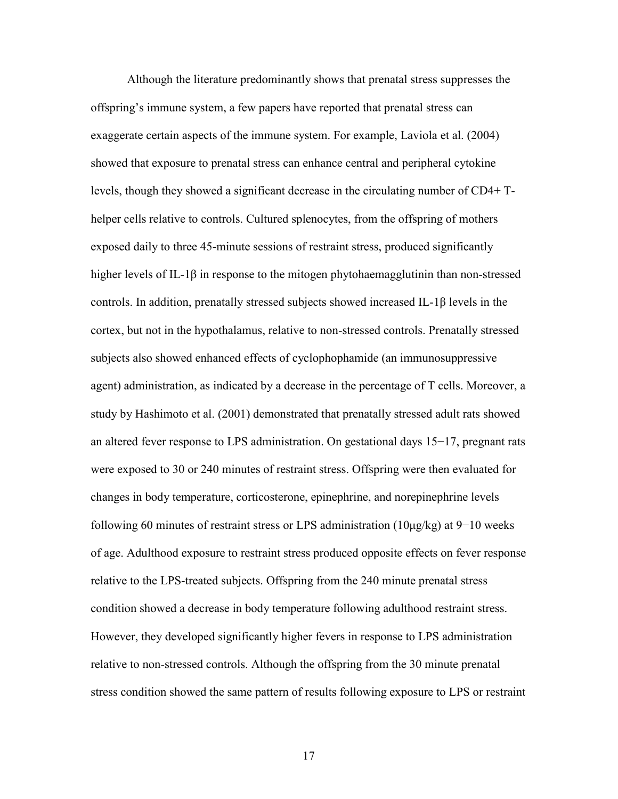Although the literature predominantly shows that prenatal stress suppresses the offspring's immune system, a few papers have reported that prenatal stress can exaggerate certain aspects of the immune system. For example, Laviola et al. (2004) showed that exposure to prenatal stress can enhance central and peripheral cytokine levels, though they showed a significant decrease in the circulating number of CD4+ Thelper cells relative to controls. Cultured splenocytes, from the offspring of mothers exposed daily to three 45-minute sessions of restraint stress, produced significantly higher levels of IL-1 $\beta$  in response to the mitogen phytohaemagglutinin than non-stressed controls. In addition, prenatally stressed subjects showed increased IL-1 $\beta$  levels in the cortex, but not in the hypothalamus, relative to non-stressed controls. Prenatally stressed subjects also showed enhanced effects of cyclophophamide (an immunosuppressive agent) administration, as indicated by a decrease in the percentage of T cells. Moreover, a study by Hashimoto et al. (2001) demonstrated that prenatally stressed adult rats showed an altered fever response to LPS administration. On gestational days  $15-17$ , pregnant rats were exposed to 30 or 240 minutes of restraint stress. Offspring were then evaluated for changes in body temperature, corticosterone, epinephrine, and norepinephrine levels following 60 minutes of restraint stress or LPS administration (10 $\mu$ g/kg) at 9-10 weeks of age. Adulthood exposure to restraint stress produced opposite effects on fever response relative to the LPS-treated subjects. Offspring from the 240 minute prenatal stress condition showed a decrease in body temperature following adulthood restraint stress. However, they developed significantly higher fevers in response to LPS administration relative to non-stressed controls. Although the offspring from the 30 minute prenatal stress condition showed the same pattern of results following exposure to LPS or restraint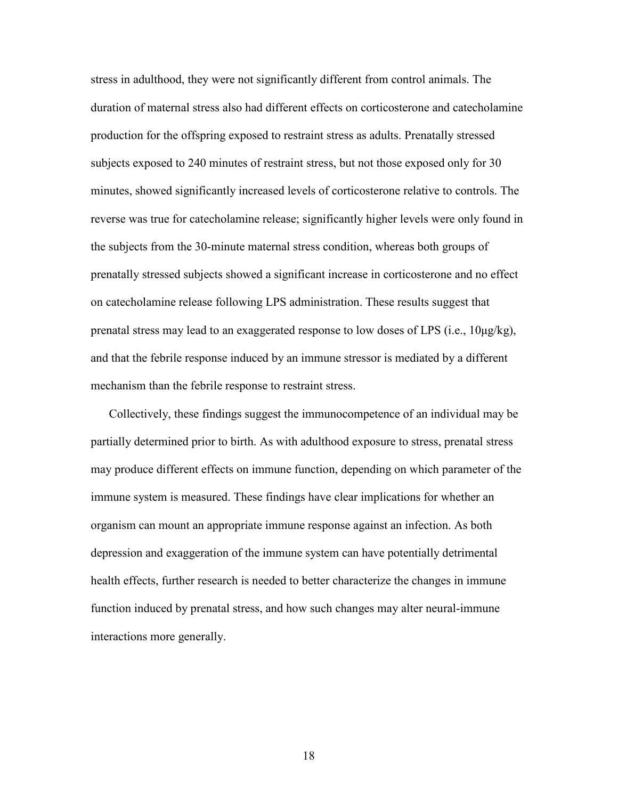stress in adulthood, they were not significantly different from control animals. The duration of maternal stress also had different effects on corticosterone and catecholamine production for the offspring exposed to restraint stress as adults. Prenatally stressed subjects exposed to 240 minutes of restraint stress, but not those exposed only for 30 minutes, showed significantly increased levels of corticosterone relative to controls. The reverse was true for catecholamine release; significantly higher levels were only found in the subjects from the 30-minute maternal stress condition, whereas both groups of prenatally stressed subjects showed a significant increase in corticosterone and no effect on catecholamine release following LPS administration. These results suggest that prenatal stress may lead to an exaggerated response to low doses of LPS (i.e.,  $10\mu g/kg$ ), and that the febrile response induced by an immune stressor is mediated by a different mechanism than the febrile response to restraint stress.

Collectively, these findings suggest the immunocompetence of an individual may be partially determined prior to birth. As with adulthood exposure to stress, prenatal stress may produce different effects on immune function, depending on which parameter of the immune system is measured. These findings have clear implications for whether an organism can mount an appropriate immune response against an infection. As both depression and exaggeration of the immune system can have potentially detrimental health effects, further research is needed to better characterize the changes in immune function induced by prenatal stress, and how such changes may alter neural-immune interactions more generally.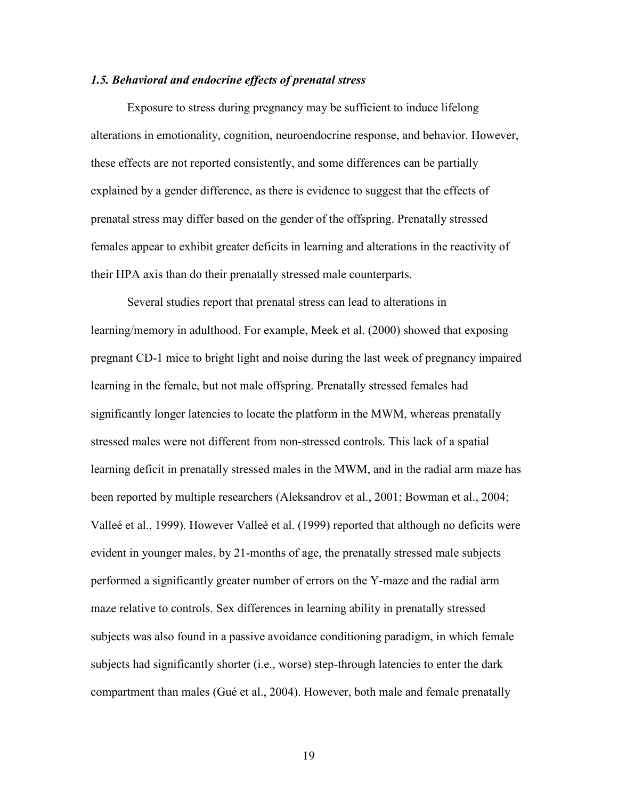## *1.5. Behavioral and endocrine effects of prenatal stress*

 Exposure to stress during pregnancy may be sufficient to induce lifelong alterations in emotionality, cognition, neuroendocrine response, and behavior. However, these effects are not reported consistently, and some differences can be partially explained by a gender difference, as there is evidence to suggest that the effects of prenatal stress may differ based on the gender of the offspring. Prenatally stressed females appear to exhibit greater deficits in learning and alterations in the reactivity of their HPA axis than do their prenatally stressed male counterparts.

 Several studies report that prenatal stress can lead to alterations in learning/memory in adulthood. For example, Meek et al. (2000) showed that exposing pregnant CD-1 mice to bright light and noise during the last week of pregnancy impaired learning in the female, but not male offspring. Prenatally stressed females had significantly longer latencies to locate the platform in the MWM, whereas prenatally stressed males were not different from non-stressed controls. This lack of a spatial learning deficit in prenatally stressed males in the MWM, and in the radial arm maze has been reported by multiple researchers (Aleksandrov et al., 2001; Bowman et al., 2004; Valleé et al., 1999). However Valleé et al. (1999) reported that although no deficits were evident in younger males, by 21-months of age, the prenatally stressed male subjects performed a significantly greater number of errors on the Y-maze and the radial arm maze relative to controls. Sex differences in learning ability in prenatally stressed subjects was also found in a passive avoidance conditioning paradigm, in which female subjects had significantly shorter (i.e., worse) step-through latencies to enter the dark compartment than males (Gué et al., 2004). However, both male and female prenatally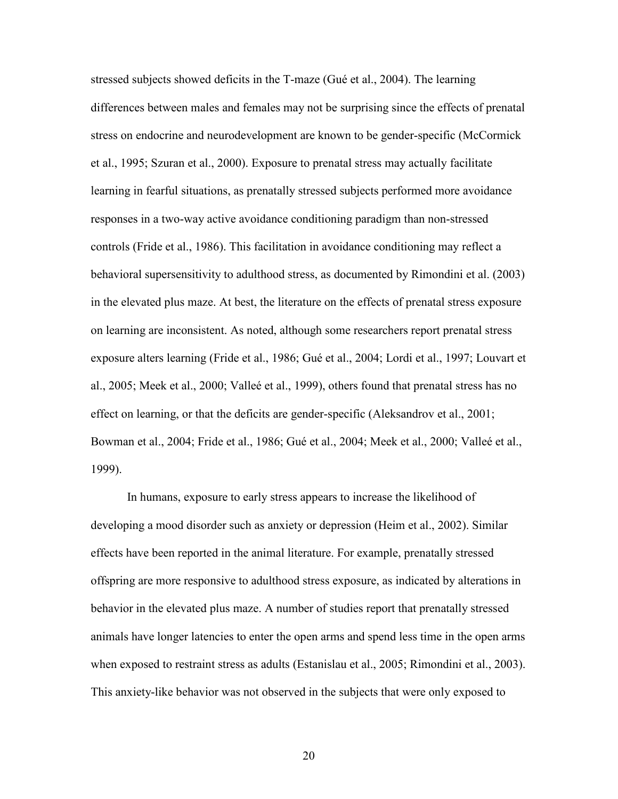stressed subjects showed deficits in the T-maze (Gué et al., 2004). The learning differences between males and females may not be surprising since the effects of prenatal stress on endocrine and neurodevelopment are known to be gender-specific (McCormick et al., 1995; Szuran et al., 2000). Exposure to prenatal stress may actually facilitate learning in fearful situations, as prenatally stressed subjects performed more avoidance responses in a two-way active avoidance conditioning paradigm than non-stressed controls (Fride et al., 1986). This facilitation in avoidance conditioning may reflect a behavioral supersensitivity to adulthood stress, as documented by Rimondini et al. (2003) in the elevated plus maze. At best, the literature on the effects of prenatal stress exposure on learning are inconsistent. As noted, although some researchers report prenatal stress exposure alters learning (Fride et al., 1986; Gué et al., 2004; Lordi et al., 1997; Louvart et al., 2005; Meek et al., 2000; Valleé et al., 1999), others found that prenatal stress has no effect on learning, or that the deficits are gender-specific (Aleksandrov et al., 2001; Bowman et al., 2004; Fride et al., 1986; Gué et al., 2004; Meek et al., 2000; Valleé et al., 1999).

 In humans, exposure to early stress appears to increase the likelihood of developing a mood disorder such as anxiety or depression (Heim et al., 2002). Similar effects have been reported in the animal literature. For example, prenatally stressed offspring are more responsive to adulthood stress exposure, as indicated by alterations in behavior in the elevated plus maze. A number of studies report that prenatally stressed animals have longer latencies to enter the open arms and spend less time in the open arms when exposed to restraint stress as adults (Estanislau et al., 2005; Rimondini et al., 2003). This anxiety-like behavior was not observed in the subjects that were only exposed to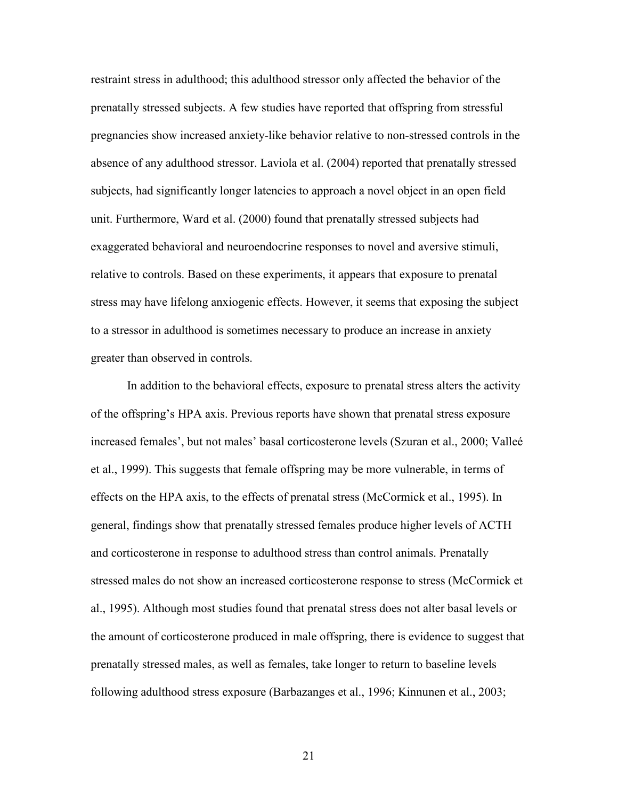restraint stress in adulthood; this adulthood stressor only affected the behavior of the prenatally stressed subjects. A few studies have reported that offspring from stressful pregnancies show increased anxiety-like behavior relative to non-stressed controls in the absence of any adulthood stressor. Laviola et al. (2004) reported that prenatally stressed subjects, had significantly longer latencies to approach a novel object in an open field unit. Furthermore, Ward et al. (2000) found that prenatally stressed subjects had exaggerated behavioral and neuroendocrine responses to novel and aversive stimuli, relative to controls. Based on these experiments, it appears that exposure to prenatal stress may have lifelong anxiogenic effects. However, it seems that exposing the subject to a stressor in adulthood is sometimes necessary to produce an increase in anxiety greater than observed in controls.

 In addition to the behavioral effects, exposure to prenatal stress alters the activity of the offspring's HPA axis. Previous reports have shown that prenatal stress exposure increased females', but not males' basal corticosterone levels (Szuran et al., 2000; Valleé et al., 1999). This suggests that female offspring may be more vulnerable, in terms of effects on the HPA axis, to the effects of prenatal stress (McCormick et al., 1995). In general, findings show that prenatally stressed females produce higher levels of ACTH and corticosterone in response to adulthood stress than control animals. Prenatally stressed males do not show an increased corticosterone response to stress (McCormick et al., 1995). Although most studies found that prenatal stress does not alter basal levels or the amount of corticosterone produced in male offspring, there is evidence to suggest that prenatally stressed males, as well as females, take longer to return to baseline levels following adulthood stress exposure (Barbazanges et al., 1996; Kinnunen et al., 2003;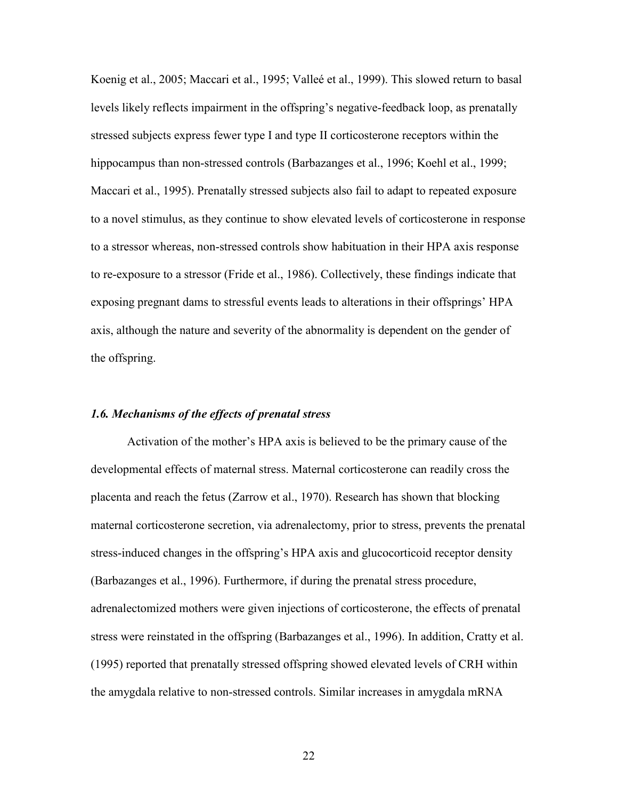Koenig et al., 2005; Maccari et al., 1995; Valleé et al., 1999). This slowed return to basal levels likely reflects impairment in the offspring's negative-feedback loop, as prenatally stressed subjects express fewer type I and type II corticosterone receptors within the hippocampus than non-stressed controls (Barbazanges et al., 1996; Koehl et al., 1999; Maccari et al., 1995). Prenatally stressed subjects also fail to adapt to repeated exposure to a novel stimulus, as they continue to show elevated levels of corticosterone in response to a stressor whereas, non-stressed controls show habituation in their HPA axis response to re-exposure to a stressor (Fride et al., 1986). Collectively, these findings indicate that exposing pregnant dams to stressful events leads to alterations in their offsprings' HPA axis, although the nature and severity of the abnormality is dependent on the gender of the offspring.

## *1.6. Mechanisms of the effects of prenatal stress*

Activation of the mother's HPA axis is believed to be the primary cause of the developmental effects of maternal stress. Maternal corticosterone can readily cross the placenta and reach the fetus (Zarrow et al., 1970). Research has shown that blocking maternal corticosterone secretion, via adrenalectomy, prior to stress, prevents the prenatal stress-induced changes in the offspring's HPA axis and glucocorticoid receptor density (Barbazanges et al., 1996). Furthermore, if during the prenatal stress procedure, adrenalectomized mothers were given injections of corticosterone, the effects of prenatal stress were reinstated in the offspring (Barbazanges et al., 1996). In addition, Cratty et al. (1995) reported that prenatally stressed offspring showed elevated levels of CRH within the amygdala relative to non-stressed controls. Similar increases in amygdala mRNA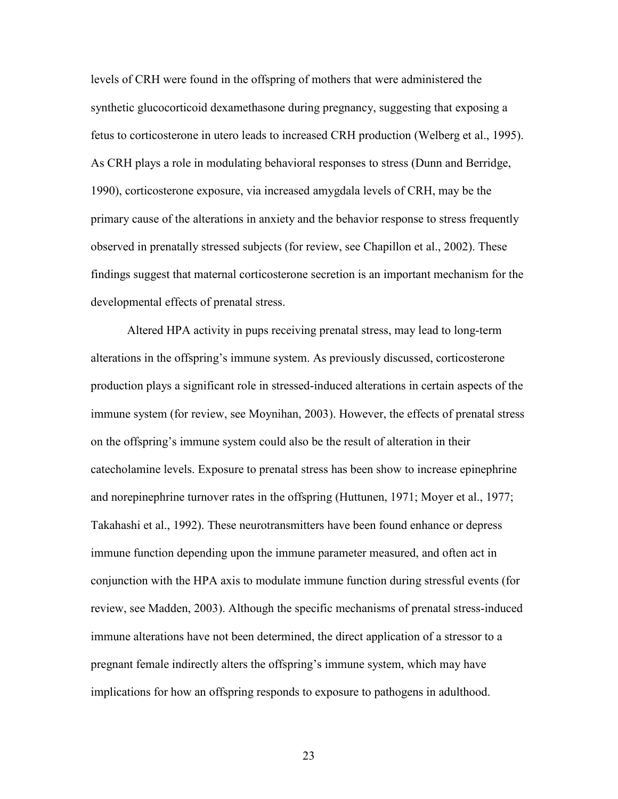levels of CRH were found in the offspring of mothers that were administered the synthetic glucocorticoid dexamethasone during pregnancy, suggesting that exposing a fetus to corticosterone in utero leads to increased CRH production (Welberg et al., 1995). As CRH plays a role in modulating behavioral responses to stress (Dunn and Berridge, 1990), corticosterone exposure, via increased amygdala levels of CRH, may be the primary cause of the alterations in anxiety and the behavior response to stress frequently observed in prenatally stressed subjects (for review, see Chapillon et al., 2002). These findings suggest that maternal corticosterone secretion is an important mechanism for the developmental effects of prenatal stress.

 Altered HPA activity in pups receiving prenatal stress, may lead to long-term alterations in the offspring's immune system. As previously discussed, corticosterone production plays a significant role in stressed-induced alterations in certain aspects of the immune system (for review, see Moynihan, 2003). However, the effects of prenatal stress on the offspring's immune system could also be the result of alteration in their catecholamine levels. Exposure to prenatal stress has been show to increase epinephrine and norepinephrine turnover rates in the offspring (Huttunen, 1971; Moyer et al., 1977; Takahashi et al., 1992). These neurotransmitters have been found enhance or depress immune function depending upon the immune parameter measured, and often act in conjunction with the HPA axis to modulate immune function during stressful events (for review, see Madden, 2003). Although the specific mechanisms of prenatal stress-induced immune alterations have not been determined, the direct application of a stressor to a pregnant female indirectly alters the offspring's immune system, which may have implications for how an offspring responds to exposure to pathogens in adulthood.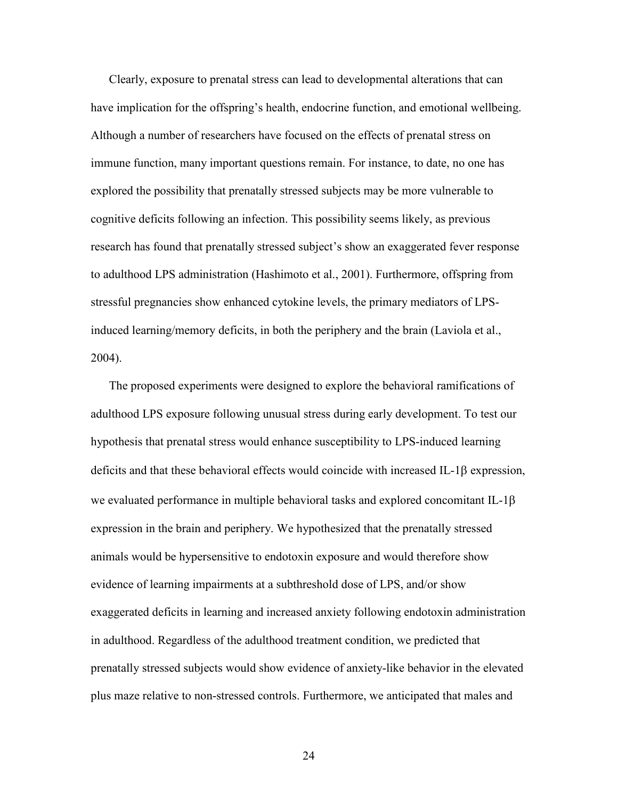Clearly, exposure to prenatal stress can lead to developmental alterations that can have implication for the offspring's health, endocrine function, and emotional wellbeing. Although a number of researchers have focused on the effects of prenatal stress on immune function, many important questions remain. For instance, to date, no one has explored the possibility that prenatally stressed subjects may be more vulnerable to cognitive deficits following an infection. This possibility seems likely, as previous research has found that prenatally stressed subject's show an exaggerated fever response to adulthood LPS administration (Hashimoto et al., 2001). Furthermore, offspring from stressful pregnancies show enhanced cytokine levels, the primary mediators of LPSinduced learning/memory deficits, in both the periphery and the brain (Laviola et al., 2004).

The proposed experiments were designed to explore the behavioral ramifications of adulthood LPS exposure following unusual stress during early development. To test our hypothesis that prenatal stress would enhance susceptibility to LPS-induced learning deficits and that these behavioral effects would coincide with increased IL-1 $\beta$  expression, we evaluated performance in multiple behavioral tasks and explored concomitant IL-1 $\beta$ expression in the brain and periphery. We hypothesized that the prenatally stressed animals would be hypersensitive to endotoxin exposure and would therefore show evidence of learning impairments at a subthreshold dose of LPS, and/or show exaggerated deficits in learning and increased anxiety following endotoxin administration in adulthood. Regardless of the adulthood treatment condition, we predicted that prenatally stressed subjects would show evidence of anxiety-like behavior in the elevated plus maze relative to non-stressed controls. Furthermore, we anticipated that males and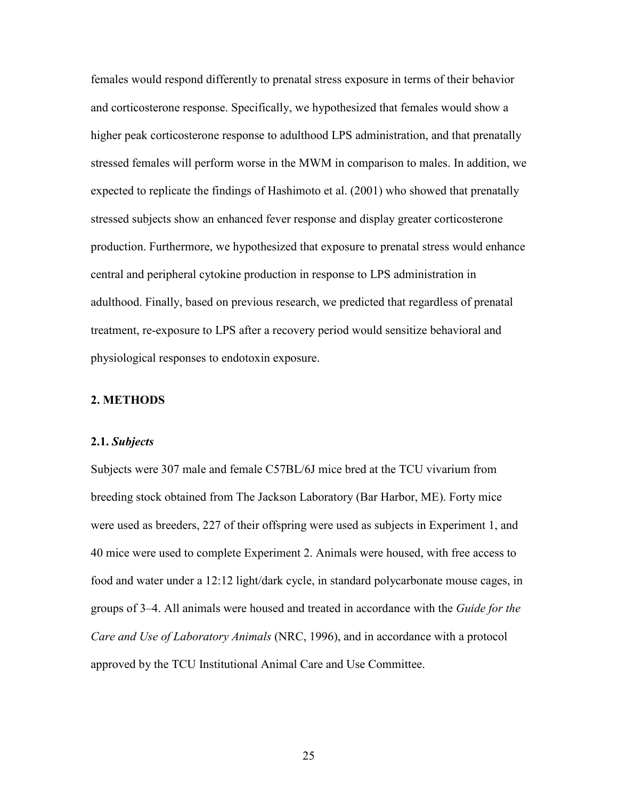females would respond differently to prenatal stress exposure in terms of their behavior and corticosterone response. Specifically, we hypothesized that females would show a higher peak corticosterone response to adulthood LPS administration, and that prenatally stressed females will perform worse in the MWM in comparison to males. In addition, we expected to replicate the findings of Hashimoto et al. (2001) who showed that prenatally stressed subjects show an enhanced fever response and display greater corticosterone production. Furthermore, we hypothesized that exposure to prenatal stress would enhance central and peripheral cytokine production in response to LPS administration in adulthood. Finally, based on previous research, we predicted that regardless of prenatal treatment, re-exposure to LPS after a recovery period would sensitize behavioral and physiological responses to endotoxin exposure.

# **2. METHODS**

#### **2.1.** *Subjects*

Subjects were 307 male and female C57BL/6J mice bred at the TCU vivarium from breeding stock obtained from The Jackson Laboratory (Bar Harbor, ME). Forty mice were used as breeders, 227 of their offspring were used as subjects in Experiment 1, and 40 mice were used to complete Experiment 2. Animals were housed, with free access to food and water under a 12:12 light/dark cycle, in standard polycarbonate mouse cages, in groups of 3–4. All animals were housed and treated in accordance with the *Guide for the Care and Use of Laboratory Animals* (NRC, 1996), and in accordance with a protocol approved by the TCU Institutional Animal Care and Use Committee.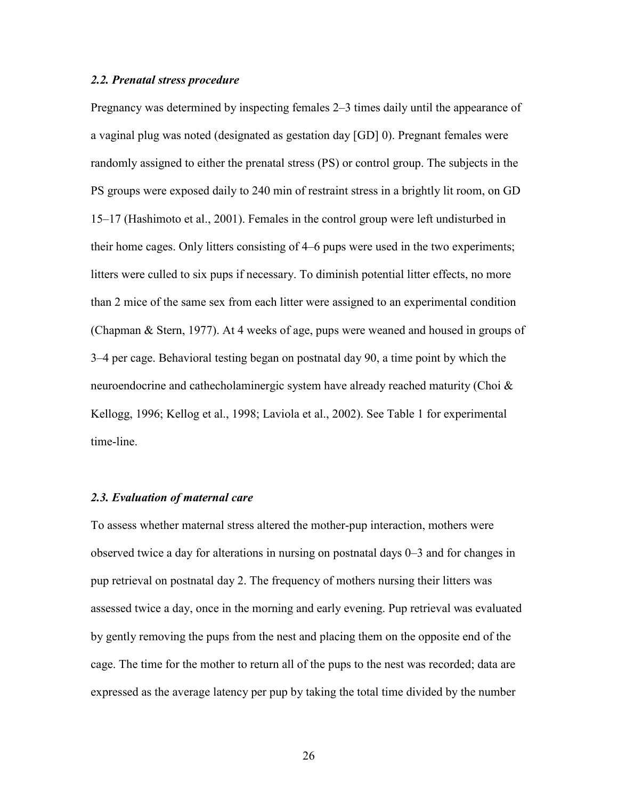## *2.2. Prenatal stress procedure*

Pregnancy was determined by inspecting females 2–3 times daily until the appearance of a vaginal plug was noted (designated as gestation day [GD] 0). Pregnant females were randomly assigned to either the prenatal stress (PS) or control group. The subjects in the PS groups were exposed daily to 240 min of restraint stress in a brightly lit room, on GD 15–17 (Hashimoto et al., 2001). Females in the control group were left undisturbed in their home cages. Only litters consisting of 4–6 pups were used in the two experiments; litters were culled to six pups if necessary. To diminish potential litter effects, no more than 2 mice of the same sex from each litter were assigned to an experimental condition (Chapman & Stern, 1977). At 4 weeks of age, pups were weaned and housed in groups of 3–4 per cage. Behavioral testing began on postnatal day 90, a time point by which the neuroendocrine and cathecholaminergic system have already reached maturity (Choi  $\&$ Kellogg, 1996; Kellog et al., 1998; Laviola et al., 2002). See Table 1 for experimental time-line.

## *2.3. Evaluation of maternal care*

To assess whether maternal stress altered the mother-pup interaction, mothers were observed twice a day for alterations in nursing on postnatal days 0–3 and for changes in pup retrieval on postnatal day 2. The frequency of mothers nursing their litters was assessed twice a day, once in the morning and early evening. Pup retrieval was evaluated by gently removing the pups from the nest and placing them on the opposite end of the cage. The time for the mother to return all of the pups to the nest was recorded; data are expressed as the average latency per pup by taking the total time divided by the number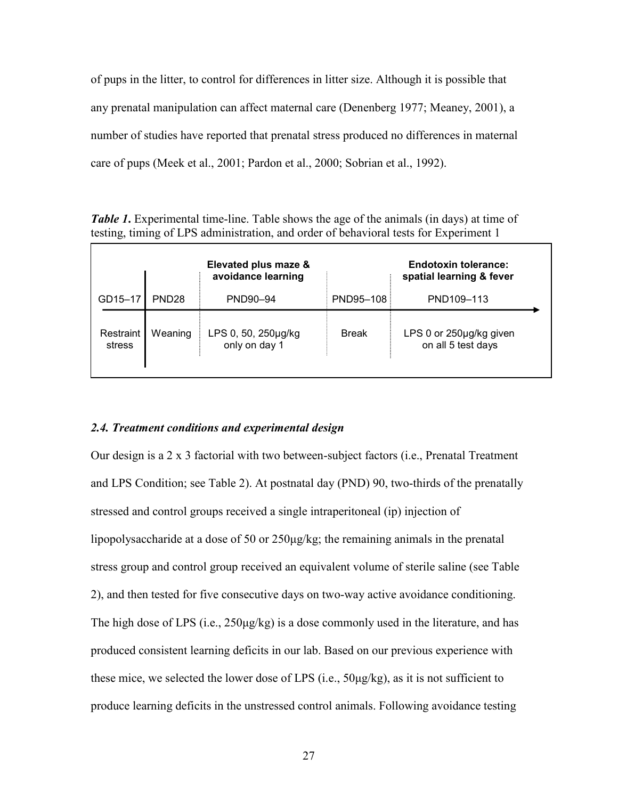of pups in the litter, to control for differences in litter size. Although it is possible that any prenatal manipulation can affect maternal care (Denenberg 1977; Meaney, 2001), a number of studies have reported that prenatal stress produced no differences in maternal care of pups (Meek et al., 2001; Pardon et al., 2000; Sobrian et al., 1992).

*Table 1***.** Experimental time-line. Table shows the age of the animals (in days) at time of testing, timing of LPS administration, and order of behavioral tests for Experiment 1

|                     |                   | Elevated plus maze &<br>avoidance learning |              | <b>Endotoxin tolerance:</b><br>spatial learning & fever |
|---------------------|-------------------|--------------------------------------------|--------------|---------------------------------------------------------|
| GD15-17             | PND <sub>28</sub> | PND90-94                                   | PND95-108    | PND109-113                                              |
| Restraint<br>stress | Weaning           | LPS 0, 50, 250µg/kg<br>only on day 1       | <b>Break</b> | LPS 0 or 250µg/kg given<br>on all 5 test days           |

# *2.4. Treatment conditions and experimental design*

Our design is a 2 x 3 factorial with two between-subject factors (i.e., Prenatal Treatment and LPS Condition; see Table 2). At postnatal day (PND) 90, two-thirds of the prenatally stressed and control groups received a single intraperitoneal (ip) injection of lipopolysaccharide at a dose of 50 or 250µg/kg; the remaining animals in the prenatal stress group and control group received an equivalent volume of sterile saline (see Table 2), and then tested for five consecutive days on two-way active avoidance conditioning. The high dose of LPS (i.e.,  $250\mu g/kg$ ) is a dose commonly used in the literature, and has produced consistent learning deficits in our lab. Based on our previous experience with these mice, we selected the lower dose of LPS (i.e., 50µg/kg), as it is not sufficient to produce learning deficits in the unstressed control animals. Following avoidance testing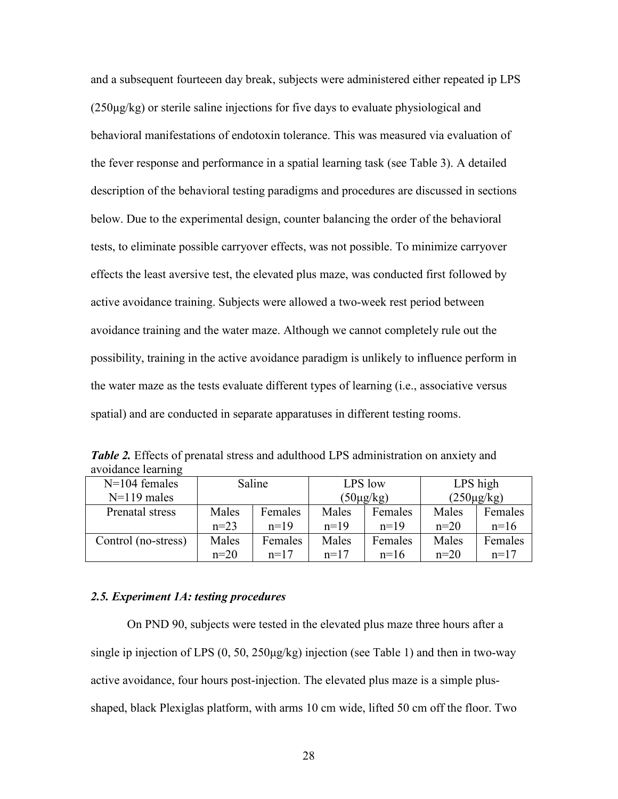and a subsequent fourteeen day break, subjects were administered either repeated ip LPS (250µg/kg) or sterile saline injections for five days to evaluate physiological and behavioral manifestations of endotoxin tolerance. This was measured via evaluation of the fever response and performance in a spatial learning task (see Table 3). A detailed description of the behavioral testing paradigms and procedures are discussed in sections below. Due to the experimental design, counter balancing the order of the behavioral tests, to eliminate possible carryover effects, was not possible. To minimize carryover effects the least aversive test, the elevated plus maze, was conducted first followed by active avoidance training. Subjects were allowed a two-week rest period between avoidance training and the water maze. Although we cannot completely rule out the possibility, training in the active avoidance paradigm is unlikely to influence perform in the water maze as the tests evaluate different types of learning (i.e., associative versus spatial) and are conducted in separate apparatuses in different testing rooms.

|                    | <b>Table 2.</b> Effects of prenatal stress and adulthood LPS administration on anxiety and |  |
|--------------------|--------------------------------------------------------------------------------------------|--|
| avoidance learning |                                                                                            |  |
|                    |                                                                                            |  |

| $N=104$ females     | Saline |         | LPS low        |         | LPS high        |         |
|---------------------|--------|---------|----------------|---------|-----------------|---------|
| $N=119$ males       |        |         | $(50\mu g/kg)$ |         | $(250\mu g/kg)$ |         |
| Prenatal stress     | Males  | Females | Males          | Females | Males           | Females |
|                     | $n=23$ | $n=19$  | $n=19$         | $n=19$  | $n=20$          | $n=16$  |
| Control (no-stress) | Males  | Females | Males          | Females | Males           | Females |
|                     | $n=20$ | $n=17$  | $n=17$         | $n=16$  | $n=20$          | $n=17$  |

## *2.5. Experiment 1A: testing procedures*

 On PND 90, subjects were tested in the elevated plus maze three hours after a single ip injection of LPS (0, 50, 250µg/kg) injection (see Table 1) and then in two-way active avoidance, four hours post-injection. The elevated plus maze is a simple plusshaped, black Plexiglas platform, with arms 10 cm wide, lifted 50 cm off the floor. Two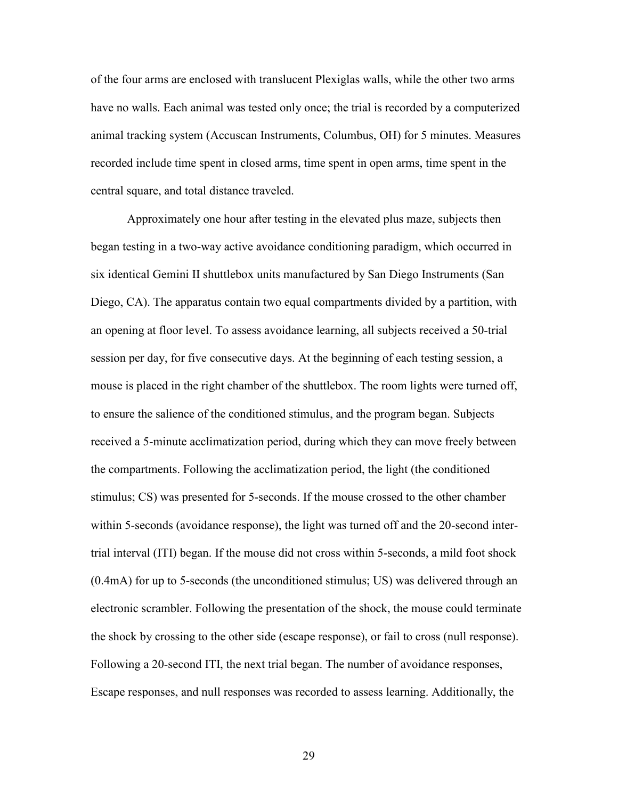of the four arms are enclosed with translucent Plexiglas walls, while the other two arms have no walls. Each animal was tested only once; the trial is recorded by a computerized animal tracking system (Accuscan Instruments, Columbus, OH) for 5 minutes. Measures recorded include time spent in closed arms, time spent in open arms, time spent in the central square, and total distance traveled.

 Approximately one hour after testing in the elevated plus maze, subjects then began testing in a two-way active avoidance conditioning paradigm, which occurred in six identical Gemini II shuttlebox units manufactured by San Diego Instruments (San Diego, CA). The apparatus contain two equal compartments divided by a partition, with an opening at floor level. To assess avoidance learning, all subjects received a 50-trial session per day, for five consecutive days. At the beginning of each testing session, a mouse is placed in the right chamber of the shuttlebox. The room lights were turned off, to ensure the salience of the conditioned stimulus, and the program began. Subjects received a 5-minute acclimatization period, during which they can move freely between the compartments. Following the acclimatization period, the light (the conditioned stimulus; CS) was presented for 5-seconds. If the mouse crossed to the other chamber within 5-seconds (avoidance response), the light was turned off and the 20-second intertrial interval (ITI) began. If the mouse did not cross within 5-seconds, a mild foot shock (0.4mA) for up to 5-seconds (the unconditioned stimulus; US) was delivered through an electronic scrambler. Following the presentation of the shock, the mouse could terminate the shock by crossing to the other side (escape response), or fail to cross (null response). Following a 20-second ITI, the next trial began. The number of avoidance responses, Escape responses, and null responses was recorded to assess learning. Additionally, the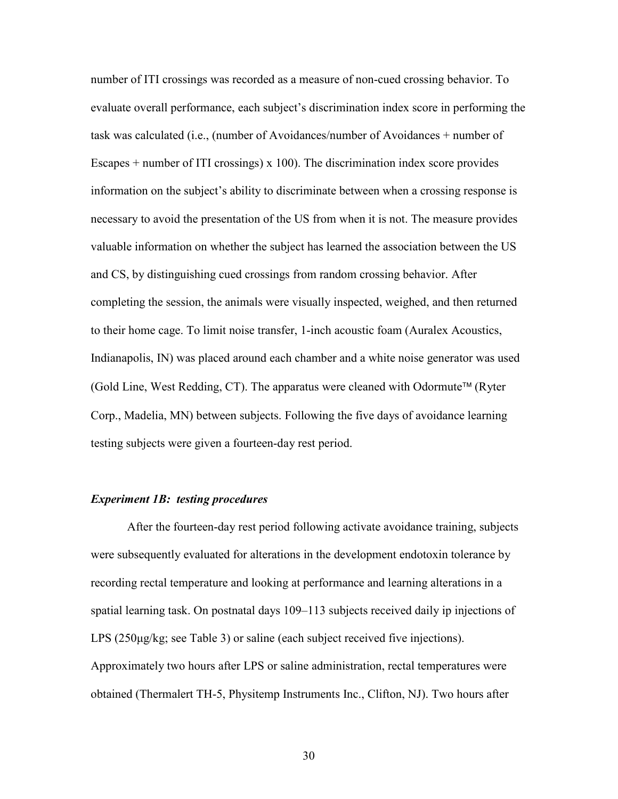number of ITI crossings was recorded as a measure of non-cued crossing behavior. To evaluate overall performance, each subject's discrimination index score in performing the task was calculated (i.e., (number of Avoidances/number of Avoidances + number of Escapes  $+$  number of ITI crossings) x 100). The discrimination index score provides information on the subject's ability to discriminate between when a crossing response is necessary to avoid the presentation of the US from when it is not. The measure provides valuable information on whether the subject has learned the association between the US and CS, by distinguishing cued crossings from random crossing behavior. After completing the session, the animals were visually inspected, weighed, and then returned to their home cage. To limit noise transfer, 1-inch acoustic foam (Auralex Acoustics, Indianapolis, IN) was placed around each chamber and a white noise generator was used  $(Gold Line, West Redding, CT)$ . The apparatus were cleaned with Odormute<sup>TM</sup> (Ryter Corp., Madelia, MN) between subjects. Following the five days of avoidance learning testing subjects were given a fourteen-day rest period.

## *Experiment 1B: testing procedures*

 After the fourteen-day rest period following activate avoidance training, subjects were subsequently evaluated for alterations in the development endotoxin tolerance by recording rectal temperature and looking at performance and learning alterations in a spatial learning task. On postnatal days 109–113 subjects received daily ip injections of LPS (250µg/kg; see Table 3) or saline (each subject received five injections). Approximately two hours after LPS or saline administration, rectal temperatures were obtained (Thermalert TH-5, Physitemp Instruments Inc., Clifton, NJ). Two hours after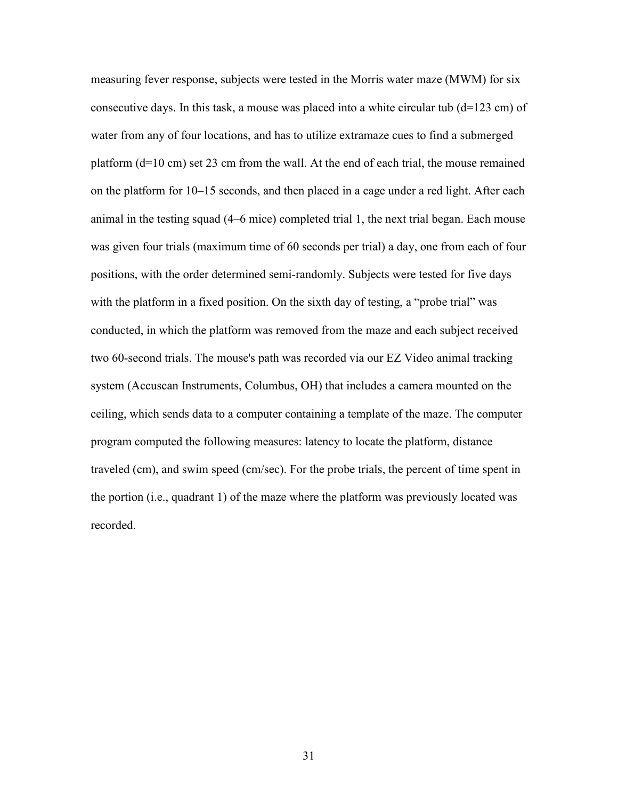measuring fever response, subjects were tested in the Morris water maze (MWM) for six consecutive days. In this task, a mouse was placed into a white circular tub (d=123 cm) of water from any of four locations, and has to utilize extramaze cues to find a submerged platform (d=10 cm) set 23 cm from the wall. At the end of each trial, the mouse remained on the platform for 10–15 seconds, and then placed in a cage under a red light. After each animal in the testing squad (4–6 mice) completed trial 1, the next trial began. Each mouse was given four trials (maximum time of 60 seconds per trial) a day, one from each of four positions, with the order determined semi-randomly. Subjects were tested for five days with the platform in a fixed position. On the sixth day of testing, a "probe trial" was conducted, in which the platform was removed from the maze and each subject received two 60-second trials. The mouse's path was recorded via our EZ Video animal tracking system (Accuscan Instruments, Columbus, OH) that includes a camera mounted on the ceiling, which sends data to a computer containing a template of the maze. The computer program computed the following measures: latency to locate the platform, distance traveled (cm), and swim speed (cm/sec). For the probe trials, the percent of time spent in the portion (i.e., quadrant 1) of the maze where the platform was previously located was recorded.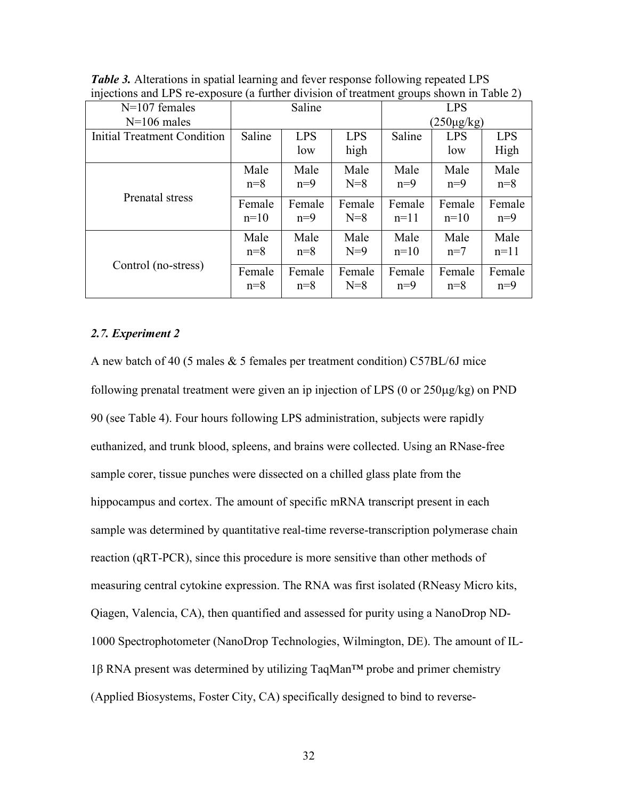| Saline |            | <b>LPS</b> |        |            |                 |
|--------|------------|------------|--------|------------|-----------------|
|        |            |            |        |            |                 |
| Saline | <b>LPS</b> | <b>LPS</b> | Saline | <b>LPS</b> | <b>LPS</b>      |
|        | low        | high       |        | low        | High            |
| Male   | Male       | Male       | Male   | Male       | Male            |
| $n=8$  | $n=9$      | $N=8$      | $n=9$  | $n=9$      | $n=8$           |
| Female | Female     | Female     | Female | Female     | Female          |
| $n=10$ | $n=9$      | $N=8$      | $n=11$ | $n=10$     | $n=9$           |
| Male   | Male       | Male       | Male   | Male       | Male            |
| $n=8$  | $n=8$      | $N=9$      | $n=10$ | $n=7$      | $n=11$          |
| Female | Female     | Female     | Female | Female     | Female          |
| $n=8$  | $n=8$      | $N=8$      | $n=9$  | $n=8$      | $n=9$           |
|        |            |            |        |            | $(250\mu g/kg)$ |

*Table 3.* Alterations in spatial learning and fever response following repeated LPS injections and LPS re-exposure (a further division of treatment groups shown in Table 2)

# *2.7. Experiment 2*

A new batch of 40 (5 males & 5 females per treatment condition) C57BL/6J mice following prenatal treatment were given an ip injection of LPS (0 or 250µg/kg) on PND 90 (see Table 4). Four hours following LPS administration, subjects were rapidly euthanized, and trunk blood, spleens, and brains were collected. Using an RNase-free sample corer, tissue punches were dissected on a chilled glass plate from the hippocampus and cortex. The amount of specific mRNA transcript present in each sample was determined by quantitative real-time reverse-transcription polymerase chain reaction (qRT-PCR), since this procedure is more sensitive than other methods of measuring central cytokine expression. The RNA was first isolated (RNeasy Micro kits, Qiagen, Valencia, CA), then quantified and assessed for purity using a NanoDrop ND-1000 Spectrophotometer (NanoDrop Technologies, Wilmington, DE). The amount of IL- $1\beta$  RNA present was determined by utilizing TaqMan<sup>TM</sup> probe and primer chemistry (Applied Biosystems, Foster City, CA) specifically designed to bind to reverse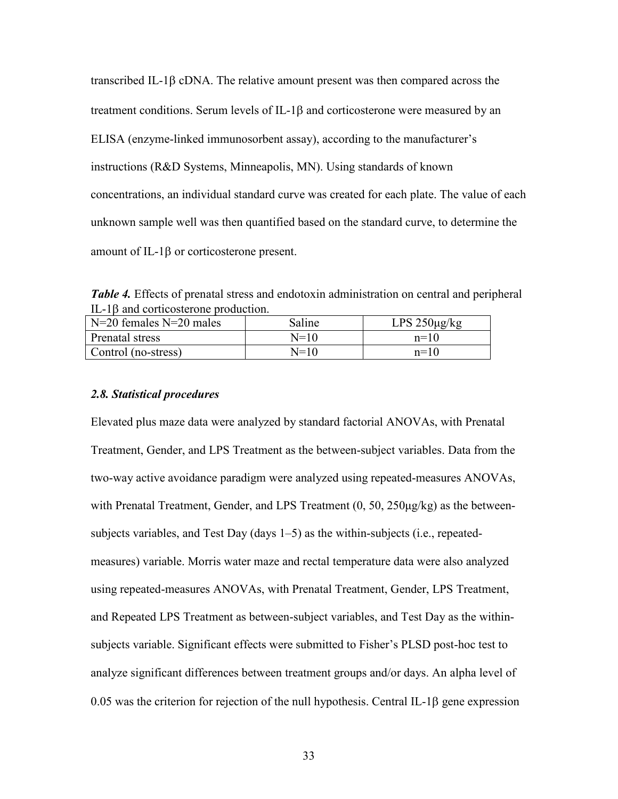transcribed IL-1 $\beta$  cDNA. The relative amount present was then compared across the treatment conditions. Serum levels of IL-1 $\beta$  and corticosterone were measured by an ELISA (enzyme-linked immunosorbent assay), according to the manufacturer's instructions (R&D Systems, Minneapolis, MN). Using standards of known concentrations, an individual standard curve was created for each plate. The value of each unknown sample well was then quantified based on the standard curve, to determine the amount of IL-1<sub>B</sub> or corticosterone present.

*Table 4.* Effects of prenatal stress and endotoxin administration on central and peripheral IL-18 and corticosterone production.

| $\vert$ N=20 females N=20 males | Saline | $LPS 250\mu g/kg$ |
|---------------------------------|--------|-------------------|
| Prenatal stress                 | $N=10$ | $n=1$ ()          |
| Control (no-stress)             | $N=10$ | $n=10$            |

### *2.8. Statistical procedures*

Elevated plus maze data were analyzed by standard factorial ANOVAs, with Prenatal Treatment, Gender, and LPS Treatment as the between-subject variables. Data from the two-way active avoidance paradigm were analyzed using repeated-measures ANOVAs, with Prenatal Treatment, Gender, and LPS Treatment  $(0, 50, 250\mu g/kg)$  as the betweensubjects variables, and Test Day (days 1–5) as the within-subjects (i.e., repeatedmeasures) variable. Morris water maze and rectal temperature data were also analyzed using repeated-measures ANOVAs, with Prenatal Treatment, Gender, LPS Treatment, and Repeated LPS Treatment as between-subject variables, and Test Day as the withinsubjects variable. Significant effects were submitted to Fisher's PLSD post-hoc test to analyze significant differences between treatment groups and/or days. An alpha level of 0.05 was the criterion for rejection of the null hypothesis. Central IL-1<sub>8</sub> gene expression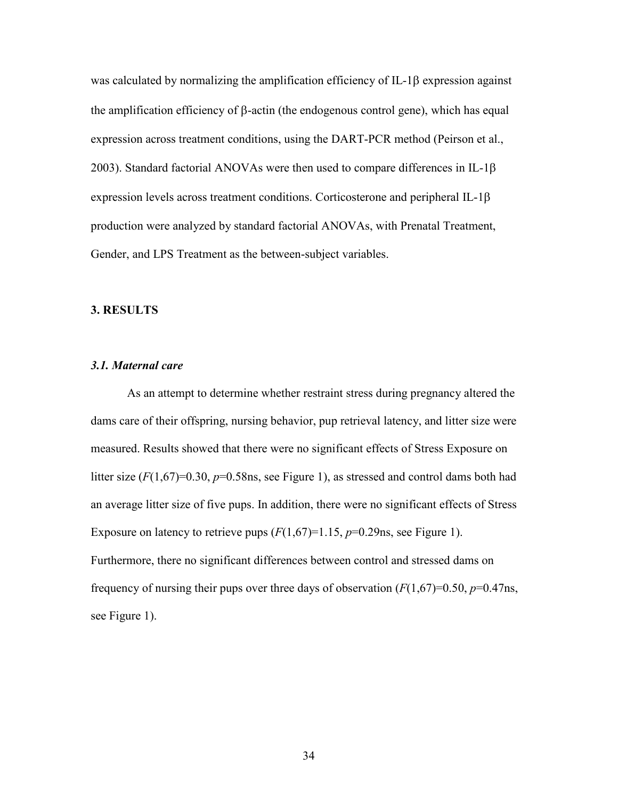was calculated by normalizing the amplification efficiency of IL-1 $\beta$  expression against the amplification efficiency of  $\beta$ -actin (the endogenous control gene), which has equal expression across treatment conditions, using the DART-PCR method (Peirson et al., 2003). Standard factorial ANOVAs were then used to compare differences in IL-1 $\beta$ expression levels across treatment conditions. Corticosterone and peripheral IL-1 $\beta$ production were analyzed by standard factorial ANOVAs, with Prenatal Treatment, Gender, and LPS Treatment as the between-subject variables.

### **3. RESULTS**

### *3.1. Maternal care*

As an attempt to determine whether restraint stress during pregnancy altered the dams care of their offspring, nursing behavior, pup retrieval latency, and litter size were measured. Results showed that there were no significant effects of Stress Exposure on litter size  $(F(1,67)=0.30, p=0.58$ ns, see Figure 1), as stressed and control dams both had an average litter size of five pups. In addition, there were no significant effects of Stress Exposure on latency to retrieve pups  $(F(1,67)=1.15, p=0.29$ ns, see Figure 1). Furthermore, there no significant differences between control and stressed dams on frequency of nursing their pups over three days of observation (*F*(1,67)=0.50, *p*=0.47ns, see Figure 1).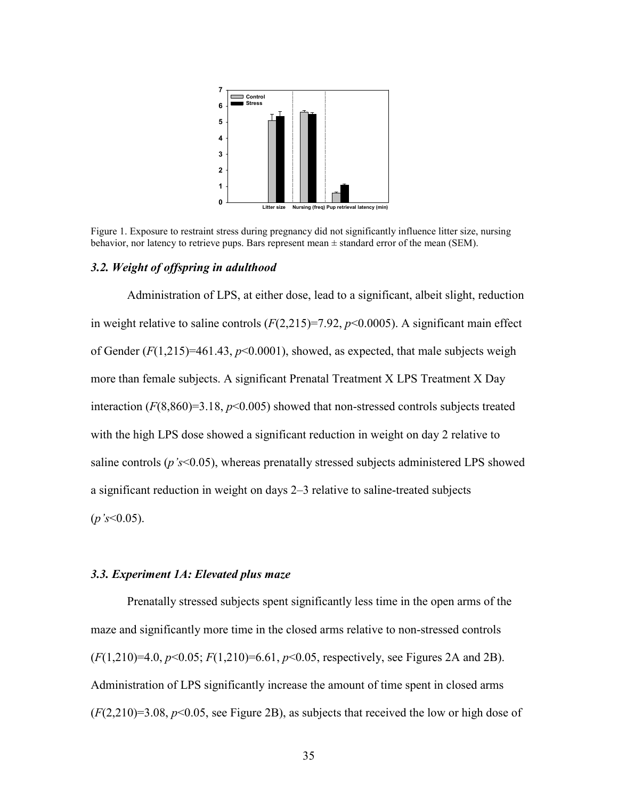

Figure 1. Exposure to restraint stress during pregnancy did not significantly influence litter size, nursing behavior, nor latency to retrieve pups. Bars represent mean  $\pm$  standard error of the mean (SEM).

### *3.2. Weight of offspring in adulthood*

 Administration of LPS, at either dose, lead to a significant, albeit slight, reduction in weight relative to saline controls  $(F(2, 215)=7.92, p<0.0005)$ . A significant main effect of Gender  $(F(1,215)=461.43, p<0.0001)$ , showed, as expected, that male subjects weigh more than female subjects. A significant Prenatal Treatment X LPS Treatment X Day interaction (*F*(8,860)=3.18, *p*<0.005) showed that non-stressed controls subjects treated with the high LPS dose showed a significant reduction in weight on day 2 relative to saline controls (*p's*<0.05), whereas prenatally stressed subjects administered LPS showed a significant reduction in weight on days 2–3 relative to saline-treated subjects (*p's*<0.05).

# *3.3. Experiment 1A: Elevated plus maze*

Prenatally stressed subjects spent significantly less time in the open arms of the maze and significantly more time in the closed arms relative to non-stressed controls (*F*(1,210)=4.0, *p*<0.05; *F*(1,210)=6.61, *p*<0.05, respectively, see Figures 2A and 2B). Administration of LPS significantly increase the amount of time spent in closed arms  $(F(2,210)=3.08, p<0.05,$  see Figure 2B), as subjects that received the low or high dose of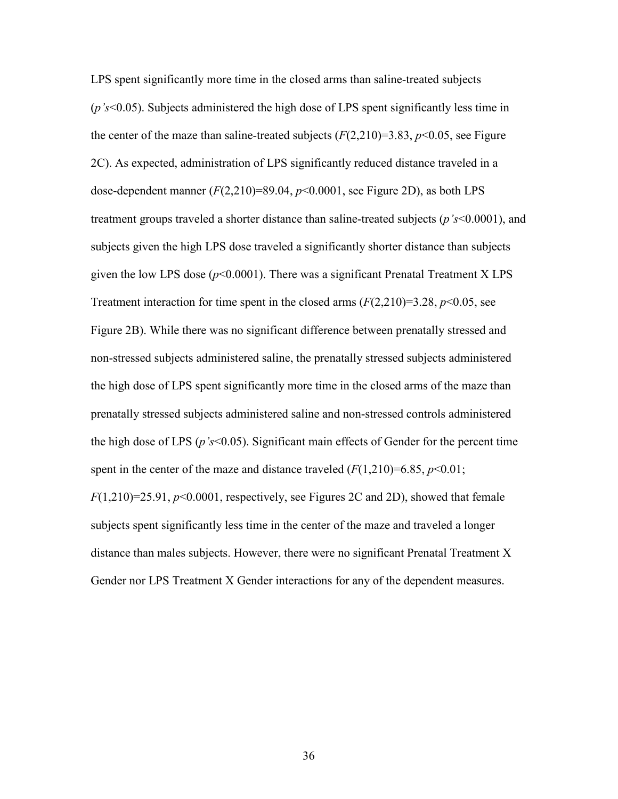LPS spent significantly more time in the closed arms than saline-treated subjects (*p's*<0.05). Subjects administered the high dose of LPS spent significantly less time in the center of the maze than saline-treated subjects  $(F(2,210)=3.83, p<0.05,$  see Figure 2C). As expected, administration of LPS significantly reduced distance traveled in a dose-dependent manner  $(F(2,210)=89.04, p<0.0001,$  see Figure 2D), as both LPS treatment groups traveled a shorter distance than saline-treated subjects (*p's*<0.0001), and subjects given the high LPS dose traveled a significantly shorter distance than subjects given the low LPS dose (*p*<0.0001). There was a significant Prenatal Treatment X LPS Treatment interaction for time spent in the closed arms  $(F(2,210)=3.28, p<0.05,$  see Figure 2B). While there was no significant difference between prenatally stressed and non-stressed subjects administered saline, the prenatally stressed subjects administered the high dose of LPS spent significantly more time in the closed arms of the maze than prenatally stressed subjects administered saline and non-stressed controls administered the high dose of LPS (*p's*<0.05). Significant main effects of Gender for the percent time spent in the center of the maze and distance traveled  $(F(1,210)=6.85, p<0.01;$ *F*(1,210)=25.91, *p*<0.0001, respectively, see Figures 2C and 2D), showed that female subjects spent significantly less time in the center of the maze and traveled a longer distance than males subjects. However, there were no significant Prenatal Treatment X

Gender nor LPS Treatment X Gender interactions for any of the dependent measures.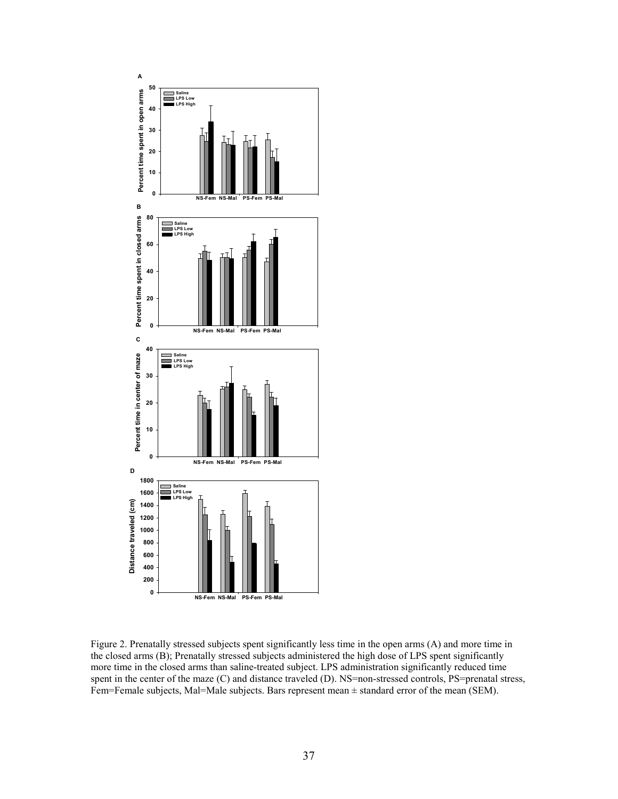

Figure 2. Prenatally stressed subjects spent significantly less time in the open arms (A) and more time in the closed arms (B); Prenatally stressed subjects administered the high dose of LPS spent significantly more time in the closed arms than saline-treated subject. LPS administration significantly reduced time spent in the center of the maze (C) and distance traveled (D). NS=non-stressed controls, PS=prenatal stress, Fem=Female subjects, Mal=Male subjects. Bars represent mean ± standard error of the mean (SEM).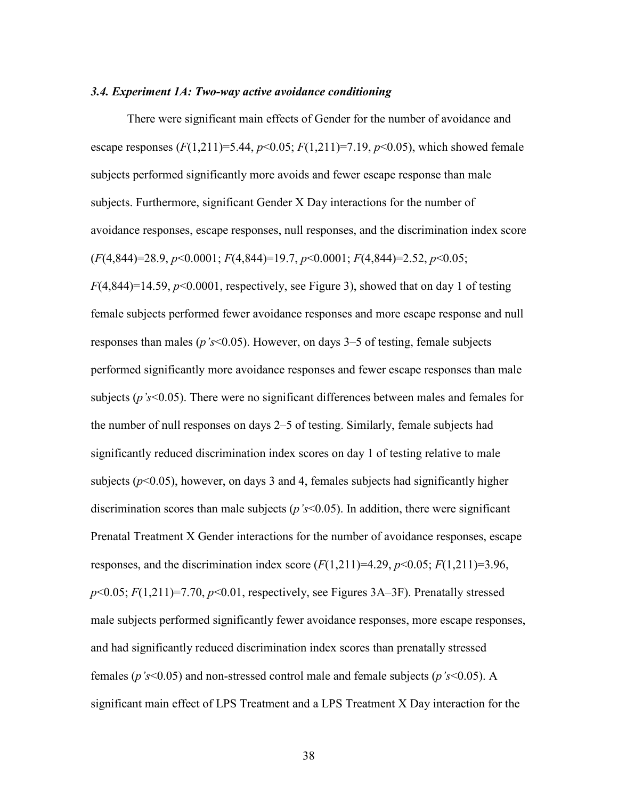#### *3.4. Experiment 1A: Two-way active avoidance conditioning*

There were significant main effects of Gender for the number of avoidance and escape responses  $(F(1,211)=5.44, p<0.05; F(1,211)=7.19, p<0.05)$ , which showed female subjects performed significantly more avoids and fewer escape response than male subjects. Furthermore, significant Gender X Day interactions for the number of avoidance responses, escape responses, null responses, and the discrimination index score (*F*(4,844)=28.9, *p*<0.0001; *F*(4,844)=19.7, *p*<0.0001; *F*(4,844)=2.52, *p*<0.05;  $F(4,844)=14.59, p<0.0001$ , respectively, see Figure 3), showed that on day 1 of testing female subjects performed fewer avoidance responses and more escape response and null responses than males (*p's*<0.05). However, on days 3–5 of testing, female subjects performed significantly more avoidance responses and fewer escape responses than male subjects (*p's*<0.05). There were no significant differences between males and females for the number of null responses on days 2–5 of testing. Similarly, female subjects had significantly reduced discrimination index scores on day 1 of testing relative to male subjects ( $p<0.05$ ), however, on days 3 and 4, females subjects had significantly higher discrimination scores than male subjects (*p's*<0.05). In addition, there were significant Prenatal Treatment X Gender interactions for the number of avoidance responses, escape responses, and the discrimination index score  $(F(1,211)=4.29, p<0.05; F(1,211)=3.96,$  $p<0.05$ ;  $F(1,211)=7.70$ ,  $p<0.01$ , respectively, see Figures 3A–3F). Prenatally stressed male subjects performed significantly fewer avoidance responses, more escape responses, and had significantly reduced discrimination index scores than prenatally stressed females (*p's*<0.05) and non-stressed control male and female subjects (*p's*<0.05). A significant main effect of LPS Treatment and a LPS Treatment X Day interaction for the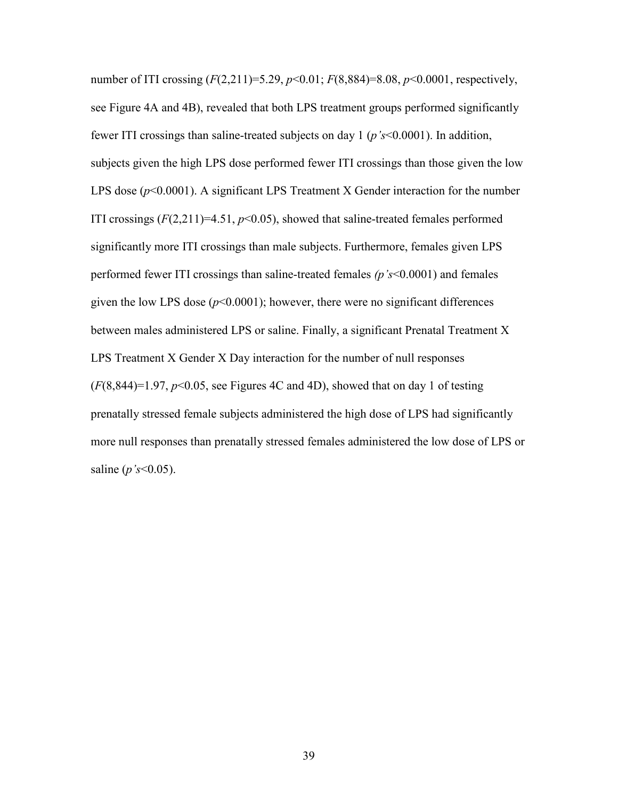number of ITI crossing (*F*(2,211)=5.29, *p*<0.01; *F*(8,884)=8.08, *p*<0.0001, respectively, see Figure 4A and 4B), revealed that both LPS treatment groups performed significantly fewer ITI crossings than saline-treated subjects on day 1 (*p's*<0.0001). In addition, subjects given the high LPS dose performed fewer ITI crossings than those given the low LPS dose ( $p$ <0.0001). A significant LPS Treatment X Gender interaction for the number ITI crossings  $(F(2,211)=4.51, p<0.05)$ , showed that saline-treated females performed significantly more ITI crossings than male subjects. Furthermore, females given LPS performed fewer ITI crossings than saline-treated females *(p's*<0.0001) and females given the low LPS dose  $(p<0.0001)$ ; however, there were no significant differences between males administered LPS or saline. Finally, a significant Prenatal Treatment X LPS Treatment X Gender X Day interaction for the number of null responses  $(F(8,844)=1.97, p<0.05,$  see Figures 4C and 4D), showed that on day 1 of testing prenatally stressed female subjects administered the high dose of LPS had significantly more null responses than prenatally stressed females administered the low dose of LPS or saline (*p's*<0.05).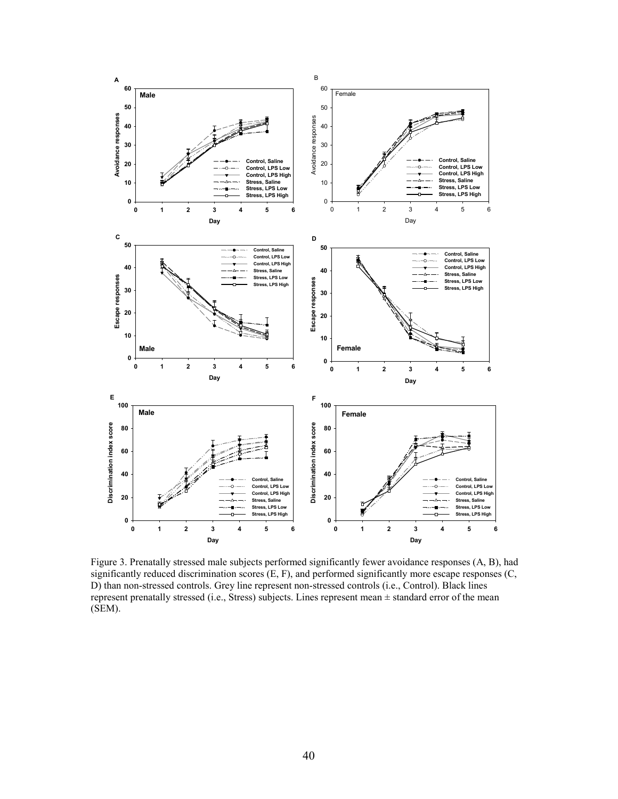

Figure 3. Prenatally stressed male subjects performed significantly fewer avoidance responses (A, B), had significantly reduced discrimination scores (E, F), and performed significantly more escape responses (C, D) than non-stressed controls. Grey line represent non-stressed controls (i.e., Control). Black lines represent prenatally stressed (i.e., Stress) subjects. Lines represent mean ± standard error of the mean (SEM).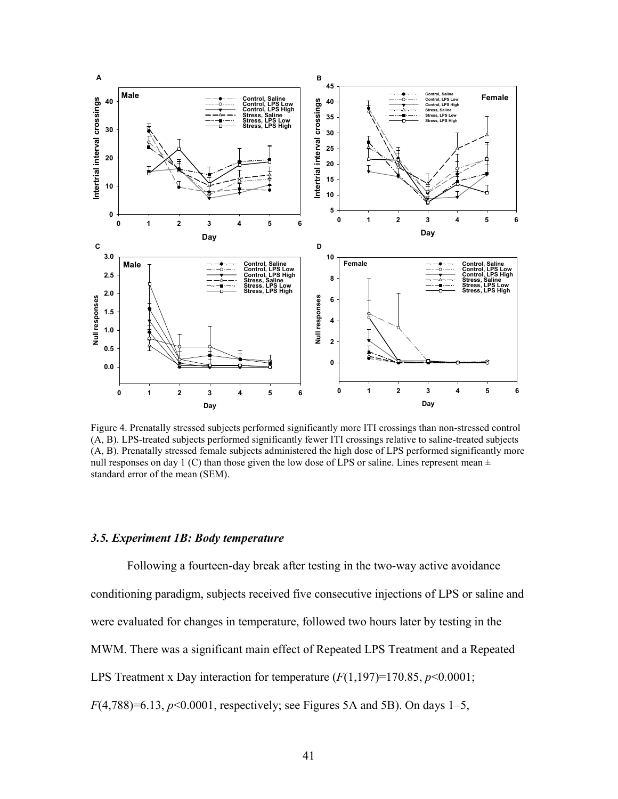

Figure 4. Prenatally stressed subjects performed significantly more ITI crossings than non-stressed control (A, B). LPS-treated subjects performed significantly fewer ITI crossings relative to saline-treated subjects (A, B). Prenatally stressed female subjects administered the high dose of LPS performed significantly more null responses on day 1 (C) than those given the low dose of LPS or saline. Lines represent mean  $\pm$ standard error of the mean (SEM).

### *3.5. Experiment 1B: Body temperature*

 Following a fourteen-day break after testing in the two-way active avoidance conditioning paradigm, subjects received five consecutive injections of LPS or saline and were evaluated for changes in temperature, followed two hours later by testing in the MWM. There was a significant main effect of Repeated LPS Treatment and a Repeated LPS Treatment x Day interaction for temperature (*F*(1,197)=170.85, *p*<0.0001; *F*(4,788)=6.13, *p*<0.0001, respectively; see Figures 5A and 5B). On days 1–5,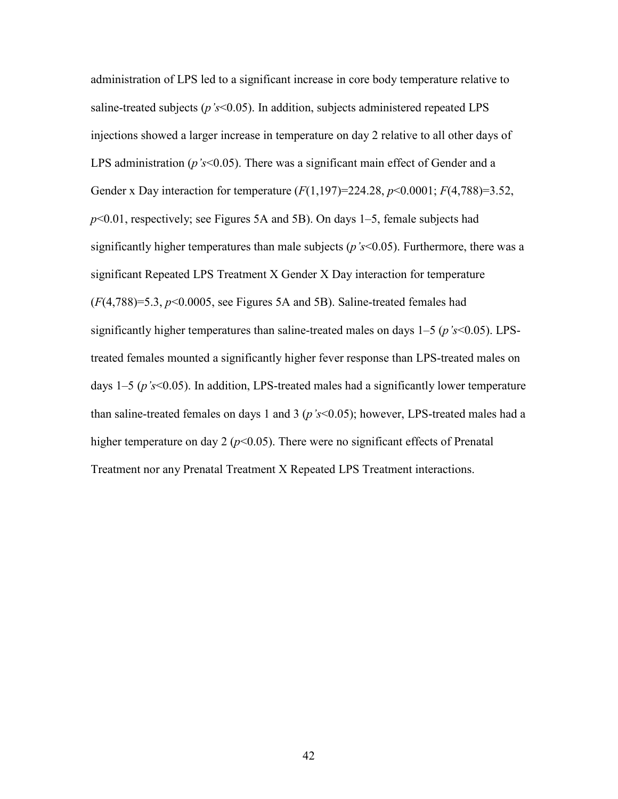administration of LPS led to a significant increase in core body temperature relative to saline-treated subjects (*p's*<0.05). In addition, subjects administered repeated LPS injections showed a larger increase in temperature on day 2 relative to all other days of LPS administration (*p*'s<0.05). There was a significant main effect of Gender and a Gender x Day interaction for temperature (*F*(1,197)=224.28, *p*<0.0001; *F*(4,788)=3.52, *p*<0.01, respectively; see Figures 5A and 5B). On days 1–5, female subjects had significantly higher temperatures than male subjects (*p's*<0.05). Furthermore, there was a significant Repeated LPS Treatment X Gender X Day interaction for temperature  $(F(4,788)=5.3, p<0.0005,$  see Figures 5A and 5B). Saline-treated females had significantly higher temperatures than saline-treated males on days 1–5 (*p's*<0.05). LPStreated females mounted a significantly higher fever response than LPS-treated males on days 1–5 (*p's*<0.05). In addition, LPS-treated males had a significantly lower temperature than saline-treated females on days 1 and 3 (*p's*<0.05); however, LPS-treated males had a higher temperature on day 2 ( $p$ <0.05). There were no significant effects of Prenatal Treatment nor any Prenatal Treatment X Repeated LPS Treatment interactions.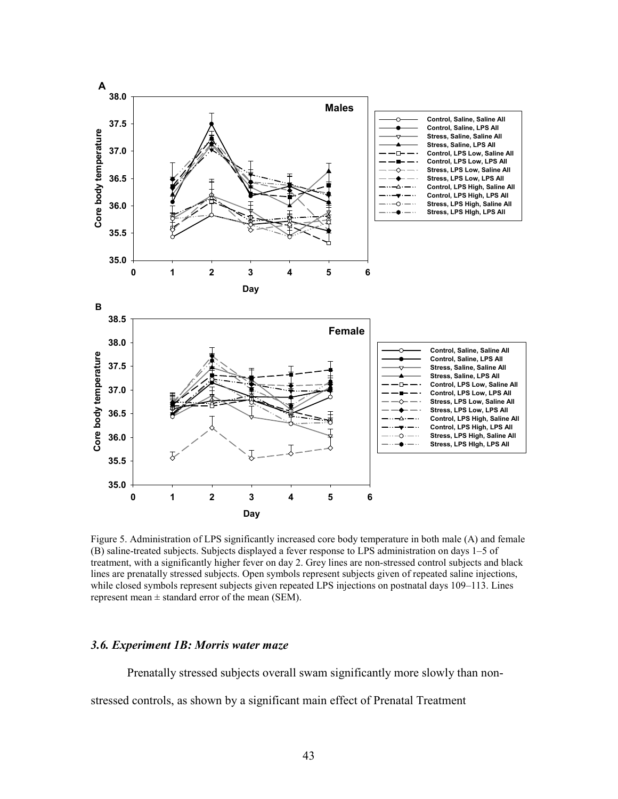

Figure 5. Administration of LPS significantly increased core body temperature in both male (A) and female (B) saline-treated subjects. Subjects displayed a fever response to LPS administration on days 1–5 of treatment, with a significantly higher fever on day 2. Grey lines are non-stressed control subjects and black lines are prenatally stressed subjects. Open symbols represent subjects given of repeated saline injections, while closed symbols represent subjects given repeated LPS injections on postnatal days 109–113. Lines represent mean  $\pm$  standard error of the mean (SEM).

### *3.6. Experiment 1B: Morris water maze*

Prenatally stressed subjects overall swam significantly more slowly than non-

stressed controls, as shown by a significant main effect of Prenatal Treatment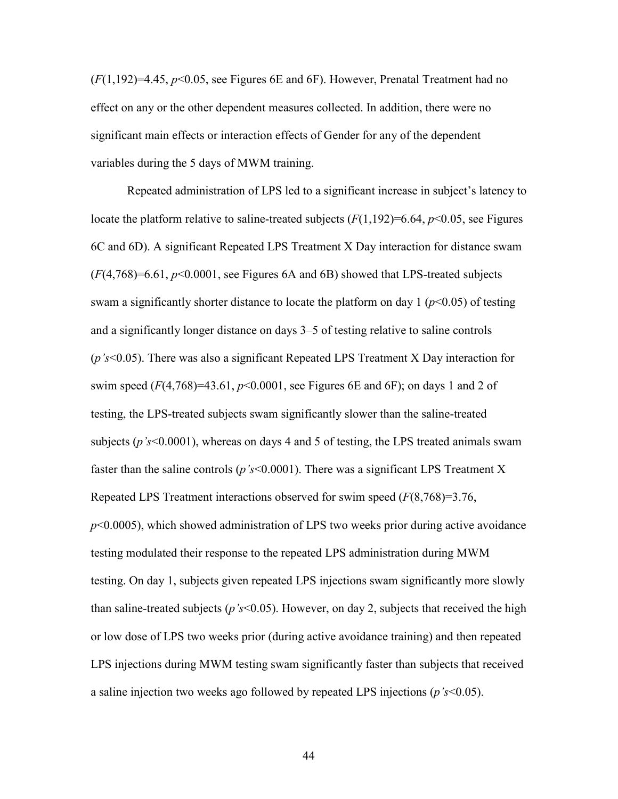(*F*(1,192)=4.45, *p*<0.05, see Figures 6E and 6F). However, Prenatal Treatment had no effect on any or the other dependent measures collected. In addition, there were no significant main effects or interaction effects of Gender for any of the dependent variables during the 5 days of MWM training.

 Repeated administration of LPS led to a significant increase in subject's latency to locate the platform relative to saline-treated subjects  $(F(1,192)=6.64, p<0.05$ , see Figures 6C and 6D). A significant Repeated LPS Treatment X Day interaction for distance swam (*F*(4,768)=6.61, *p*<0.0001, see Figures 6A and 6B) showed that LPS-treated subjects swam a significantly shorter distance to locate the platform on day  $1 (p<0.05)$  of testing and a significantly longer distance on days 3–5 of testing relative to saline controls (*p's*<0.05). There was also a significant Repeated LPS Treatment X Day interaction for swim speed  $(F(4, 768)=43.61, p<0.0001$ , see Figures 6E and 6F); on days 1 and 2 of testing, the LPS-treated subjects swam significantly slower than the saline-treated subjects (*p's*<0.0001), whereas on days 4 and 5 of testing, the LPS treated animals swam faster than the saline controls (*p's*<0.0001). There was a significant LPS Treatment X Repeated LPS Treatment interactions observed for swim speed (*F*(8,768)=3.76, *p*<0.0005), which showed administration of LPS two weeks prior during active avoidance testing modulated their response to the repeated LPS administration during MWM testing. On day 1, subjects given repeated LPS injections swam significantly more slowly than saline-treated subjects (*p's*<0.05). However, on day 2, subjects that received the high or low dose of LPS two weeks prior (during active avoidance training) and then repeated LPS injections during MWM testing swam significantly faster than subjects that received a saline injection two weeks ago followed by repeated LPS injections (*p's*<0.05).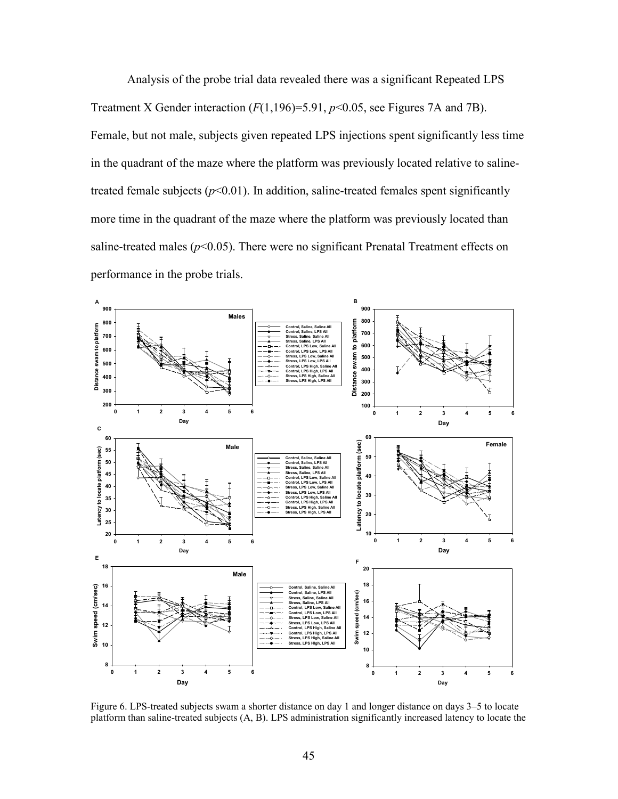Analysis of the probe trial data revealed there was a significant Repeated LPS Treatment X Gender interaction  $(F(1,196)=5.91, p<0.05$ , see Figures 7A and 7B). Female, but not male, subjects given repeated LPS injections spent significantly less time in the quadrant of the maze where the platform was previously located relative to salinetreated female subjects  $(p<0.01)$ . In addition, saline-treated females spent significantly more time in the quadrant of the maze where the platform was previously located than saline-treated males  $(p<0.05)$ . There were no significant Prenatal Treatment effects on performance in the probe trials.



Figure 6. LPS-treated subjects swam a shorter distance on day 1 and longer distance on days 3–5 to locate platform than saline-treated subjects (A, B). LPS administration significantly increased latency to locate the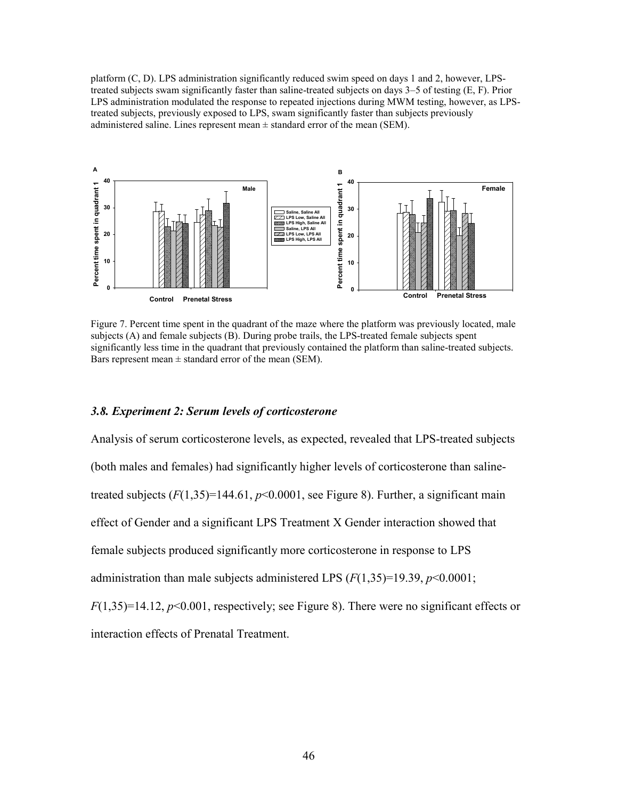platform (C, D). LPS administration significantly reduced swim speed on days 1 and 2, however, LPStreated subjects swam significantly faster than saline-treated subjects on days 3–5 of testing (E, F). Prior LPS administration modulated the response to repeated injections during MWM testing, however, as LPStreated subjects, previously exposed to LPS, swam significantly faster than subjects previously administered saline. Lines represent mean  $\pm$  standard error of the mean (SEM).



Figure 7. Percent time spent in the quadrant of the maze where the platform was previously located, male subjects (A) and female subjects (B). During probe trails, the LPS-treated female subjects spent significantly less time in the quadrant that previously contained the platform than saline-treated subjects. Bars represent mean  $\pm$  standard error of the mean (SEM).

### *3.8. Experiment 2: Serum levels of corticosterone*

Analysis of serum corticosterone levels, as expected, revealed that LPS-treated subjects (both males and females) had significantly higher levels of corticosterone than salinetreated subjects  $(F(1,35)=144.61, p<0.0001,$  see Figure 8). Further, a significant main effect of Gender and a significant LPS Treatment X Gender interaction showed that female subjects produced significantly more corticosterone in response to LPS administration than male subjects administered LPS  $(F(1,35)=19.39, p<0.0001)$ ; *F*(1,35)=14.12, *p*<0.001, respectively; see Figure 8). There were no significant effects or

interaction effects of Prenatal Treatment.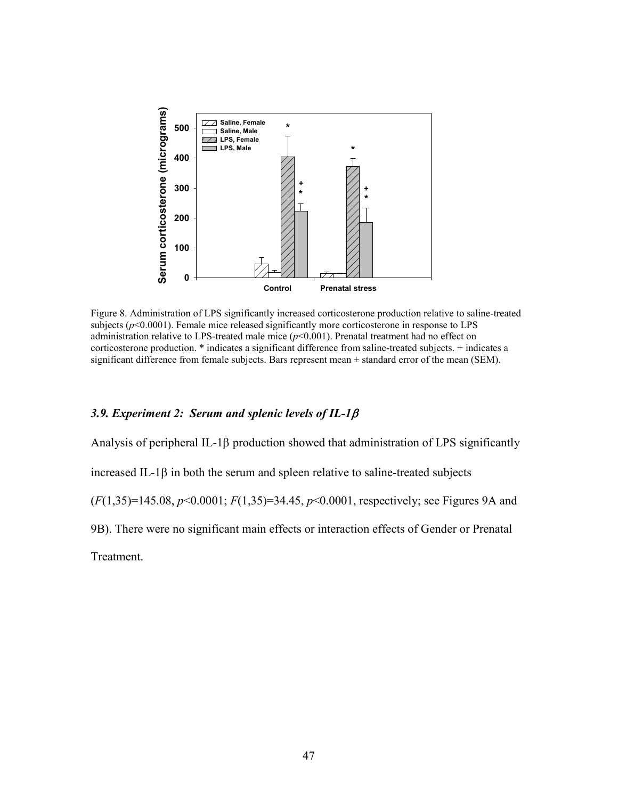

Figure 8. Administration of LPS significantly increased corticosterone production relative to saline-treated subjects ( $p$ <0.0001). Female mice released significantly more corticosterone in response to LPS administration relative to LPS-treated male mice  $(p<0.001)$ . Prenatal treatment had no effect on corticosterone production. \* indicates a significant difference from saline-treated subjects. + indicates a significant difference from female subjects. Bars represent mean  $\pm$  standard error of the mean (SEM).

# *3.9. Experiment 2: Serum and splenic levels of IL-1*

Analysis of peripheral IL-1 $\beta$  production showed that administration of LPS significantly  $i$  increased IL-1 $\beta$  in both the serum and spleen relative to saline-treated subjects (*F*(1,35)=145.08, *p*<0.0001; *F*(1,35)=34.45, *p*<0.0001, respectively; see Figures 9A and 9B). There were no significant main effects or interaction effects of Gender or Prenatal Treatment.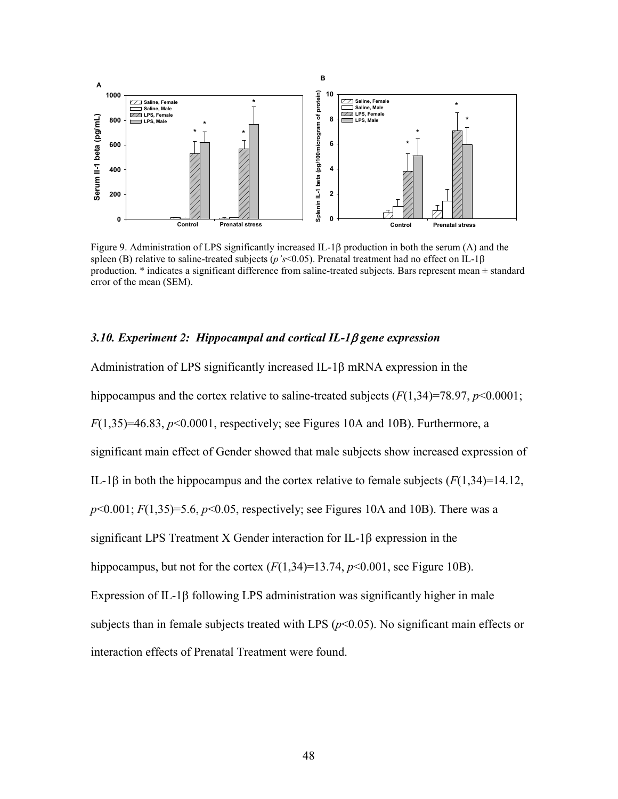

Figure 9. Administration of LPS significantly increased IL-1 $\beta$  production in both the serum (A) and the spleen (B) relative to saline-treated subjects ( $p$ 's<0.05). Prenatal treatment had no effect on IL-1 $\beta$ production. \* indicates a significant difference from saline-treated subjects. Bars represent mean ± standard error of the mean (SEM).

### *3.10. Experiment 2: Hippocampal and cortical IL-1 gene expression*

Administration of LPS significantly increased IL-1 $\beta$  mRNA expression in the hippocampus and the cortex relative to saline-treated subjects ( $F(1,34)=78.97, p<0.0001$ ; *F*(1,35)=46.83, *p*<0.0001, respectively; see Figures 10A and 10B). Furthermore, a significant main effect of Gender showed that male subjects show increased expression of IL-1 $\beta$  in both the hippocampus and the cortex relative to female subjects ( $F(1,34)=14.12$ , *p*<0.001; *F*(1,35)=5.6, *p*<0.05, respectively; see Figures 10A and 10B). There was a significant LPS Treatment X Gender interaction for IL-1 $\beta$  expression in the hippocampus, but not for the cortex  $(F(1,34)=13.74, p<0.001)$ , see Figure 10B). Expression of IL-1 $\beta$  following LPS administration was significantly higher in male subjects than in female subjects treated with LPS  $(p<0.05)$ . No significant main effects or interaction effects of Prenatal Treatment were found.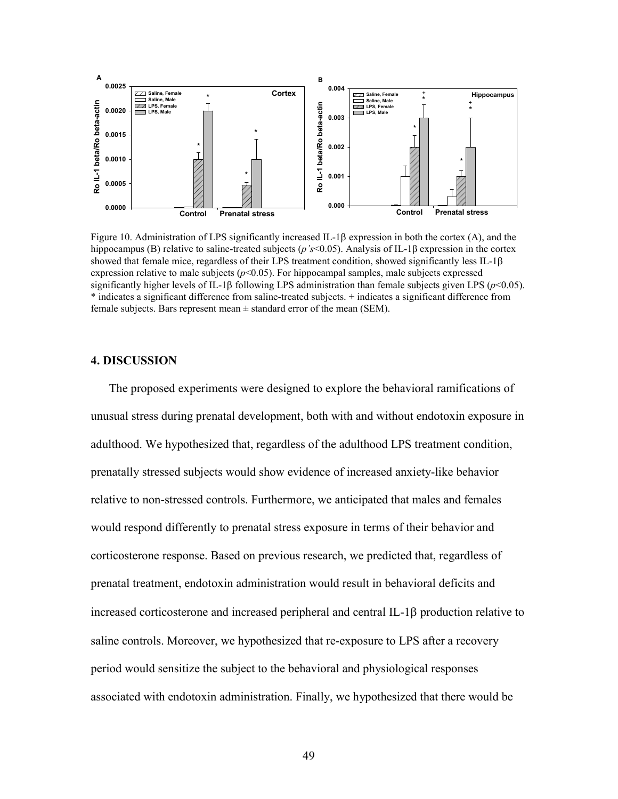

Figure 10. Administration of LPS significantly increased IL-1 $\beta$  expression in both the cortex (A), and the hippocampus (B) relative to saline-treated subjects ( $p's$ <0.05). Analysis of IL-1 $\beta$  expression in the cortex showed that female mice, regardless of their LPS treatment condition, showed significantly less IL-1 $\beta$ expression relative to male subjects  $(p<0.05)$ . For hippocampal samples, male subjects expressed significantly higher levels of IL-1 $\beta$  following LPS administration than female subjects given LPS ( $p<0.05$ ). \* indicates a significant difference from saline-treated subjects. + indicates a significant difference from female subjects. Bars represent mean  $\pm$  standard error of the mean (SEM).

# **4. DISCUSSION**

The proposed experiments were designed to explore the behavioral ramifications of unusual stress during prenatal development, both with and without endotoxin exposure in adulthood. We hypothesized that, regardless of the adulthood LPS treatment condition, prenatally stressed subjects would show evidence of increased anxiety-like behavior relative to non-stressed controls. Furthermore, we anticipated that males and females would respond differently to prenatal stress exposure in terms of their behavior and corticosterone response. Based on previous research, we predicted that, regardless of prenatal treatment, endotoxin administration would result in behavioral deficits and increased corticosterone and increased peripheral and central  $IL-1\beta$  production relative to saline controls. Moreover, we hypothesized that re-exposure to LPS after a recovery period would sensitize the subject to the behavioral and physiological responses associated with endotoxin administration. Finally, we hypothesized that there would be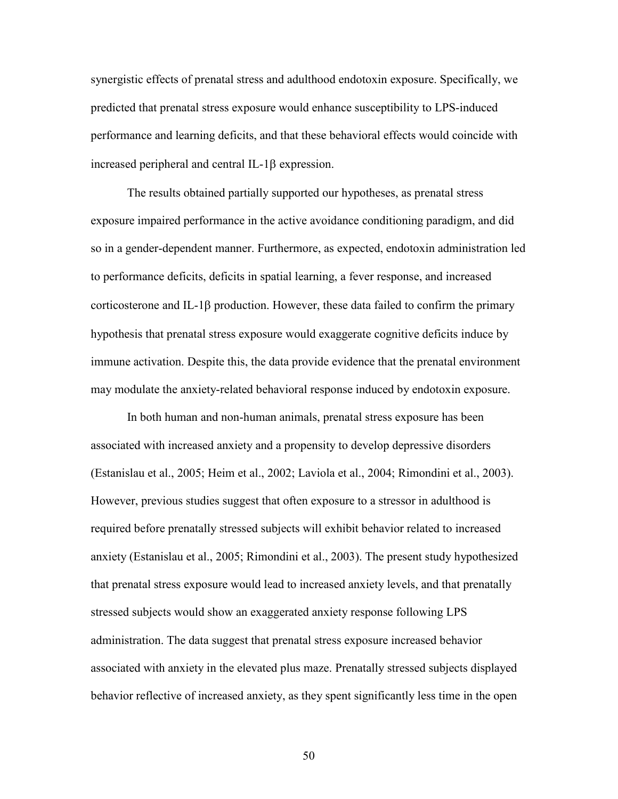synergistic effects of prenatal stress and adulthood endotoxin exposure. Specifically, we predicted that prenatal stress exposure would enhance susceptibility to LPS-induced performance and learning deficits, and that these behavioral effects would coincide with increased peripheral and central IL-1 $\beta$  expression.

 The results obtained partially supported our hypotheses, as prenatal stress exposure impaired performance in the active avoidance conditioning paradigm, and did so in a gender-dependent manner. Furthermore, as expected, endotoxin administration led to performance deficits, deficits in spatial learning, a fever response, and increased corticosterone and IL-1 $\beta$  production. However, these data failed to confirm the primary hypothesis that prenatal stress exposure would exaggerate cognitive deficits induce by immune activation. Despite this, the data provide evidence that the prenatal environment may modulate the anxiety-related behavioral response induced by endotoxin exposure.

In both human and non-human animals, prenatal stress exposure has been associated with increased anxiety and a propensity to develop depressive disorders (Estanislau et al., 2005; Heim et al., 2002; Laviola et al., 2004; Rimondini et al., 2003). However, previous studies suggest that often exposure to a stressor in adulthood is required before prenatally stressed subjects will exhibit behavior related to increased anxiety (Estanislau et al., 2005; Rimondini et al., 2003). The present study hypothesized that prenatal stress exposure would lead to increased anxiety levels, and that prenatally stressed subjects would show an exaggerated anxiety response following LPS administration. The data suggest that prenatal stress exposure increased behavior associated with anxiety in the elevated plus maze. Prenatally stressed subjects displayed behavior reflective of increased anxiety, as they spent significantly less time in the open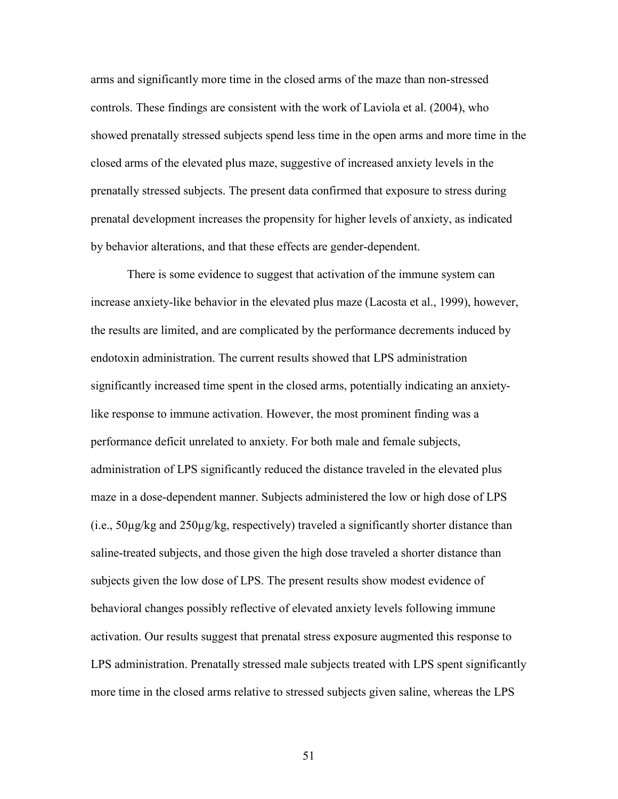arms and significantly more time in the closed arms of the maze than non-stressed controls. These findings are consistent with the work of Laviola et al. (2004), who showed prenatally stressed subjects spend less time in the open arms and more time in the closed arms of the elevated plus maze, suggestive of increased anxiety levels in the prenatally stressed subjects. The present data confirmed that exposure to stress during prenatal development increases the propensity for higher levels of anxiety, as indicated by behavior alterations, and that these effects are gender-dependent.

 There is some evidence to suggest that activation of the immune system can increase anxiety-like behavior in the elevated plus maze (Lacosta et al., 1999), however, the results are limited, and are complicated by the performance decrements induced by endotoxin administration. The current results showed that LPS administration significantly increased time spent in the closed arms, potentially indicating an anxietylike response to immune activation. However, the most prominent finding was a performance deficit unrelated to anxiety. For both male and female subjects, administration of LPS significantly reduced the distance traveled in the elevated plus maze in a dose-dependent manner. Subjects administered the low or high dose of LPS  $(i.e., 50\mu g/kg$  and  $250\mu g/kg$ , respectively) traveled a significantly shorter distance than saline-treated subjects, and those given the high dose traveled a shorter distance than subjects given the low dose of LPS. The present results show modest evidence of behavioral changes possibly reflective of elevated anxiety levels following immune activation. Our results suggest that prenatal stress exposure augmented this response to LPS administration. Prenatally stressed male subjects treated with LPS spent significantly more time in the closed arms relative to stressed subjects given saline, whereas the LPS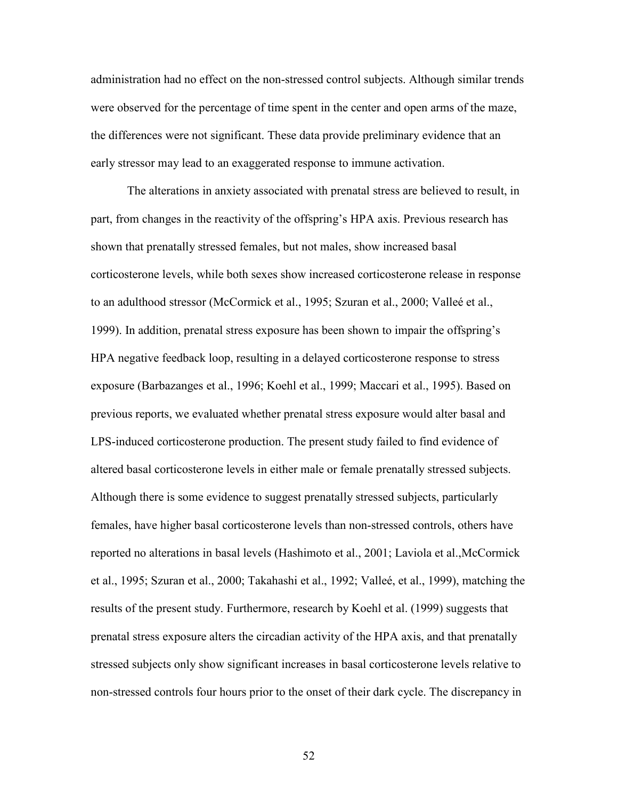administration had no effect on the non-stressed control subjects. Although similar trends were observed for the percentage of time spent in the center and open arms of the maze, the differences were not significant. These data provide preliminary evidence that an early stressor may lead to an exaggerated response to immune activation.

 The alterations in anxiety associated with prenatal stress are believed to result, in part, from changes in the reactivity of the offspring's HPA axis. Previous research has shown that prenatally stressed females, but not males, show increased basal corticosterone levels, while both sexes show increased corticosterone release in response to an adulthood stressor (McCormick et al., 1995; Szuran et al., 2000; Valleé et al., 1999). In addition, prenatal stress exposure has been shown to impair the offspring's HPA negative feedback loop, resulting in a delayed corticosterone response to stress exposure (Barbazanges et al., 1996; Koehl et al., 1999; Maccari et al., 1995). Based on previous reports, we evaluated whether prenatal stress exposure would alter basal and LPS-induced corticosterone production. The present study failed to find evidence of altered basal corticosterone levels in either male or female prenatally stressed subjects. Although there is some evidence to suggest prenatally stressed subjects, particularly females, have higher basal corticosterone levels than non-stressed controls, others have reported no alterations in basal levels (Hashimoto et al., 2001; Laviola et al.,McCormick et al., 1995; Szuran et al., 2000; Takahashi et al., 1992; Valleé, et al., 1999), matching the results of the present study. Furthermore, research by Koehl et al. (1999) suggests that prenatal stress exposure alters the circadian activity of the HPA axis, and that prenatally stressed subjects only show significant increases in basal corticosterone levels relative to non-stressed controls four hours prior to the onset of their dark cycle. The discrepancy in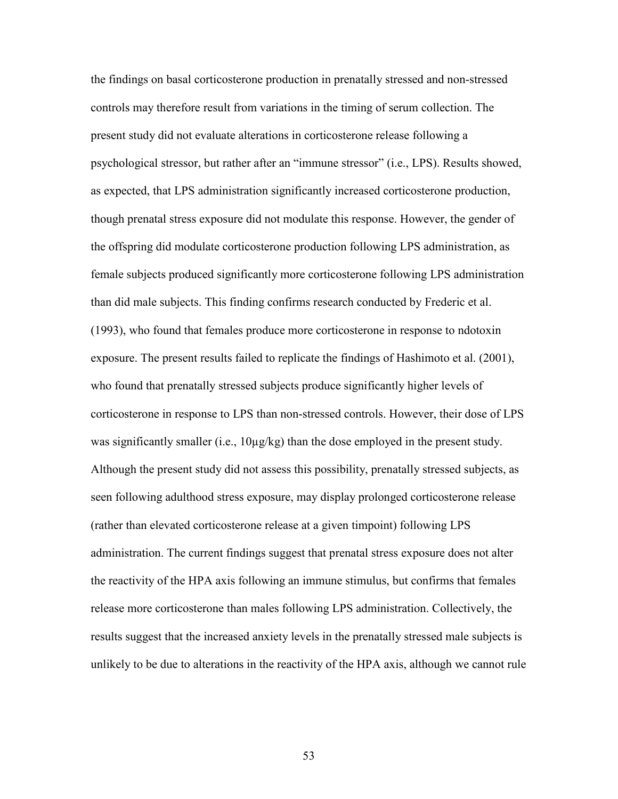the findings on basal corticosterone production in prenatally stressed and non-stressed controls may therefore result from variations in the timing of serum collection. The present study did not evaluate alterations in corticosterone release following a psychological stressor, but rather after an "immune stressor" (i.e., LPS). Results showed, as expected, that LPS administration significantly increased corticosterone production, though prenatal stress exposure did not modulate this response. However, the gender of the offspring did modulate corticosterone production following LPS administration, as female subjects produced significantly more corticosterone following LPS administration than did male subjects. This finding confirms research conducted by Frederic et al. (1993), who found that females produce more corticosterone in response to ndotoxin exposure. The present results failed to replicate the findings of Hashimoto et al. (2001), who found that prenatally stressed subjects produce significantly higher levels of corticosterone in response to LPS than non-stressed controls. However, their dose of LPS was significantly smaller (i.e.,  $10\mu g/kg$ ) than the dose employed in the present study. Although the present study did not assess this possibility, prenatally stressed subjects, as seen following adulthood stress exposure, may display prolonged corticosterone release (rather than elevated corticosterone release at a given timpoint) following LPS administration. The current findings suggest that prenatal stress exposure does not alter the reactivity of the HPA axis following an immune stimulus, but confirms that females release more corticosterone than males following LPS administration. Collectively, the results suggest that the increased anxiety levels in the prenatally stressed male subjects is unlikely to be due to alterations in the reactivity of the HPA axis, although we cannot rule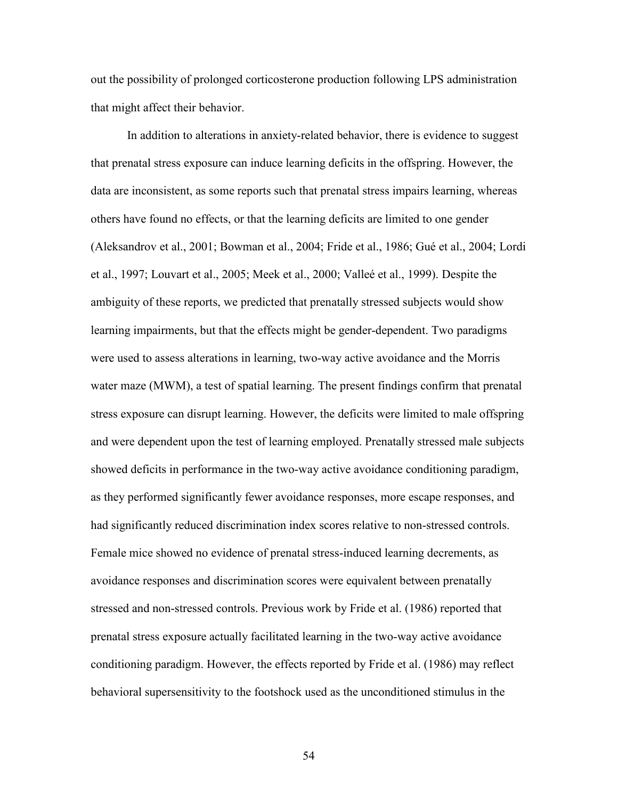out the possibility of prolonged corticosterone production following LPS administration that might affect their behavior.

 In addition to alterations in anxiety-related behavior, there is evidence to suggest that prenatal stress exposure can induce learning deficits in the offspring. However, the data are inconsistent, as some reports such that prenatal stress impairs learning, whereas others have found no effects, or that the learning deficits are limited to one gender (Aleksandrov et al., 2001; Bowman et al., 2004; Fride et al., 1986; Gué et al., 2004; Lordi et al., 1997; Louvart et al., 2005; Meek et al., 2000; Valleé et al., 1999). Despite the ambiguity of these reports, we predicted that prenatally stressed subjects would show learning impairments, but that the effects might be gender-dependent. Two paradigms were used to assess alterations in learning, two-way active avoidance and the Morris water maze (MWM), a test of spatial learning. The present findings confirm that prenatal stress exposure can disrupt learning. However, the deficits were limited to male offspring and were dependent upon the test of learning employed. Prenatally stressed male subjects showed deficits in performance in the two-way active avoidance conditioning paradigm, as they performed significantly fewer avoidance responses, more escape responses, and had significantly reduced discrimination index scores relative to non-stressed controls. Female mice showed no evidence of prenatal stress-induced learning decrements, as avoidance responses and discrimination scores were equivalent between prenatally stressed and non-stressed controls. Previous work by Fride et al. (1986) reported that prenatal stress exposure actually facilitated learning in the two-way active avoidance conditioning paradigm. However, the effects reported by Fride et al. (1986) may reflect behavioral supersensitivity to the footshock used as the unconditioned stimulus in the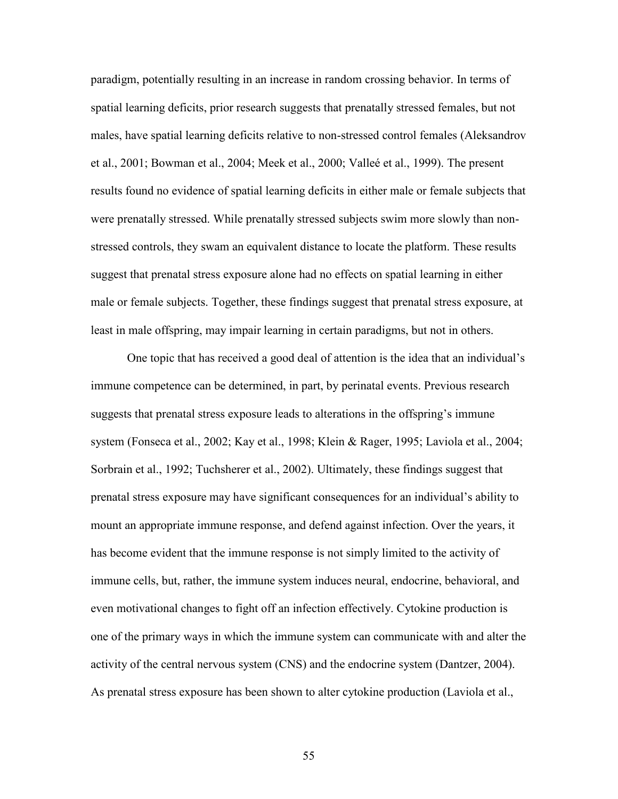paradigm, potentially resulting in an increase in random crossing behavior. In terms of spatial learning deficits, prior research suggests that prenatally stressed females, but not males, have spatial learning deficits relative to non-stressed control females (Aleksandrov et al., 2001; Bowman et al., 2004; Meek et al., 2000; Valleé et al., 1999). The present results found no evidence of spatial learning deficits in either male or female subjects that were prenatally stressed. While prenatally stressed subjects swim more slowly than nonstressed controls, they swam an equivalent distance to locate the platform. These results suggest that prenatal stress exposure alone had no effects on spatial learning in either male or female subjects. Together, these findings suggest that prenatal stress exposure, at least in male offspring, may impair learning in certain paradigms, but not in others.

 One topic that has received a good deal of attention is the idea that an individual's immune competence can be determined, in part, by perinatal events. Previous research suggests that prenatal stress exposure leads to alterations in the offspring's immune system (Fonseca et al., 2002; Kay et al., 1998; Klein & Rager, 1995; Laviola et al., 2004; Sorbrain et al., 1992; Tuchsherer et al., 2002). Ultimately, these findings suggest that prenatal stress exposure may have significant consequences for an individual's ability to mount an appropriate immune response, and defend against infection. Over the years, it has become evident that the immune response is not simply limited to the activity of immune cells, but, rather, the immune system induces neural, endocrine, behavioral, and even motivational changes to fight off an infection effectively. Cytokine production is one of the primary ways in which the immune system can communicate with and alter the activity of the central nervous system (CNS) and the endocrine system (Dantzer, 2004). As prenatal stress exposure has been shown to alter cytokine production (Laviola et al.,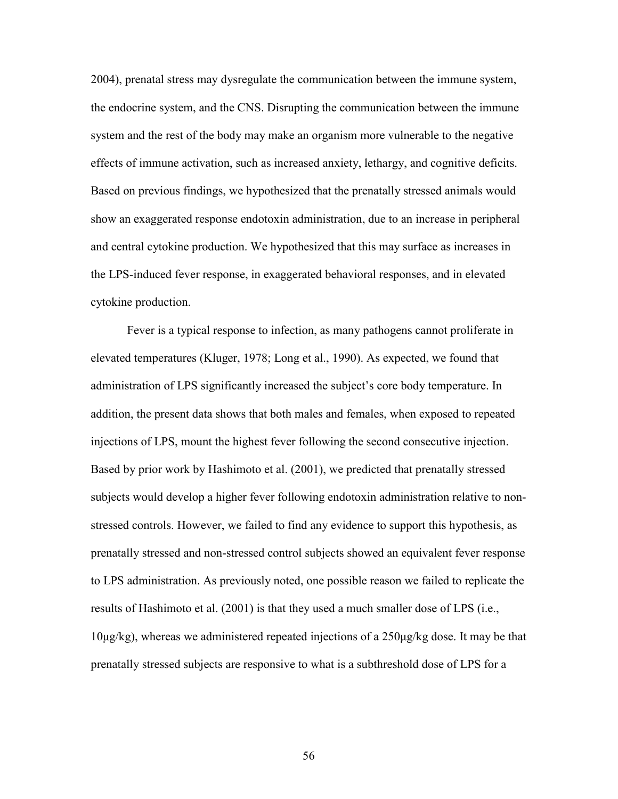2004), prenatal stress may dysregulate the communication between the immune system, the endocrine system, and the CNS. Disrupting the communication between the immune system and the rest of the body may make an organism more vulnerable to the negative effects of immune activation, such as increased anxiety, lethargy, and cognitive deficits. Based on previous findings, we hypothesized that the prenatally stressed animals would show an exaggerated response endotoxin administration, due to an increase in peripheral and central cytokine production. We hypothesized that this may surface as increases in the LPS-induced fever response, in exaggerated behavioral responses, and in elevated cytokine production.

 Fever is a typical response to infection, as many pathogens cannot proliferate in elevated temperatures (Kluger, 1978; Long et al., 1990). As expected, we found that administration of LPS significantly increased the subject's core body temperature. In addition, the present data shows that both males and females, when exposed to repeated injections of LPS, mount the highest fever following the second consecutive injection. Based by prior work by Hashimoto et al. (2001), we predicted that prenatally stressed subjects would develop a higher fever following endotoxin administration relative to nonstressed controls. However, we failed to find any evidence to support this hypothesis, as prenatally stressed and non-stressed control subjects showed an equivalent fever response to LPS administration. As previously noted, one possible reason we failed to replicate the results of Hashimoto et al. (2001) is that they used a much smaller dose of LPS (i.e., 10µg/kg), whereas we administered repeated injections of a 250µg/kg dose. It may be that prenatally stressed subjects are responsive to what is a subthreshold dose of LPS for a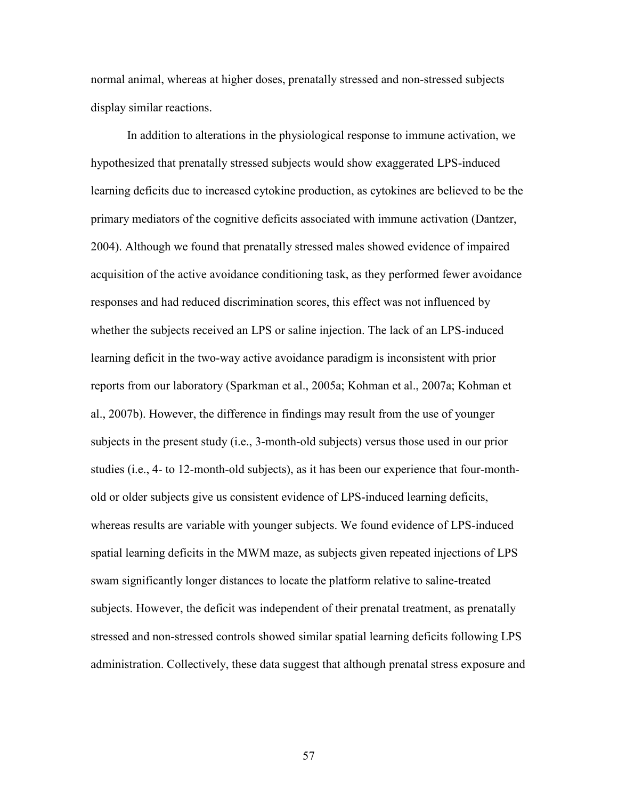normal animal, whereas at higher doses, prenatally stressed and non-stressed subjects display similar reactions.

 In addition to alterations in the physiological response to immune activation, we hypothesized that prenatally stressed subjects would show exaggerated LPS-induced learning deficits due to increased cytokine production, as cytokines are believed to be the primary mediators of the cognitive deficits associated with immune activation (Dantzer, 2004). Although we found that prenatally stressed males showed evidence of impaired acquisition of the active avoidance conditioning task, as they performed fewer avoidance responses and had reduced discrimination scores, this effect was not influenced by whether the subjects received an LPS or saline injection. The lack of an LPS-induced learning deficit in the two-way active avoidance paradigm is inconsistent with prior reports from our laboratory (Sparkman et al., 2005a; Kohman et al., 2007a; Kohman et al., 2007b). However, the difference in findings may result from the use of younger subjects in the present study (i.e., 3-month-old subjects) versus those used in our prior studies (i.e., 4- to 12-month-old subjects), as it has been our experience that four-monthold or older subjects give us consistent evidence of LPS-induced learning deficits, whereas results are variable with younger subjects. We found evidence of LPS-induced spatial learning deficits in the MWM maze, as subjects given repeated injections of LPS swam significantly longer distances to locate the platform relative to saline-treated subjects. However, the deficit was independent of their prenatal treatment, as prenatally stressed and non-stressed controls showed similar spatial learning deficits following LPS administration. Collectively, these data suggest that although prenatal stress exposure and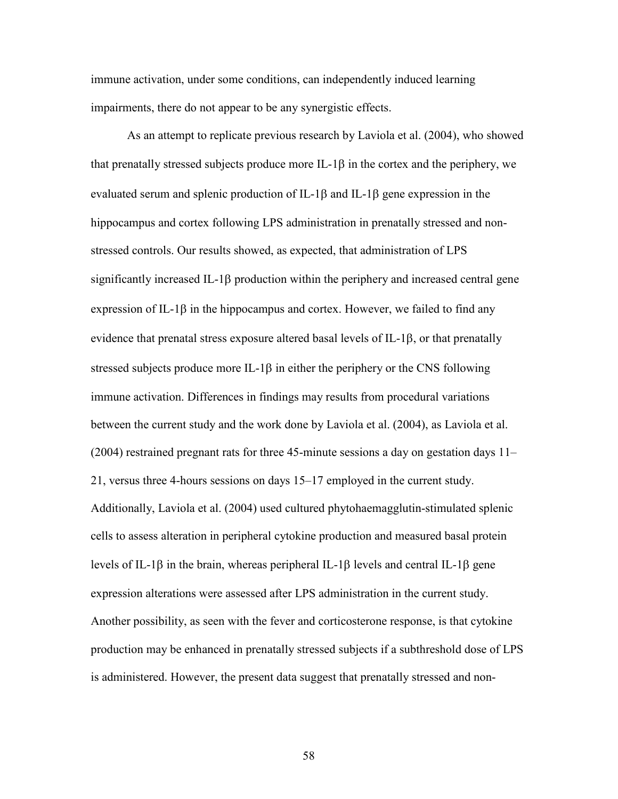immune activation, under some conditions, can independently induced learning impairments, there do not appear to be any synergistic effects.

 As an attempt to replicate previous research by Laviola et al. (2004), who showed that prenatally stressed subjects produce more IL-1 $\beta$  in the cortex and the periphery, we evaluated serum and splenic production of IL-1 $\beta$  and IL-1 $\beta$  gene expression in the hippocampus and cortex following LPS administration in prenatally stressed and nonstressed controls. Our results showed, as expected, that administration of LPS significantly increased IL-1 $\beta$  production within the periphery and increased central gene expression of IL-1 $\beta$  in the hippocampus and cortex. However, we failed to find any evidence that prenatal stress exposure altered basal levels of IL-1 $\beta$ , or that prenatally stressed subjects produce more IL-1 $\beta$  in either the periphery or the CNS following immune activation. Differences in findings may results from procedural variations between the current study and the work done by Laviola et al. (2004), as Laviola et al. (2004) restrained pregnant rats for three 45-minute sessions a day on gestation days 11– 21, versus three 4-hours sessions on days 15–17 employed in the current study. Additionally, Laviola et al. (2004) used cultured phytohaemagglutin-stimulated splenic cells to assess alteration in peripheral cytokine production and measured basal protein levels of IL-1 $\beta$  in the brain, whereas peripheral IL-1 $\beta$  levels and central IL-1 $\beta$  gene expression alterations were assessed after LPS administration in the current study. Another possibility, as seen with the fever and corticosterone response, is that cytokine production may be enhanced in prenatally stressed subjects if a subthreshold dose of LPS is administered. However, the present data suggest that prenatally stressed and non-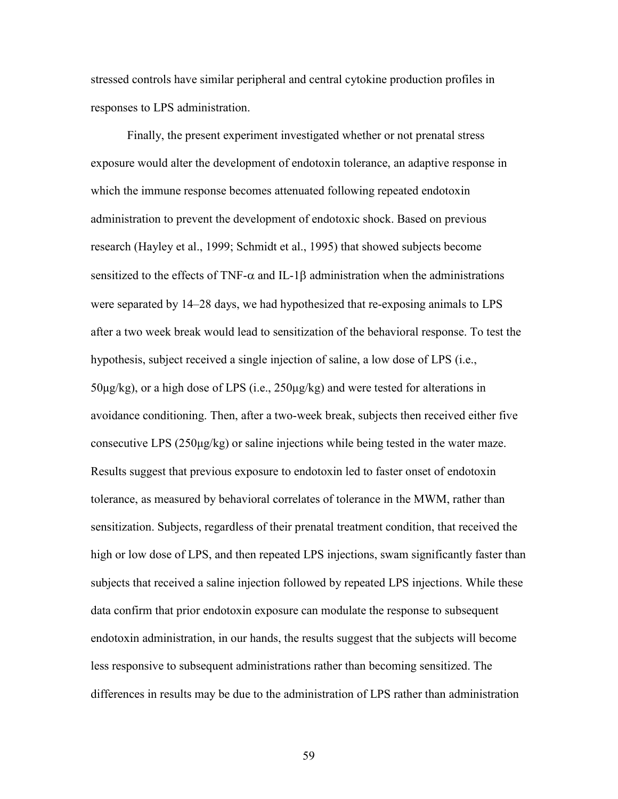stressed controls have similar peripheral and central cytokine production profiles in responses to LPS administration.

 Finally, the present experiment investigated whether or not prenatal stress exposure would alter the development of endotoxin tolerance, an adaptive response in which the immune response becomes attenuated following repeated endotoxin administration to prevent the development of endotoxic shock. Based on previous research (Hayley et al., 1999; Schmidt et al., 1995) that showed subjects become sensitized to the effects of TNF- $\alpha$  and IL-1 $\beta$  administration when the administrations were separated by 14–28 days, we had hypothesized that re-exposing animals to LPS after a two week break would lead to sensitization of the behavioral response. To test the hypothesis, subject received a single injection of saline, a low dose of LPS (i.e., 50µg/kg), or a high dose of LPS (i.e., 250µg/kg) and were tested for alterations in avoidance conditioning. Then, after a two-week break, subjects then received either five consecutive LPS (250µg/kg) or saline injections while being tested in the water maze. Results suggest that previous exposure to endotoxin led to faster onset of endotoxin tolerance, as measured by behavioral correlates of tolerance in the MWM, rather than sensitization. Subjects, regardless of their prenatal treatment condition, that received the high or low dose of LPS, and then repeated LPS injections, swam significantly faster than subjects that received a saline injection followed by repeated LPS injections. While these data confirm that prior endotoxin exposure can modulate the response to subsequent endotoxin administration, in our hands, the results suggest that the subjects will become less responsive to subsequent administrations rather than becoming sensitized. The differences in results may be due to the administration of LPS rather than administration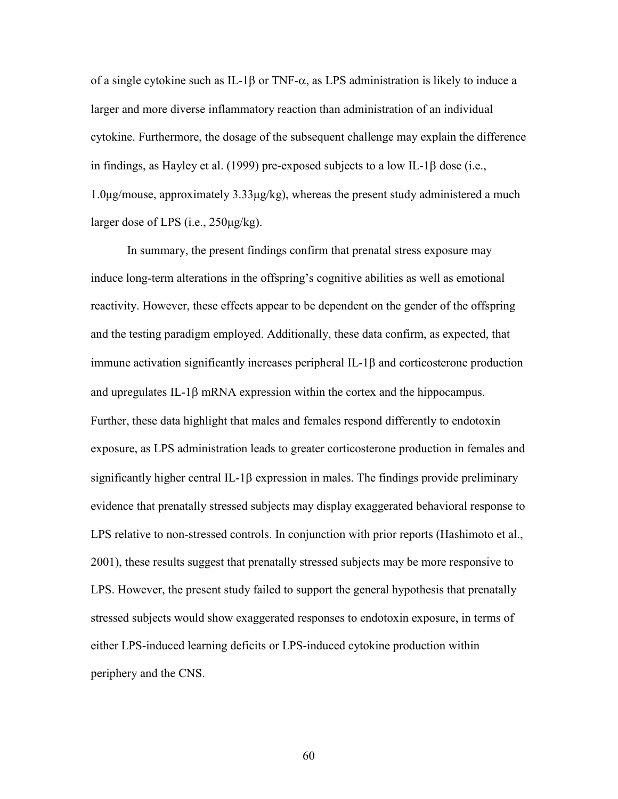of a single cytokine such as IL-1 $\beta$  or TNF- $\alpha$ , as LPS administration is likely to induce a larger and more diverse inflammatory reaction than administration of an individual cytokine. Furthermore, the dosage of the subsequent challenge may explain the difference in findings, as Hayley et al. (1999) pre-exposed subjects to a low IL-1 $\beta$  dose (i.e., 1.0µg/mouse, approximately 3.33µg/kg), whereas the present study administered a much larger dose of LPS (i.e., 250µg/kg).

 In summary, the present findings confirm that prenatal stress exposure may induce long-term alterations in the offspring's cognitive abilities as well as emotional reactivity. However, these effects appear to be dependent on the gender of the offspring and the testing paradigm employed. Additionally, these data confirm, as expected, that immune activation significantly increases peripheral  $IL-1\beta$  and corticosterone production and upregulates IL-1 $\beta$  mRNA expression within the cortex and the hippocampus. Further, these data highlight that males and females respond differently to endotoxin exposure, as LPS administration leads to greater corticosterone production in females and significantly higher central IL-1 $\beta$  expression in males. The findings provide preliminary evidence that prenatally stressed subjects may display exaggerated behavioral response to LPS relative to non-stressed controls. In conjunction with prior reports (Hashimoto et al., 2001), these results suggest that prenatally stressed subjects may be more responsive to LPS. However, the present study failed to support the general hypothesis that prenatally stressed subjects would show exaggerated responses to endotoxin exposure, in terms of either LPS-induced learning deficits or LPS-induced cytokine production within periphery and the CNS.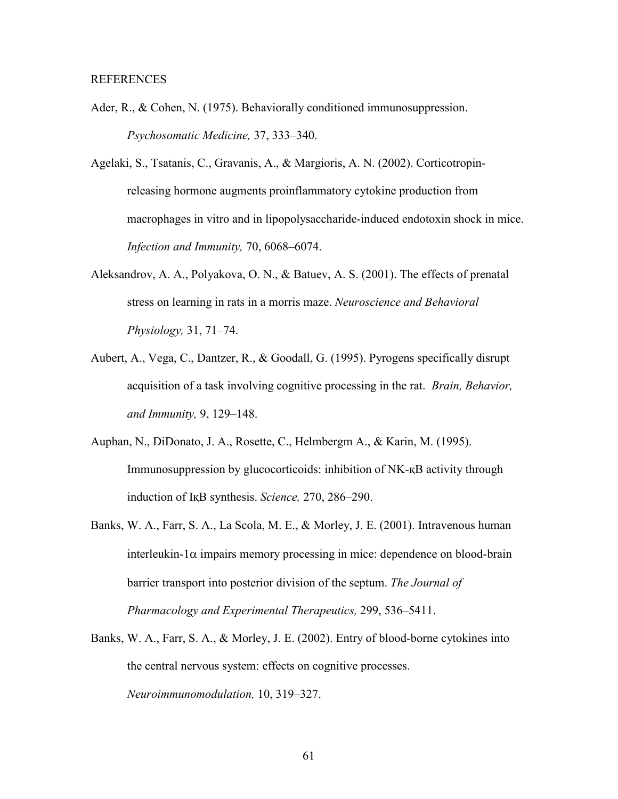- Ader, R., & Cohen, N. (1975). Behaviorally conditioned immunosuppression. *Psychosomatic Medicine,* 37, 333–340.
- Agelaki, S., Tsatanis, C., Gravanis, A., & Margioris, A. N. (2002). Corticotropin releasing hormone augments proinflammatory cytokine production from macrophages in vitro and in lipopolysaccharide-induced endotoxin shock in mice. *Infection and Immunity,* 70, 6068–6074.
- Aleksandrov, A. A., Polyakova, O. N., & Batuev, A. S. (2001). The effects of prenatal stress on learning in rats in a morris maze. *Neuroscience and Behavioral Physiology,* 31, 71–74.
- Aubert, A., Vega, C., Dantzer, R., & Goodall, G. (1995). Pyrogens specifically disrupt acquisition of a task involving cognitive processing in the rat. *Brain, Behavior, and Immunity,* 9, 129–148.
- Auphan, N., DiDonato, J. A., Rosette, C., Helmbergm A., & Karin, M. (1995). Immunosuppression by glucocorticoids: inhibition of NK-KB activity through induction of I<sub>K</sub>B synthesis. *Science*, 270, 286–290.
- Banks, W. A., Farr, S. A., La Scola, M. E., & Morley, J. E. (2001). Intravenous human  $interleukin-1\alpha$  impairs memory processing in mice: dependence on blood-brain barrier transport into posterior division of the septum. *The Journal of Pharmacology and Experimental Therapeutics,* 299, 536–5411.
- Banks, W. A., Farr, S. A., & Morley, J. E. (2002). Entry of blood-borne cytokines into the central nervous system: effects on cognitive processes. *Neuroimmunomodulation,* 10, 319–327.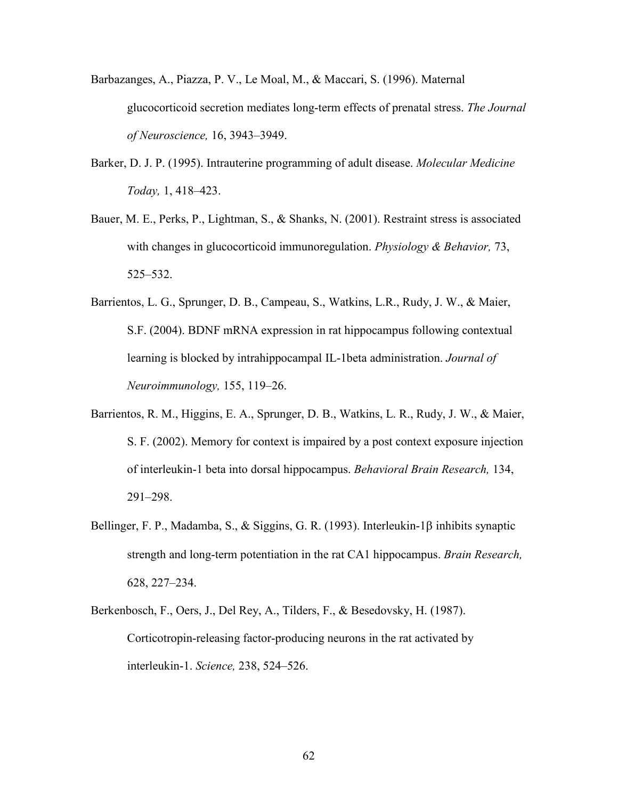- Barbazanges, A., Piazza, P. V., Le Moal, M., & Maccari, S. (1996). Maternal glucocorticoid secretion mediates long-term effects of prenatal stress. *The Journal of Neuroscience,* 16, 3943–3949.
- Barker, D. J. P. (1995). Intrauterine programming of adult disease. *Molecular Medicine Today,* 1, 418–423.
- Bauer, M. E., Perks, P., Lightman, S., & Shanks, N. (2001). Restraint stress is associated with changes in glucocorticoid immunoregulation. *Physiology & Behavior,* 73, 525–532.
- Barrientos, L. G., Sprunger, D. B., Campeau, S., Watkins, L.R., Rudy, J. W., & Maier, S.F. (2004). BDNF mRNA expression in rat hippocampus following contextual learning is blocked by intrahippocampal IL-1beta administration. *Journal of Neuroimmunology,* 155, 119–26.
- Barrientos, R. M., Higgins, E. A., Sprunger, D. B., Watkins, L. R., Rudy, J. W., & Maier, S. F. (2002). Memory for context is impaired by a post context exposure injection of interleukin-1 beta into dorsal hippocampus. *Behavioral Brain Research,* 134, 291–298.
- Bellinger, F. P., Madamba, S., & Siggins, G. R. (1993). Interleukin-1 $\beta$  inhibits synaptic strength and long-term potentiation in the rat CA1 hippocampus. *Brain Research,* 628, 227–234.
- Berkenbosch, F., Oers, J., Del Rey, A., Tilders, F., & Besedovsky, H. (1987). Corticotropin-releasing factor-producing neurons in the rat activated by interleukin-1. *Science,* 238, 524–526.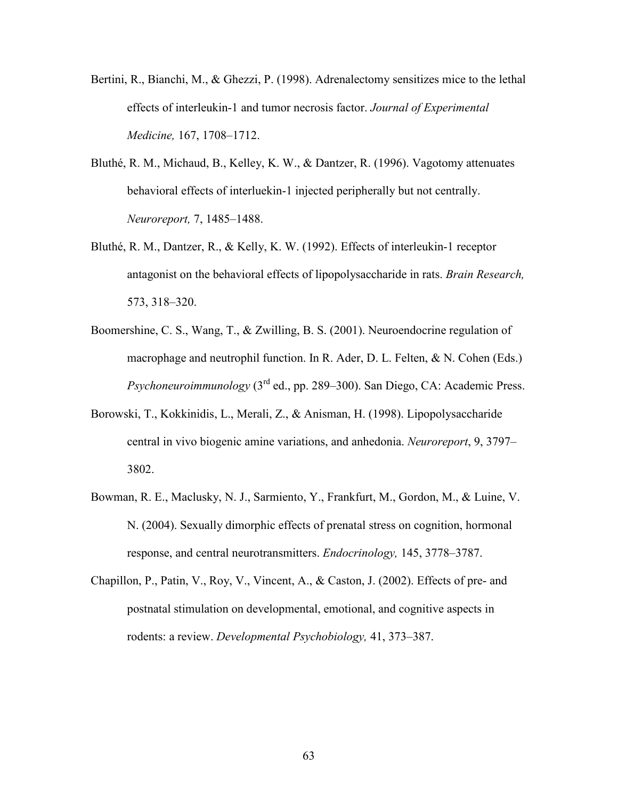- Bertini, R., Bianchi, M., & Ghezzi, P. (1998). Adrenalectomy sensitizes mice to the lethal effects of interleukin-1 and tumor necrosis factor. *Journal of Experimental Medicine,* 167, 1708–1712.
- Bluthé, R. M., Michaud, B., Kelley, K. W., & Dantzer, R. (1996). Vagotomy attenuates behavioral effects of interluekin-1 injected peripherally but not centrally. *Neuroreport,* 7, 1485–1488.
- Bluthé, R. M., Dantzer, R., & Kelly, K. W. (1992). Effects of interleukin-1 receptor antagonist on the behavioral effects of lipopolysaccharide in rats. *Brain Research,*  573, 318–320.
- Boomershine, C. S., Wang, T., & Zwilling, B. S. (2001). Neuroendocrine regulation of macrophage and neutrophil function. In R. Ader, D. L. Felten, & N. Cohen (Eds.) *Psychoneuroimmunology* (3rd ed., pp. 289–300). San Diego, CA: Academic Press.
- Borowski, T., Kokkinidis, L., Merali, Z., & Anisman, H. (1998). Lipopolysaccharide central in vivo biogenic amine variations, and anhedonia. *Neuroreport*, 9, 3797– 3802.
- Bowman, R. E., Maclusky, N. J., Sarmiento, Y., Frankfurt, M., Gordon, M., & Luine, V. N. (2004). Sexually dimorphic effects of prenatal stress on cognition, hormonal response, and central neurotransmitters. *Endocrinology,* 145, 3778–3787.
- Chapillon, P., Patin, V., Roy, V., Vincent, A., & Caston, J. (2002). Effects of pre- and postnatal stimulation on developmental, emotional, and cognitive aspects in rodents: a review. *Developmental Psychobiology,* 41, 373–387.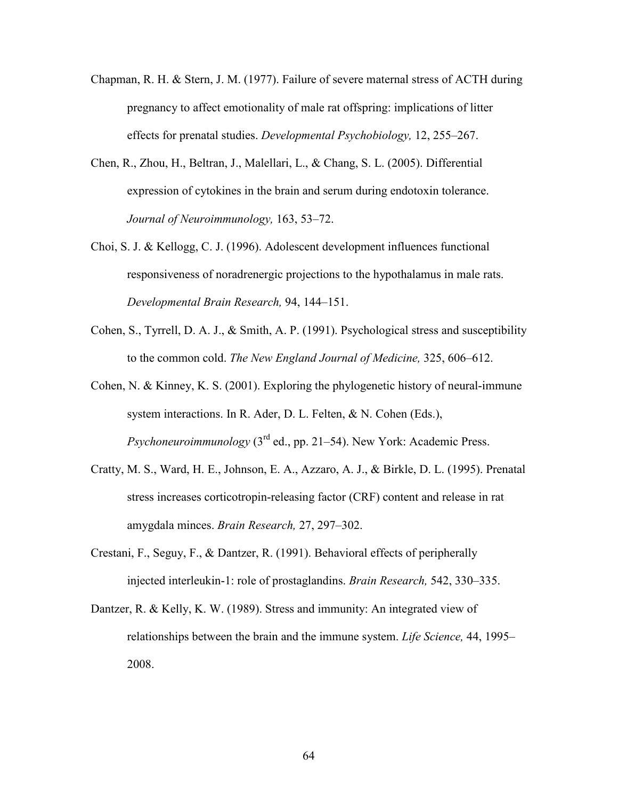- Chapman, R. H. & Stern, J. M. (1977). Failure of severe maternal stress of ACTH during pregnancy to affect emotionality of male rat offspring: implications of litter effects for prenatal studies. *Developmental Psychobiology,* 12, 255–267.
- Chen, R., Zhou, H., Beltran, J., Malellari, L., & Chang, S. L. (2005). Differential expression of cytokines in the brain and serum during endotoxin tolerance. *Journal of Neuroimmunology,* 163, 53–72.
- Choi, S. J. & Kellogg, C. J. (1996). Adolescent development influences functional responsiveness of noradrenergic projections to the hypothalamus in male rats. *Developmental Brain Research,* 94, 144–151.
- Cohen, S., Tyrrell, D. A. J., & Smith, A. P. (1991). Psychological stress and susceptibility to the common cold. *The New England Journal of Medicine,* 325, 606–612.
- Cohen, N. & Kinney, K. S. (2001). Exploring the phylogenetic history of neural-immune system interactions. In R. Ader, D. L. Felten, & N. Cohen (Eds.), *Psychoneuroimmunology* (3<sup>rd</sup> ed., pp. 21–54). New York: Academic Press.
- Cratty, M. S., Ward, H. E., Johnson, E. A., Azzaro, A. J., & Birkle, D. L. (1995). Prenatal stress increases corticotropin-releasing factor (CRF) content and release in rat amygdala minces. *Brain Research,* 27, 297–302.
- Crestani, F., Seguy, F., & Dantzer, R. (1991). Behavioral effects of peripherally injected interleukin-1: role of prostaglandins. *Brain Research,* 542, 330–335.
- Dantzer, R. & Kelly, K. W. (1989). Stress and immunity: An integrated view of relationships between the brain and the immune system. *Life Science,* 44, 1995– 2008.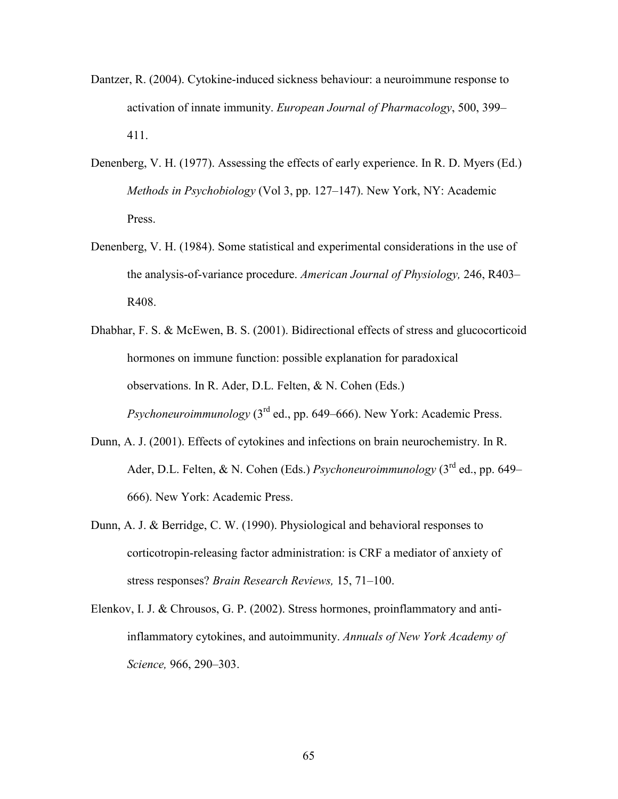- Dantzer, R. (2004). Cytokine-induced sickness behaviour: a neuroimmune response to activation of innate immunity. *European Journal of Pharmacology*, 500, 399– 411.
- Denenberg, V. H. (1977). Assessing the effects of early experience. In R. D. Myers (Ed.) *Methods in Psychobiology* (Vol 3, pp. 127–147). New York, NY: Academic Press.
- Denenberg, V. H. (1984). Some statistical and experimental considerations in the use of the analysis-of-variance procedure. *American Journal of Physiology,* 246, R403– R408.
- Dhabhar, F. S. & McEwen, B. S. (2001). Bidirectional effects of stress and glucocorticoid hormones on immune function: possible explanation for paradoxical observations. In R. Ader, D.L. Felten, & N. Cohen (Eds.) *Psychoneuroimmunology* (3<sup>rd</sup> ed., pp. 649–666). New York: Academic Press.
- Dunn, A. J. (2001). Effects of cytokines and infections on brain neurochemistry. In R. Ader, D.L. Felten, & N. Cohen (Eds.) *Psychoneuroimmunology* (3rd ed., pp. 649– 666). New York: Academic Press.
- Dunn, A. J. & Berridge, C. W. (1990). Physiological and behavioral responses to corticotropin-releasing factor administration: is CRF a mediator of anxiety of stress responses? *Brain Research Reviews,* 15, 71–100.
- Elenkov, I. J. & Chrousos, G. P. (2002). Stress hormones, proinflammatory and anti inflammatory cytokines, and autoimmunity. *Annuals of New York Academy of Science,* 966, 290–303.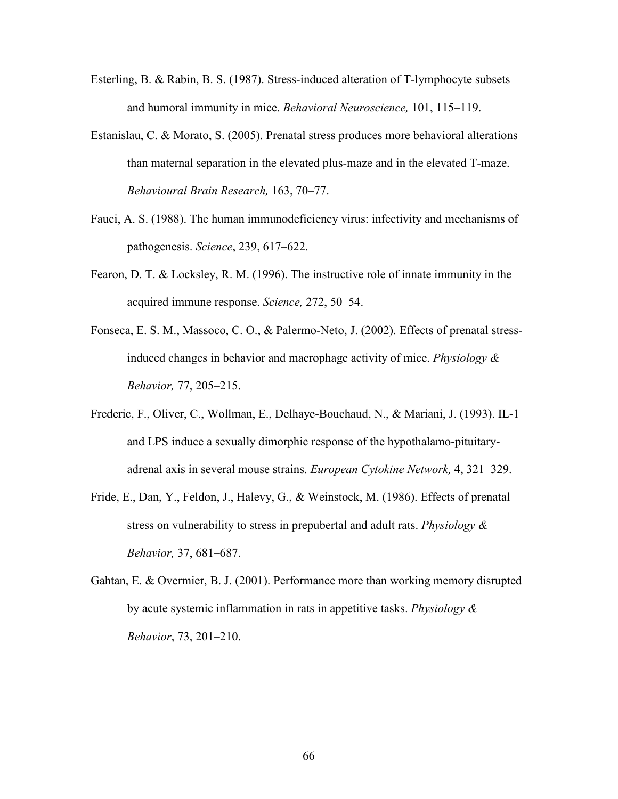- Esterling, B. & Rabin, B. S. (1987). Stress-induced alteration of T-lymphocyte subsets and humoral immunity in mice. *Behavioral Neuroscience,* 101, 115–119.
- Estanislau, C. & Morato, S. (2005). Prenatal stress produces more behavioral alterations than maternal separation in the elevated plus-maze and in the elevated T-maze. *Behavioural Brain Research,* 163, 70–77.
- Fauci, A. S. (1988). The human immunodeficiency virus: infectivity and mechanisms of pathogenesis. *Science*, 239, 617–622.
- Fearon, D. T. & Locksley, R. M. (1996). The instructive role of innate immunity in the acquired immune response. *Science,* 272, 50–54.
- Fonseca, E. S. M., Massoco, C. O., & Palermo-Neto, J. (2002). Effects of prenatal stress induced changes in behavior and macrophage activity of mice. *Physiology & Behavior,* 77, 205–215.
- Frederic, F., Oliver, C., Wollman, E., Delhaye-Bouchaud, N., & Mariani, J. (1993). IL-1 and LPS induce a sexually dimorphic response of the hypothalamo-pituitaryadrenal axis in several mouse strains. *European Cytokine Network,* 4, 321–329.
- Fride, E., Dan, Y., Feldon, J., Halevy, G., & Weinstock, M. (1986). Effects of prenatal stress on vulnerability to stress in prepubertal and adult rats. *Physiology & Behavior,* 37, 681–687.
- Gahtan, E. & Overmier, B. J. (2001). Performance more than working memory disrupted by acute systemic inflammation in rats in appetitive tasks. *Physiology & Behavior*, 73, 201–210.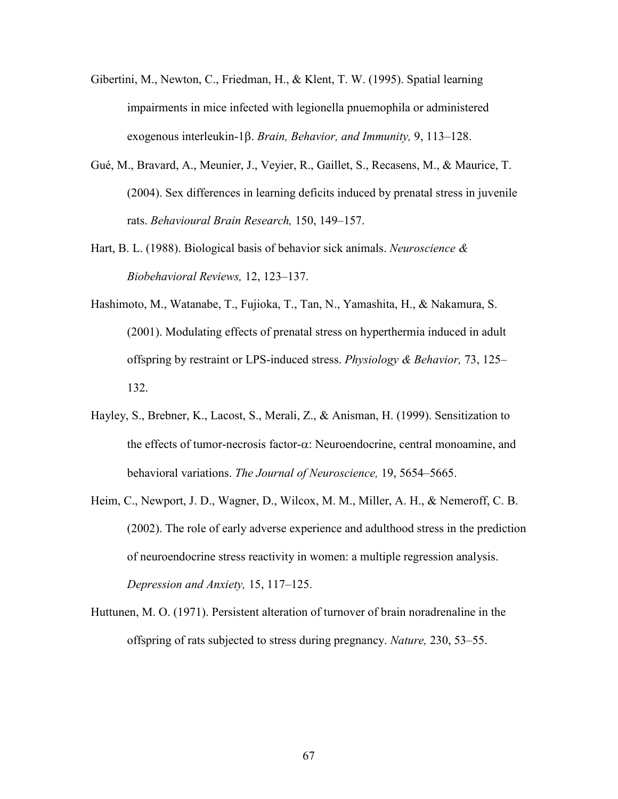- Gibertini, M., Newton, C., Friedman, H., & Klent, T. W. (1995). Spatial learning impairments in mice infected with legionella pnuemophila or administered exogenous interleukin-1 $\beta$ . *Brain, Behavior, and Immunity*, 9, 113–128.
- Gué, M., Bravard, A., Meunier, J., Veyier, R., Gaillet, S., Recasens, M., & Maurice, T. (2004). Sex differences in learning deficits induced by prenatal stress in juvenile rats. *Behavioural Brain Research,* 150, 149–157.
- Hart, B. L. (1988). Biological basis of behavior sick animals. *Neuroscience & Biobehavioral Reviews,* 12, 123–137.
- Hashimoto, M., Watanabe, T., Fujioka, T., Tan, N., Yamashita, H., & Nakamura, S. (2001). Modulating effects of prenatal stress on hyperthermia induced in adult offspring by restraint or LPS-induced stress. *Physiology & Behavior,* 73, 125– 132.
- Hayley, S., Brebner, K., Lacost, S., Merali, Z., & Anisman, H. (1999). Sensitization to the effects of tumor-necrosis factor- $\alpha$ : Neuroendocrine, central monoamine, and behavioral variations. *The Journal of Neuroscience,* 19, 5654–5665.
- Heim, C., Newport, J. D., Wagner, D., Wilcox, M. M., Miller, A. H., & Nemeroff, C. B. (2002). The role of early adverse experience and adulthood stress in the prediction of neuroendocrine stress reactivity in women: a multiple regression analysis. *Depression and Anxiety,* 15, 117–125.
- Huttunen, M. O. (1971). Persistent alteration of turnover of brain noradrenaline in the offspring of rats subjected to stress during pregnancy. *Nature,* 230, 53–55.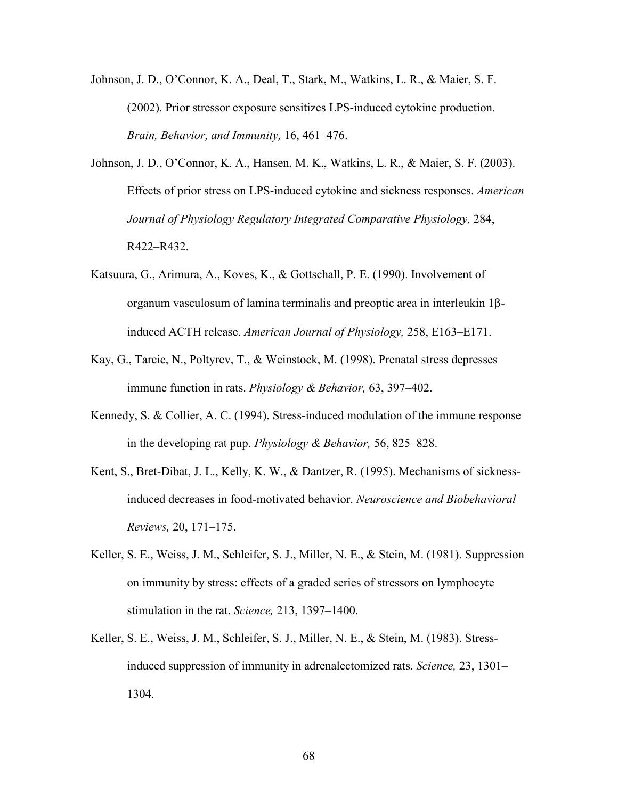Johnson, J. D., O'Connor, K. A., Deal, T., Stark, M., Watkins, L. R., & Maier, S. F. (2002). Prior stressor exposure sensitizes LPS-induced cytokine production. *Brain, Behavior, and Immunity,* 16, 461–476.

- Johnson, J. D., O'Connor, K. A., Hansen, M. K., Watkins, L. R., & Maier, S. F. (2003). Effects of prior stress on LPS-induced cytokine and sickness responses. *American Journal of Physiology Regulatory Integrated Comparative Physiology,* 284, R422–R432.
- Katsuura, G., Arimura, A., Koves, K., & Gottschall, P. E. (1990). Involvement of organum vasculosum of lamina terminalis and preoptic area in interleukin  $1\beta$ induced ACTH release. *American Journal of Physiology,* 258, E163–E171.
- Kay, G., Tarcic, N., Poltyrev, T., & Weinstock, M. (1998). Prenatal stress depresses immune function in rats. *Physiology & Behavior,* 63, 397–402.
- Kennedy, S. & Collier, A. C. (1994). Stress-induced modulation of the immune response in the developing rat pup. *Physiology & Behavior,* 56, 825–828.
- Kent, S., Bret-Dibat, J. L., Kelly, K. W., & Dantzer, R. (1995). Mechanisms of sickness induced decreases in food-motivated behavior. *Neuroscience and Biobehavioral Reviews,* 20, 171–175.
- Keller, S. E., Weiss, J. M., Schleifer, S. J., Miller, N. E., & Stein, M. (1981). Suppression on immunity by stress: effects of a graded series of stressors on lymphocyte stimulation in the rat. *Science,* 213, 1397–1400.
- Keller, S. E., Weiss, J. M., Schleifer, S. J., Miller, N. E., & Stein, M. (1983). Stress induced suppression of immunity in adrenalectomized rats. *Science,* 23, 1301– 1304.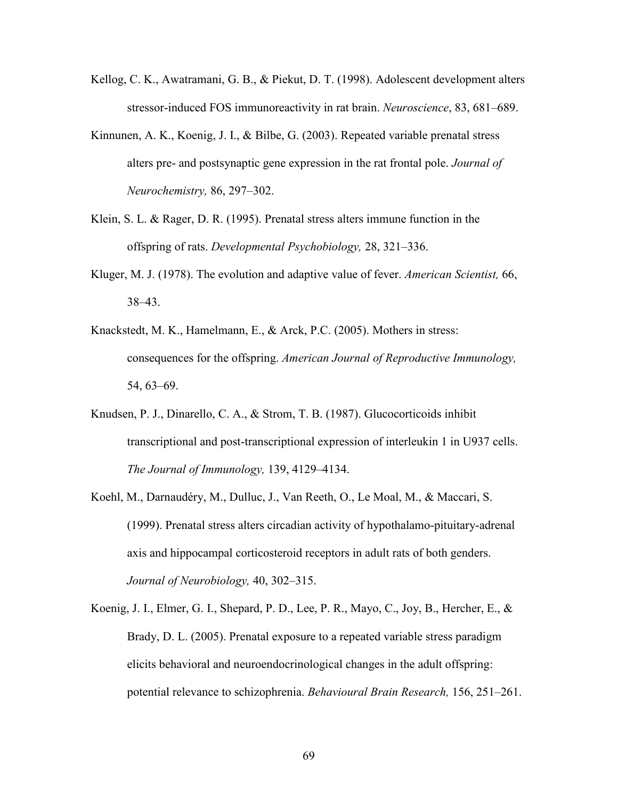- Kellog, C. K., Awatramani, G. B., & Piekut, D. T. (1998). Adolescent development alters stressor-induced FOS immunoreactivity in rat brain. *Neuroscience*, 83, 681–689.
- Kinnunen, A. K., Koenig, J. I., & Bilbe, G. (2003). Repeated variable prenatal stress alters pre- and postsynaptic gene expression in the rat frontal pole. *Journal of Neurochemistry,* 86, 297–302.
- Klein, S. L. & Rager, D. R. (1995). Prenatal stress alters immune function in the offspring of rats. *Developmental Psychobiology,* 28, 321–336.
- Kluger, M. J. (1978). The evolution and adaptive value of fever. *American Scientist,* 66, 38–43.
- Knackstedt, M. K., Hamelmann, E., & Arck, P.C. (2005). Mothers in stress: consequences for the offspring. *American Journal of Reproductive Immunology,*  54, 63–69.
- Knudsen, P. J., Dinarello, C. A., & Strom, T. B. (1987). Glucocorticoids inhibit transcriptional and post-transcriptional expression of interleukin 1 in U937 cells. *The Journal of Immunology,* 139, 4129–4134.
- Koehl, M., Darnaudéry, M., Dulluc, J., Van Reeth, O., Le Moal, M., & Maccari, S. (1999). Prenatal stress alters circadian activity of hypothalamo-pituitary-adrenal axis and hippocampal corticosteroid receptors in adult rats of both genders. *Journal of Neurobiology,* 40, 302–315.
- Koenig, J. I., Elmer, G. I., Shepard, P. D., Lee, P. R., Mayo, C., Joy, B., Hercher, E., & Brady, D. L. (2005). Prenatal exposure to a repeated variable stress paradigm elicits behavioral and neuroendocrinological changes in the adult offspring: potential relevance to schizophrenia. *Behavioural Brain Research,* 156, 251–261.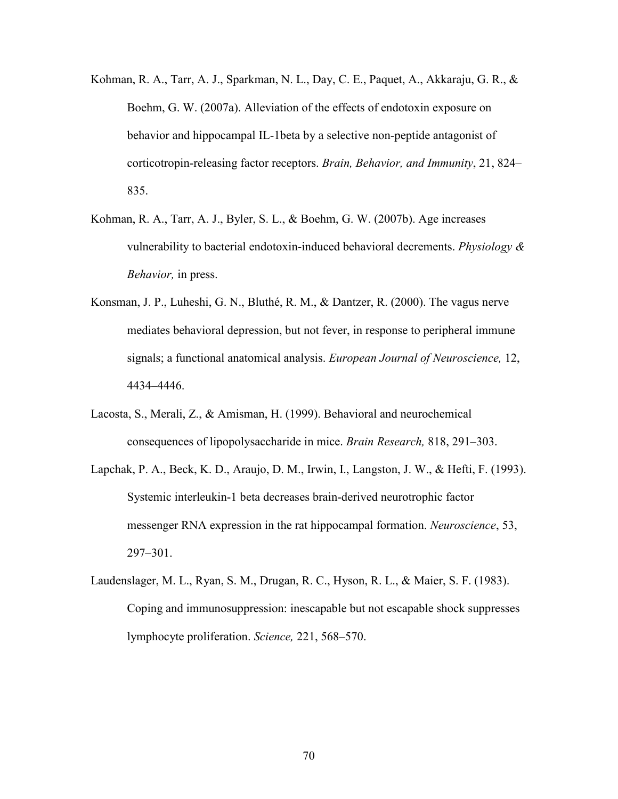- Kohman, R. A., Tarr, A. J., Sparkman, N. L., Day, C. E., Paquet, A., Akkaraju, G. R., & Boehm, G. W. (2007a). Alleviation of the effects of endotoxin exposure on behavior and hippocampal IL-1beta by a selective non-peptide antagonist of corticotropin-releasing factor receptors. *Brain, Behavior, and Immunity*, 21, 824– 835.
- Kohman, R. A., Tarr, A. J., Byler, S. L., & Boehm, G. W. (2007b). Age increases vulnerability to bacterial endotoxin-induced behavioral decrements. *Physiology & Behavior,* in press.
- Konsman, J. P., Luheshi, G. N., Bluthé, R. M., & Dantzer, R. (2000). The vagus nerve mediates behavioral depression, but not fever, in response to peripheral immune signals; a functional anatomical analysis. *European Journal of Neuroscience,* 12, 4434–4446.
- Lacosta, S., Merali, Z., & Amisman, H. (1999). Behavioral and neurochemical consequences of lipopolysaccharide in mice. *Brain Research,* 818, 291–303.
- Lapchak, P. A., Beck, K. D., Araujo, D. M., Irwin, I., Langston, J. W., & Hefti, F. (1993). Systemic interleukin-1 beta decreases brain-derived neurotrophic factor messenger RNA expression in the rat hippocampal formation. *Neuroscience*, 53, 297–301.
- Laudenslager, M. L., Ryan, S. M., Drugan, R. C., Hyson, R. L., & Maier, S. F. (1983). Coping and immunosuppression: inescapable but not escapable shock suppresses lymphocyte proliferation. *Science,* 221, 568–570.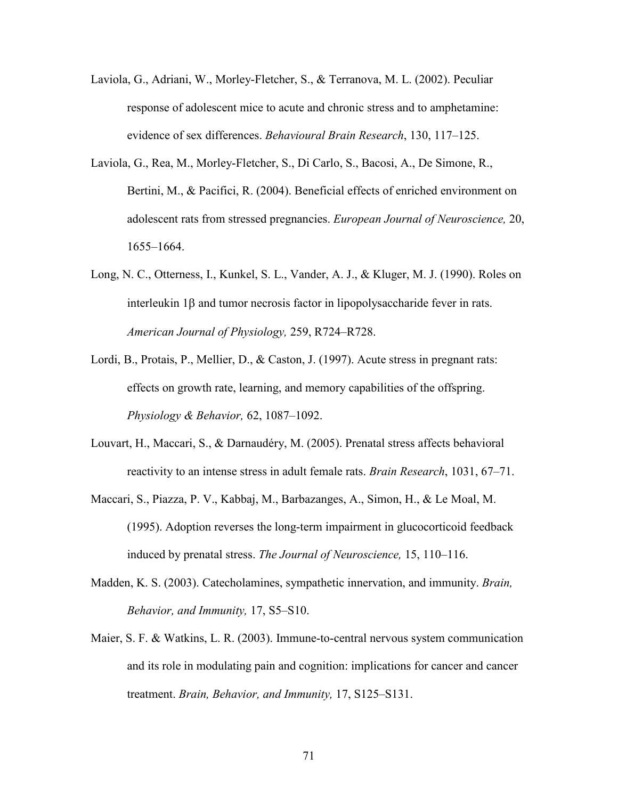- Laviola, G., Adriani, W., Morley-Fletcher, S., & Terranova, M. L. (2002). Peculiar response of adolescent mice to acute and chronic stress and to amphetamine: evidence of sex differences. *Behavioural Brain Research*, 130, 117–125.
- Laviola, G., Rea, M., Morley-Fletcher, S., Di Carlo, S., Bacosi, A., De Simone, R., Bertini, M., & Pacifici, R. (2004). Beneficial effects of enriched environment on adolescent rats from stressed pregnancies. *European Journal of Neuroscience,* 20, 1655–1664.
- Long, N. C., Otterness, I., Kunkel, S. L., Vander, A. J., & Kluger, M. J. (1990). Roles on interleukin  $1\beta$  and tumor necrosis factor in lipopolysaccharide fever in rats. *American Journal of Physiology,* 259, R724–R728.
- Lordi, B., Protais, P., Mellier, D., & Caston, J. (1997). Acute stress in pregnant rats: effects on growth rate, learning, and memory capabilities of the offspring. *Physiology & Behavior,* 62, 1087–1092.
- Louvart, H., Maccari, S., & Darnaudéry, M. (2005). Prenatal stress affects behavioral reactivity to an intense stress in adult female rats. *Brain Research*, 1031, 67–71.
- Maccari, S., Piazza, P. V., Kabbaj, M., Barbazanges, A., Simon, H., & Le Moal, M. (1995). Adoption reverses the long-term impairment in glucocorticoid feedback induced by prenatal stress. *The Journal of Neuroscience,* 15, 110–116.
- Madden, K. S. (2003). Catecholamines, sympathetic innervation, and immunity. *Brain, Behavior, and Immunity,* 17, S5–S10.
- Maier, S. F. & Watkins, L. R. (2003). Immune-to-central nervous system communication and its role in modulating pain and cognition: implications for cancer and cancer treatment. *Brain, Behavior, and Immunity,* 17, S125–S131.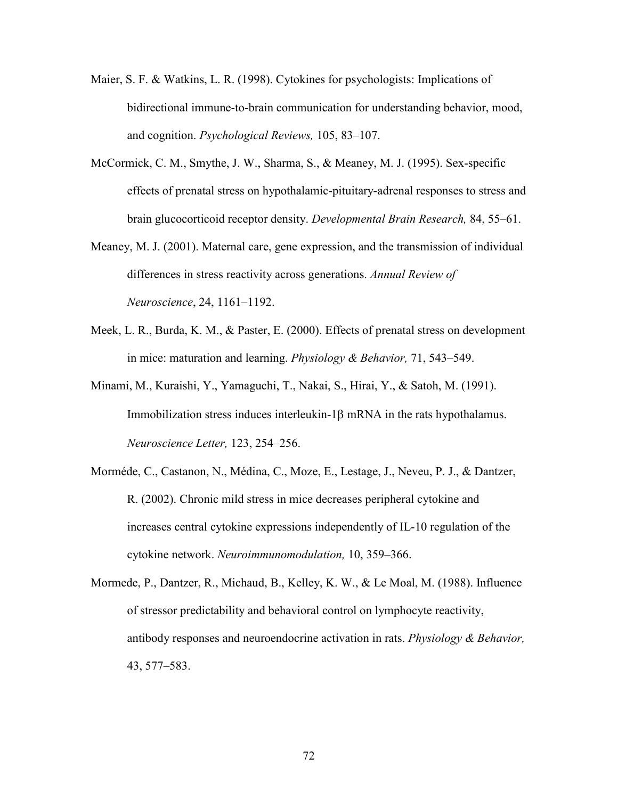- Maier, S. F. & Watkins, L. R. (1998). Cytokines for psychologists: Implications of bidirectional immune-to-brain communication for understanding behavior, mood, and cognition. *Psychological Reviews,* 105, 83–107.
- McCormick, C. M., Smythe, J. W., Sharma, S., & Meaney, M. J. (1995). Sex-specific effects of prenatal stress on hypothalamic-pituitary-adrenal responses to stress and brain glucocorticoid receptor density. *Developmental Brain Research,* 84, 55–61.
- Meaney, M. J. (2001). Maternal care, gene expression, and the transmission of individual differences in stress reactivity across generations. *Annual Review of Neuroscience*, 24, 1161–1192.
- Meek, L. R., Burda, K. M., & Paster, E. (2000). Effects of prenatal stress on development in mice: maturation and learning. *Physiology & Behavior,* 71, 543–549.
- Minami, M., Kuraishi, Y., Yamaguchi, T., Nakai, S., Hirai, Y., & Satoh, M. (1991). Immobilization stress induces interleukin- $1\beta$  mRNA in the rats hypothalamus. *Neuroscience Letter,* 123, 254–256.
- Morméde, C., Castanon, N., Médina, C., Moze, E., Lestage, J., Neveu, P. J., & Dantzer, R. (2002). Chronic mild stress in mice decreases peripheral cytokine and increases central cytokine expressions independently of IL-10 regulation of the cytokine network. *Neuroimmunomodulation,* 10, 359–366.
- Mormede, P., Dantzer, R., Michaud, B., Kelley, K. W., & Le Moal, M. (1988). Influence of stressor predictability and behavioral control on lymphocyte reactivity, antibody responses and neuroendocrine activation in rats. *Physiology & Behavior,*  43, 577–583.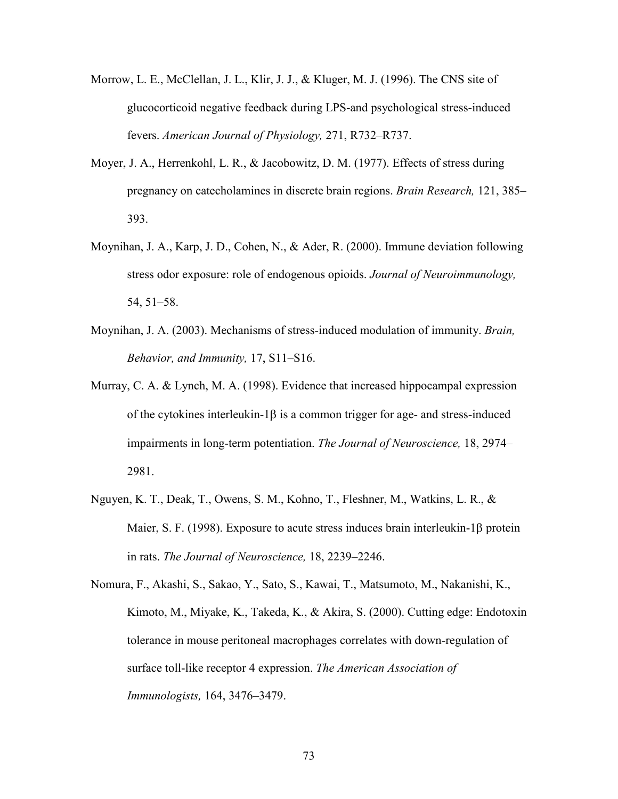- Morrow, L. E., McClellan, J. L., Klir, J. J., & Kluger, M. J. (1996). The CNS site of glucocorticoid negative feedback during LPS-and psychological stress-induced fevers. *American Journal of Physiology,* 271, R732–R737.
- Moyer, J. A., Herrenkohl, L. R., & Jacobowitz, D. M. (1977). Effects of stress during pregnancy on catecholamines in discrete brain regions. *Brain Research,* 121, 385– 393.
- Moynihan, J. A., Karp, J. D., Cohen, N., & Ader, R. (2000). Immune deviation following stress odor exposure: role of endogenous opioids. *Journal of Neuroimmunology,* 54, 51–58.
- Moynihan, J. A. (2003). Mechanisms of stress-induced modulation of immunity. *Brain, Behavior, and Immunity,* 17, S11–S16.
- Murray, C. A. & Lynch, M. A. (1998). Evidence that increased hippocampal expression of the cytokines interleukin-1 $\beta$  is a common trigger for age- and stress-induced impairments in long-term potentiation. *The Journal of Neuroscience,* 18, 2974– 2981.
- Nguyen, K. T., Deak, T., Owens, S. M., Kohno, T., Fleshner, M., Watkins, L. R., & Maier, S. F. (1998). Exposure to acute stress induces brain interleukin-1 $\beta$  protein in rats. *The Journal of Neuroscience,* 18, 2239–2246.
- Nomura, F., Akashi, S., Sakao, Y., Sato, S., Kawai, T., Matsumoto, M., Nakanishi, K., Kimoto, M., Miyake, K., Takeda, K., & Akira, S. (2000). Cutting edge: Endotoxin tolerance in mouse peritoneal macrophages correlates with down-regulation of surface toll-like receptor 4 expression. *The American Association of Immunologists,* 164, 3476–3479.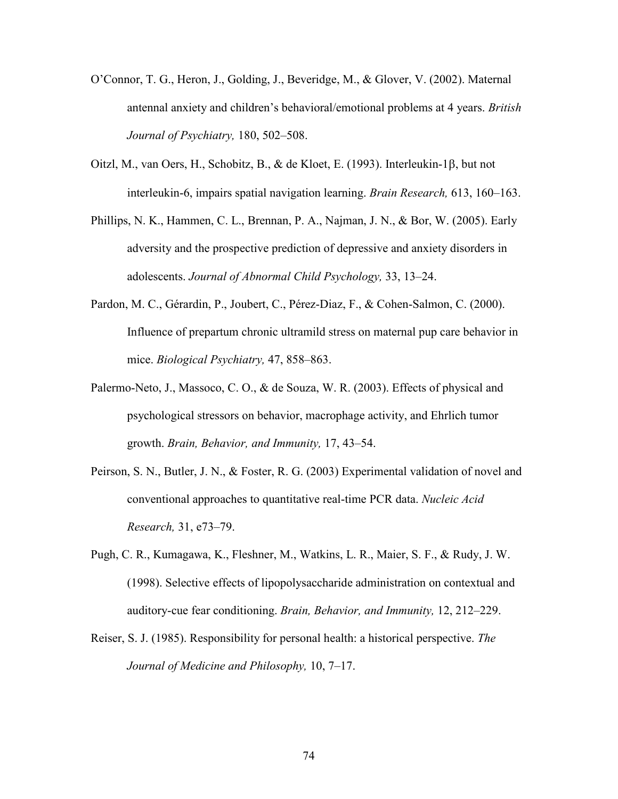- O'Connor, T. G., Heron, J., Golding, J., Beveridge, M., & Glover, V. (2002). Maternal antennal anxiety and children's behavioral/emotional problems at 4 years. *British Journal of Psychiatry,* 180, 502–508.
- Oitzl, M., van Oers, H., Schobitz, B., & de Kloet, E. (1993). Interleukin-1 $\beta$ , but not interleukin-6, impairs spatial navigation learning. *Brain Research,* 613, 160–163.
- Phillips, N. K., Hammen, C. L., Brennan, P. A., Najman, J. N., & Bor, W. (2005). Early adversity and the prospective prediction of depressive and anxiety disorders in adolescents. *Journal of Abnormal Child Psychology,* 33, 13–24.
- Pardon, M. C., Gérardin, P., Joubert, C., Pérez-Diaz, F., & Cohen-Salmon, C. (2000). Influence of prepartum chronic ultramild stress on maternal pup care behavior in mice. *Biological Psychiatry,* 47, 858–863.
- Palermo-Neto, J., Massoco, C. O., & de Souza, W. R. (2003). Effects of physical and psychological stressors on behavior, macrophage activity, and Ehrlich tumor growth. *Brain, Behavior, and Immunity,* 17, 43–54.
- Peirson, S. N., Butler, J. N., & Foster, R. G. (2003) Experimental validation of novel and conventional approaches to quantitative real-time PCR data. *Nucleic Acid Research,* 31, e73–79.
- Pugh, C. R., Kumagawa, K., Fleshner, M., Watkins, L. R., Maier, S. F., & Rudy, J. W. (1998). Selective effects of lipopolysaccharide administration on contextual and auditory-cue fear conditioning. *Brain, Behavior, and Immunity,* 12, 212–229.
- Reiser, S. J. (1985). Responsibility for personal health: a historical perspective. *The Journal of Medicine and Philosophy,* 10, 7–17.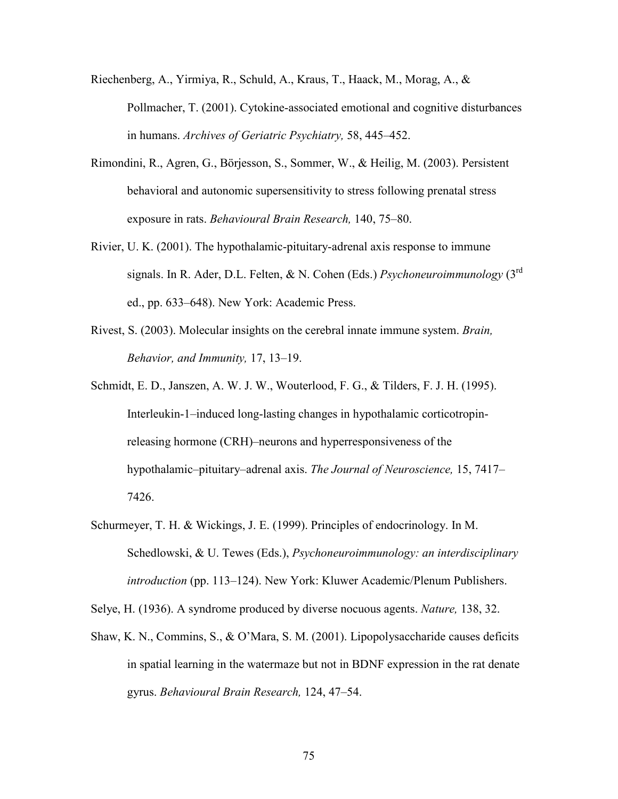- Riechenberg, A., Yirmiya, R., Schuld, A., Kraus, T., Haack, M., Morag, A., & Pollmacher, T. (2001). Cytokine-associated emotional and cognitive disturbances in humans. *Archives of Geriatric Psychiatry,* 58, 445–452.
- Rimondini, R., Agren, G., Börjesson, S., Sommer, W., & Heilig, M. (2003). Persistent behavioral and autonomic supersensitivity to stress following prenatal stress exposure in rats. *Behavioural Brain Research,* 140, 75–80.
- Rivier, U. K. (2001). The hypothalamic-pituitary-adrenal axis response to immune signals. In R. Ader, D.L. Felten, & N. Cohen (Eds.) *Psychoneuroimmunology* (3rd ed., pp. 633–648). New York: Academic Press.
- Rivest, S. (2003). Molecular insights on the cerebral innate immune system. *Brain, Behavior, and Immunity,* 17, 13–19.
- Schmidt, E. D., Janszen, A. W. J. W., Wouterlood, F. G., & Tilders, F. J. H. (1995). Interleukin-1–induced long-lasting changes in hypothalamic corticotropin releasing hormone (CRH)–neurons and hyperresponsiveness of the hypothalamic–pituitary–adrenal axis. *The Journal of Neuroscience,* 15, 7417– 7426.
- Schurmeyer, T. H. & Wickings, J. E. (1999). Principles of endocrinology. In M. Schedlowski, & U. Tewes (Eds.), *Psychoneuroimmunology: an interdisciplinary introduction* (pp. 113–124). New York: Kluwer Academic/Plenum Publishers.
- Selye, H. (1936). A syndrome produced by diverse nocuous agents. *Nature,* 138, 32.
- Shaw, K. N., Commins, S., & O'Mara, S. M. (2001). Lipopolysaccharide causes deficits in spatial learning in the watermaze but not in BDNF expression in the rat denate gyrus. *Behavioural Brain Research,* 124, 47–54.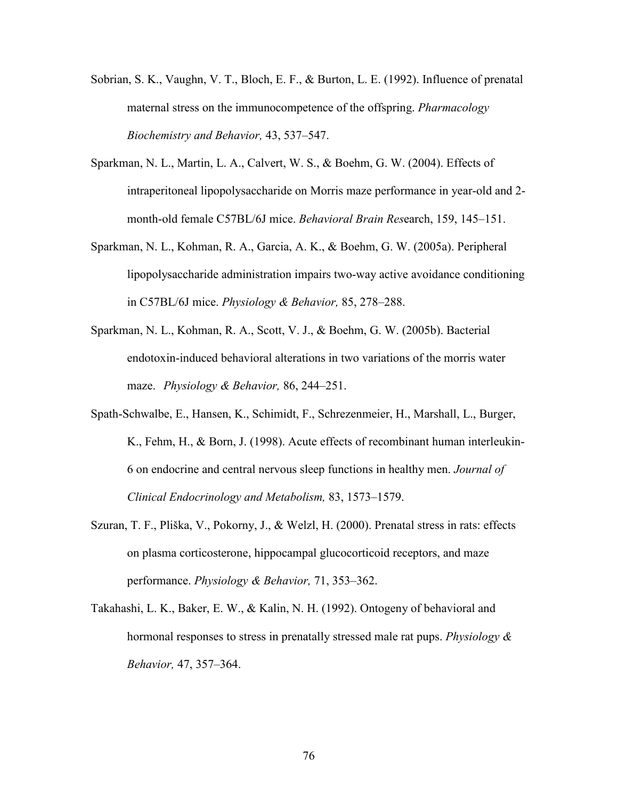- Sobrian, S. K., Vaughn, V. T., Bloch, E. F., & Burton, L. E. (1992). Influence of prenatal maternal stress on the immunocompetence of the offspring. *Pharmacology Biochemistry and Behavior,* 43, 537–547.
- Sparkman, N. L., Martin, L. A., Calvert, W. S., & Boehm, G. W. (2004). Effects of intraperitoneal lipopolysaccharide on Morris maze performance in year-old and 2 month-old female C57BL/6J mice. *Behavioral Brain Res*earch, 159, 145–151.
- Sparkman, N. L., Kohman, R. A., Garcia, A. K., & Boehm, G. W. (2005a). Peripheral lipopolysaccharide administration impairs two-way active avoidance conditioning in C57BL/6J mice. *Physiology & Behavior,* 85, 278–288.
- Sparkman, N. L., Kohman, R. A., Scott, V. J., & Boehm, G. W. (2005b). Bacterial endotoxin-induced behavioral alterations in two variations of the morris water maze. *Physiology & Behavior,* 86, 244–251.
- Spath-Schwalbe, E., Hansen, K., Schimidt, F., Schrezenmeier, H., Marshall, L., Burger, K., Fehm, H., & Born, J. (1998). Acute effects of recombinant human interleukin- 6 on endocrine and central nervous sleep functions in healthy men. *Journal of Clinical Endocrinology and Metabolism,* 83, 1573–1579.
- Szuran, T. F., Pliška, V., Pokorny, J., & Welzl, H. (2000). Prenatal stress in rats: effects on plasma corticosterone, hippocampal glucocorticoid receptors, and maze performance. *Physiology & Behavior,* 71, 353–362.
- Takahashi, L. K., Baker, E. W., & Kalin, N. H. (1992). Ontogeny of behavioral and hormonal responses to stress in prenatally stressed male rat pups. *Physiology & Behavior,* 47, 357–364.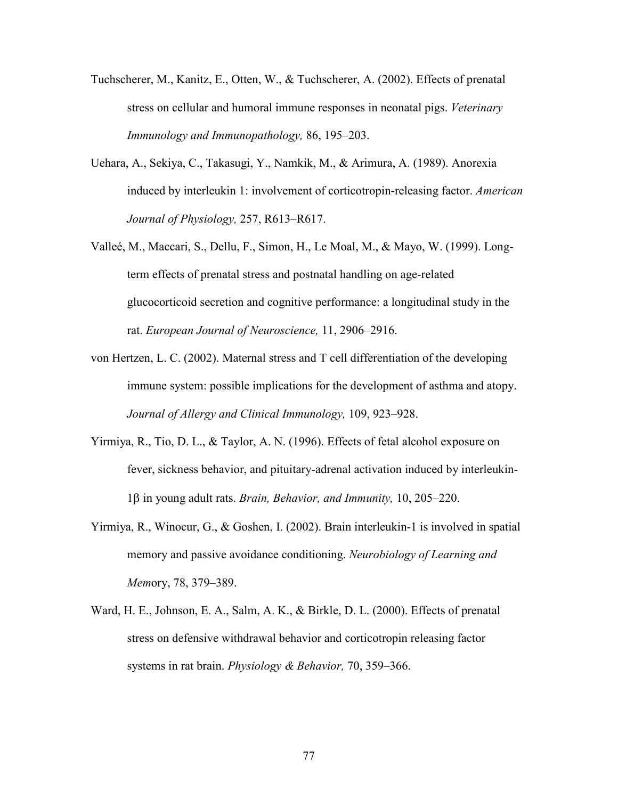- Tuchscherer, M., Kanitz, E., Otten, W., & Tuchscherer, A. (2002). Effects of prenatal stress on cellular and humoral immune responses in neonatal pigs. *Veterinary Immunology and Immunopathology,* 86, 195–203.
- Uehara, A., Sekiya, C., Takasugi, Y., Namkik, M., & Arimura, A. (1989). Anorexia induced by interleukin 1: involvement of corticotropin-releasing factor. *American Journal of Physiology,* 257, R613–R617.
- Valleé, M., Maccari, S., Dellu, F., Simon, H., Le Moal, M., & Mayo, W. (1999). Long term effects of prenatal stress and postnatal handling on age-related glucocorticoid secretion and cognitive performance: a longitudinal study in the rat. *European Journal of Neuroscience,* 11, 2906–2916.
- von Hertzen, L. C. (2002). Maternal stress and T cell differentiation of the developing immune system: possible implications for the development of asthma and atopy. *Journal of Allergy and Clinical Immunology,* 109, 923*–*928.
- Yirmiya, R., Tio, D. L., & Taylor, A. N. (1996). Effects of fetal alcohol exposure on fever, sickness behavior, and pituitary-adrenal activation induced by interleukin- 1β in young adult rats. *Brain, Behavior, and Immunity*, 10, 205–220.
- Yirmiya, R., Winocur, G., & Goshen, I. (2002). Brain interleukin-1 is involved in spatial memory and passive avoidance conditioning. *Neurobiology of Learning and Mem*ory, 78, 379–389.
- Ward, H. E., Johnson, E. A., Salm, A. K., & Birkle, D. L. (2000). Effects of prenatal stress on defensive withdrawal behavior and corticotropin releasing factor systems in rat brain. *Physiology & Behavior,* 70, 359–366.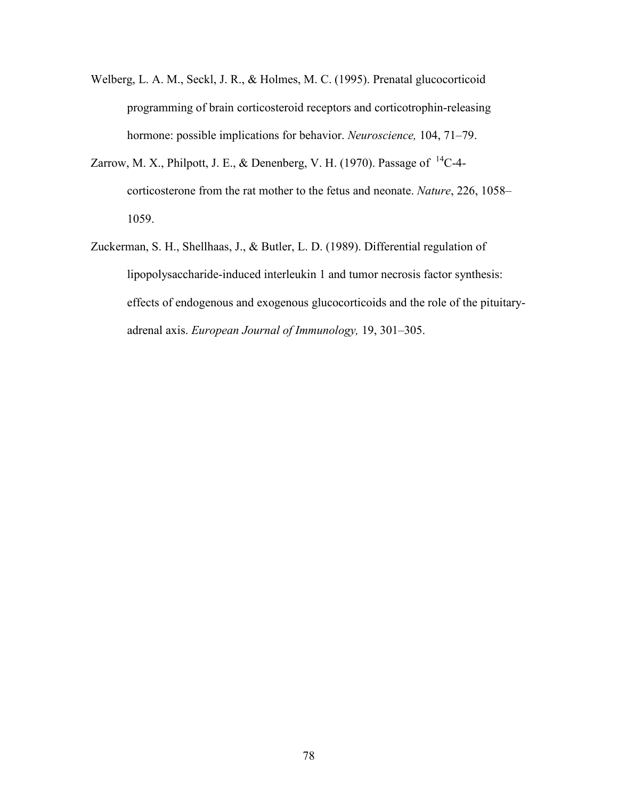- Welberg, L. A. M., Seckl, J. R., & Holmes, M. C. (1995). Prenatal glucocorticoid programming of brain corticosteroid receptors and corticotrophin-releasing hormone: possible implications for behavior. *Neuroscience,* 104, 71–79.
- Zarrow, M. X., Philpott, J. E., & Denenberg, V. H. (1970). Passage of  $^{14}$ C-4 corticosterone from the rat mother to the fetus and neonate. *Nature*, 226, 1058– 1059.
- Zuckerman, S. H., Shellhaas, J., & Butler, L. D. (1989). Differential regulation of lipopolysaccharide-induced interleukin 1 and tumor necrosis factor synthesis: effects of endogenous and exogenous glucocorticoids and the role of the pituitary adrenal axis. *European Journal of Immunology,* 19, 301–305.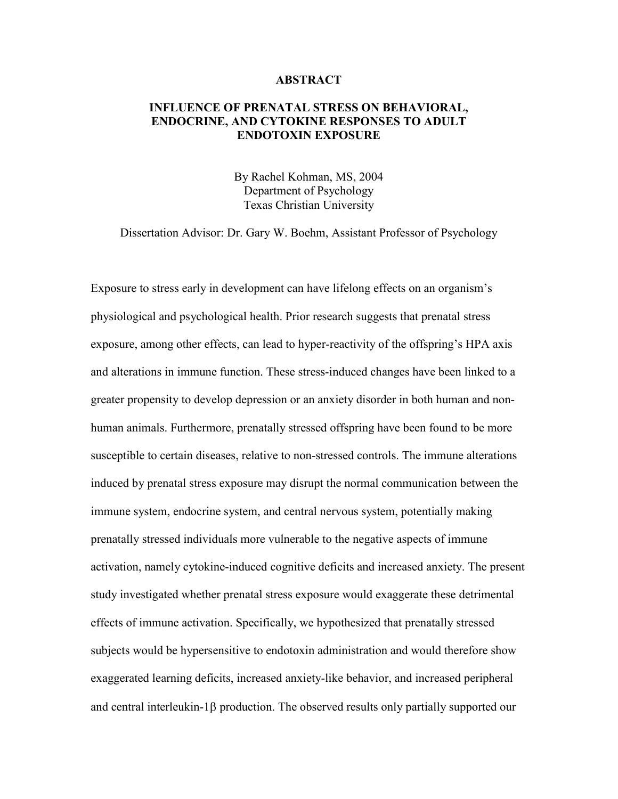## **ABSTRACT**

## **INFLUENCE OF PRENATAL STRESS ON BEHAVIORAL, ENDOCRINE, AND CYTOKINE RESPONSES TO ADULT ENDOTOXIN EXPOSURE**

By Rachel Kohman, MS, 2004 Department of Psychology Texas Christian University

Dissertation Advisor: Dr. Gary W. Boehm, Assistant Professor of Psychology

Exposure to stress early in development can have lifelong effects on an organism's physiological and psychological health. Prior research suggests that prenatal stress exposure, among other effects, can lead to hyper-reactivity of the offspring's HPA axis and alterations in immune function. These stress-induced changes have been linked to a greater propensity to develop depression or an anxiety disorder in both human and nonhuman animals. Furthermore, prenatally stressed offspring have been found to be more susceptible to certain diseases, relative to non-stressed controls. The immune alterations induced by prenatal stress exposure may disrupt the normal communication between the immune system, endocrine system, and central nervous system, potentially making prenatally stressed individuals more vulnerable to the negative aspects of immune activation, namely cytokine-induced cognitive deficits and increased anxiety. The present study investigated whether prenatal stress exposure would exaggerate these detrimental effects of immune activation. Specifically, we hypothesized that prenatally stressed subjects would be hypersensitive to endotoxin administration and would therefore show exaggerated learning deficits, increased anxiety-like behavior, and increased peripheral and central interleukin-1 $\beta$  production. The observed results only partially supported our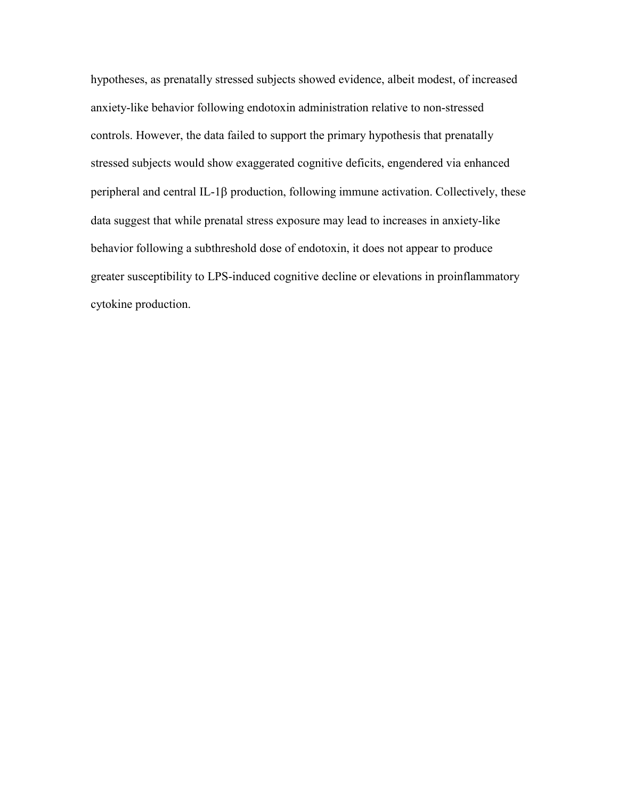hypotheses, as prenatally stressed subjects showed evidence, albeit modest, of increased anxiety-like behavior following endotoxin administration relative to non-stressed controls. However, the data failed to support the primary hypothesis that prenatally stressed subjects would show exaggerated cognitive deficits, engendered via enhanced peripheral and central IL-1 $\beta$  production, following immune activation. Collectively, these data suggest that while prenatal stress exposure may lead to increases in anxiety-like behavior following a subthreshold dose of endotoxin, it does not appear to produce greater susceptibility to LPS-induced cognitive decline or elevations in proinflammatory cytokine production.